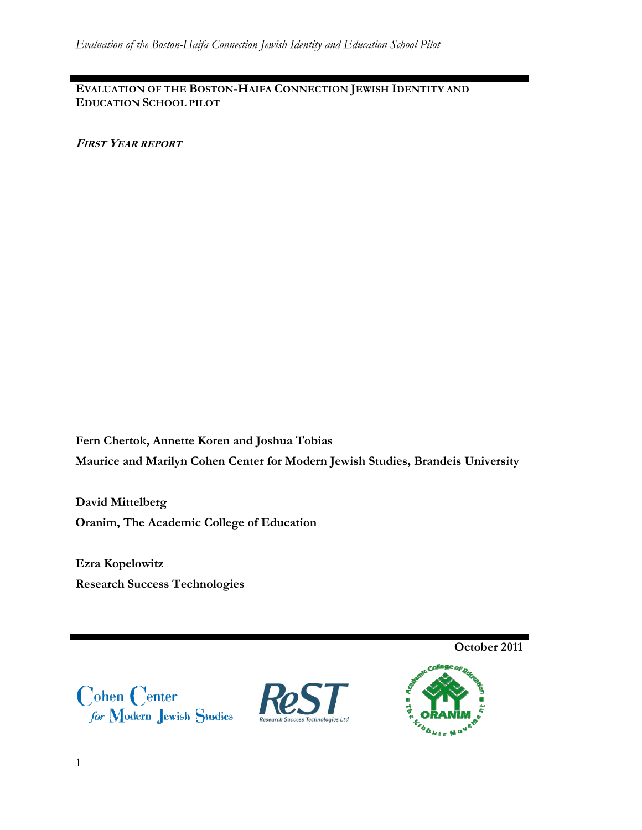**EVALUATION OF THE BOSTON-HAIFA CONNECTION JEWISH IDENTITY AND EDUCATION SCHOOL PILOT**

**FIRST YEAR REPORT**

**Fern Chertok, Annette Koren and Joshua Tobias Maurice and Marilyn Cohen Center for Modern Jewish Studies, Brandeis University** 

**David Mittelberg Oranim, The Academic College of Education** 

**Ezra Kopelowitz Research Success Technologies** 

**October 2011**

 $\begin{array}{c} \textbf{Cohen Center} \\ \textit{for Modern Jewish Studies} \end{array}$ 



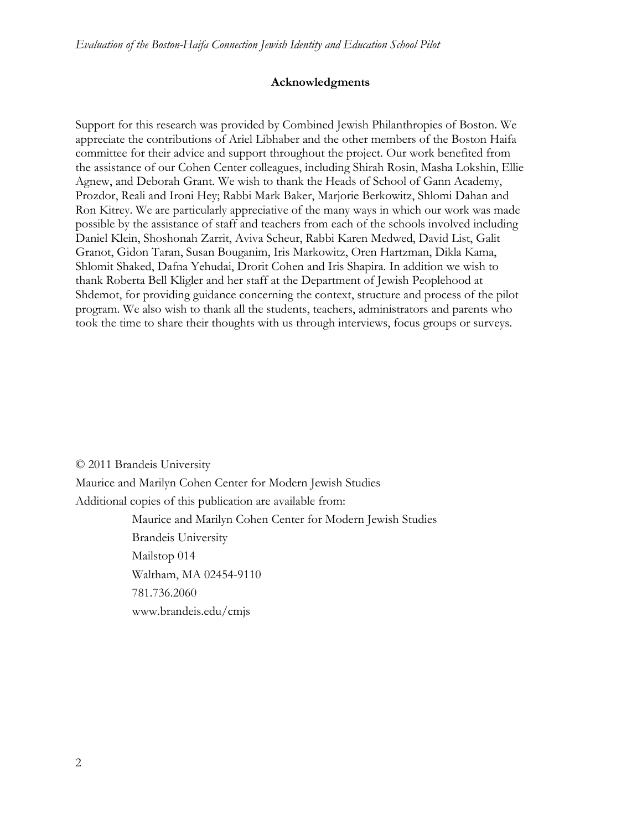#### **Acknowledgments**

Support for this research was provided by Combined Jewish Philanthropies of Boston. We appreciate the contributions of Ariel Libhaber and the other members of the Boston Haifa committee for their advice and support throughout the project. Our work benefited from the assistance of our Cohen Center colleagues, including Shirah Rosin, Masha Lokshin, Ellie Agnew, and Deborah Grant. We wish to thank the Heads of School of Gann Academy, Prozdor, Reali and Ironi Hey; Rabbi Mark Baker, Marjorie Berkowitz, Shlomi Dahan and Ron Kitrey. We are particularly appreciative of the many ways in which our work was made possible by the assistance of staff and teachers from each of the schools involved including Daniel Klein, Shoshonah Zarrit, Aviva Scheur, Rabbi Karen Medwed, David List, Galit Granot, Gidon Taran, Susan Bouganim, Iris Markowitz, Oren Hartzman, Dikla Kama, Shlomit Shaked, Dafna Yehudai, Drorit Cohen and Iris Shapira. In addition we wish to thank Roberta Bell Kligler and her staff at the Department of Jewish Peoplehood at Shdemot, for providing guidance concerning the context, structure and process of the pilot program. We also wish to thank all the students, teachers, administrators and parents who took the time to share their thoughts with us through interviews, focus groups or surveys.

© 2011 Brandeis University Maurice and Marilyn Cohen Center for Modern Jewish Studies Additional copies of this publication are available from: Maurice and Marilyn Cohen Center for Modern Jewish Studies Brandeis University Mailstop 014 Waltham, MA 02454-9110 781.736.2060 www.brandeis.edu/cmjs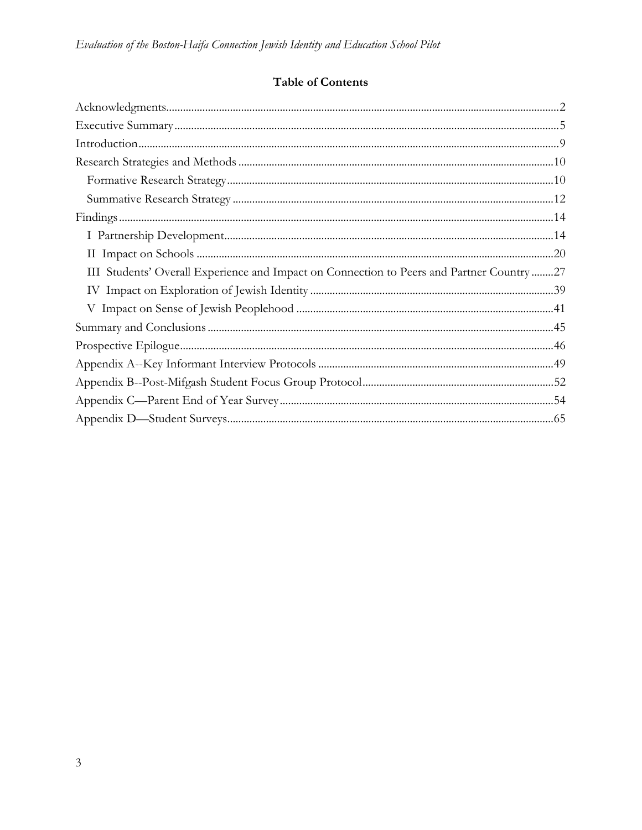# Table of Contents

| III Students' Overall Experience and Impact on Connection to Peers and Partner Country27 |  |
|------------------------------------------------------------------------------------------|--|
|                                                                                          |  |
|                                                                                          |  |
|                                                                                          |  |
|                                                                                          |  |
|                                                                                          |  |
|                                                                                          |  |
|                                                                                          |  |
|                                                                                          |  |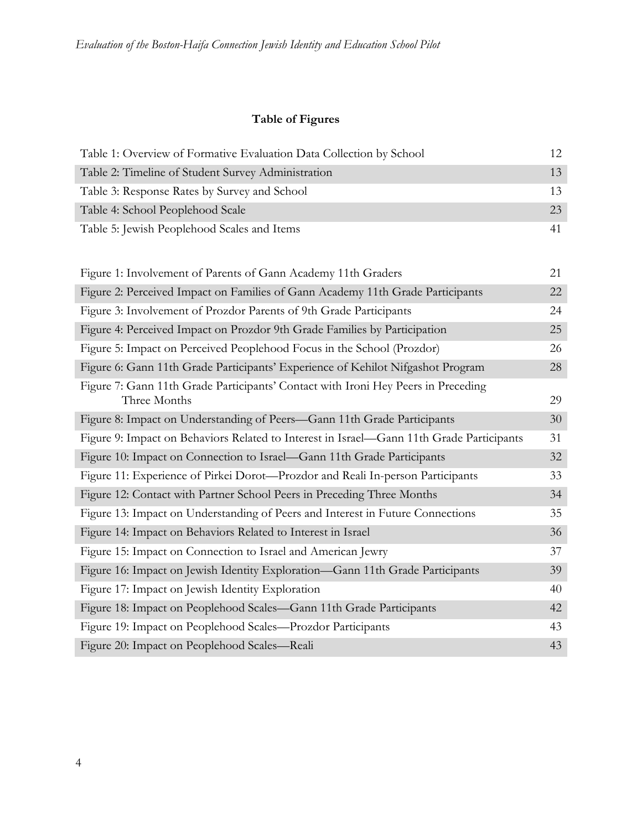# **Table of Figures**

| Table 1: Overview of Formative Evaluation Data Collection by School | 12. |
|---------------------------------------------------------------------|-----|
| Table 2: Timeline of Student Survey Administration                  | 13  |
| Table 3: Response Rates by Survey and School                        | 13  |
| Table 4: School Peoplehood Scale                                    | 23  |
| Table 5: Jewish Peoplehood Scales and Items                         |     |

| Figure 1: Involvement of Parents of Gann Academy 11th Graders                                     |    |  |  |  |
|---------------------------------------------------------------------------------------------------|----|--|--|--|
| Figure 2: Perceived Impact on Families of Gann Academy 11th Grade Participants                    | 22 |  |  |  |
| Figure 3: Involvement of Prozdor Parents of 9th Grade Participants                                | 24 |  |  |  |
| Figure 4: Perceived Impact on Prozdor 9th Grade Families by Participation                         | 25 |  |  |  |
| Figure 5: Impact on Perceived Peoplehood Focus in the School (Prozdor)                            | 26 |  |  |  |
| Figure 6: Gann 11th Grade Participants' Experience of Kehilot Nifgashot Program                   | 28 |  |  |  |
| Figure 7: Gann 11th Grade Participants' Contact with Ironi Hey Peers in Preceding<br>Three Months | 29 |  |  |  |
| Figure 8: Impact on Understanding of Peers-Gann 11th Grade Participants                           | 30 |  |  |  |
| Figure 9: Impact on Behaviors Related to Interest in Israel—Gann 11th Grade Participants          | 31 |  |  |  |
| Figure 10: Impact on Connection to Israel-Gann 11th Grade Participants                            | 32 |  |  |  |
| Figure 11: Experience of Pirkei Dorot—Prozdor and Reali In-person Participants                    | 33 |  |  |  |
| Figure 12: Contact with Partner School Peers in Preceding Three Months                            | 34 |  |  |  |
| Figure 13: Impact on Understanding of Peers and Interest in Future Connections                    | 35 |  |  |  |
| Figure 14: Impact on Behaviors Related to Interest in Israel                                      | 36 |  |  |  |
| Figure 15: Impact on Connection to Israel and American Jewry                                      | 37 |  |  |  |
| Figure 16: Impact on Jewish Identity Exploration—Gann 11th Grade Participants                     | 39 |  |  |  |
| Figure 17: Impact on Jewish Identity Exploration                                                  | 40 |  |  |  |
| Figure 18: Impact on Peoplehood Scales—Gann 11th Grade Participants                               | 42 |  |  |  |
| Figure 19: Impact on Peoplehood Scales-Prozdor Participants                                       | 43 |  |  |  |
| Figure 20: Impact on Peoplehood Scales—Reali                                                      | 43 |  |  |  |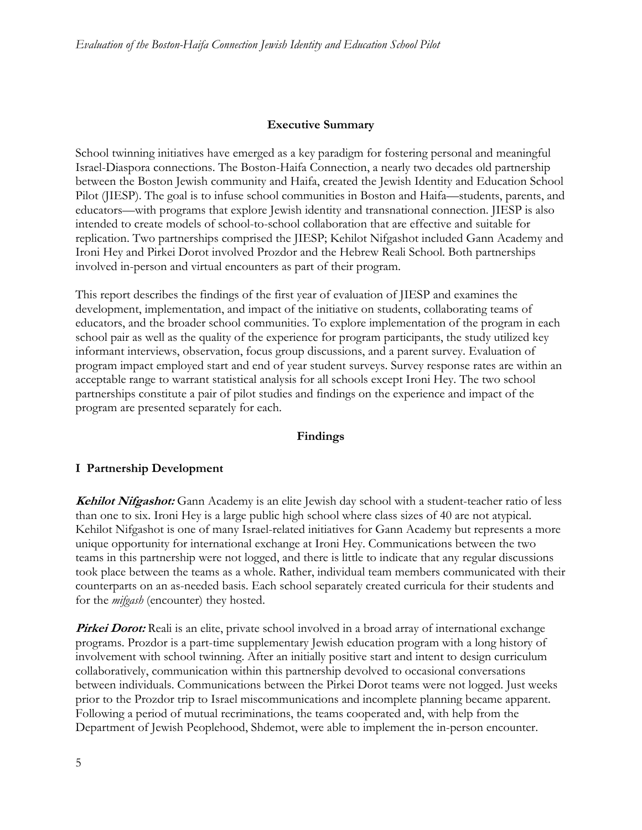#### **Executive Summary**

School twinning initiatives have emerged as a key paradigm for fostering personal and meaningful Israel-Diaspora connections. The Boston-Haifa Connection, a nearly two decades old partnership between the Boston Jewish community and Haifa, created the Jewish Identity and Education School Pilot (JIESP). The goal is to infuse school communities in Boston and Haifa—students, parents, and educators—with programs that explore Jewish identity and transnational connection. JIESP is also intended to create models of school-to-school collaboration that are effective and suitable for replication. Two partnerships comprised the JIESP; Kehilot Nifgashot included Gann Academy and Ironi Hey and Pirkei Dorot involved Prozdor and the Hebrew Reali School. Both partnerships involved in-person and virtual encounters as part of their program.

This report describes the findings of the first year of evaluation of JIESP and examines the development, implementation, and impact of the initiative on students, collaborating teams of educators, and the broader school communities. To explore implementation of the program in each school pair as well as the quality of the experience for program participants, the study utilized key informant interviews, observation, focus group discussions, and a parent survey. Evaluation of program impact employed start and end of year student surveys. Survey response rates are within an acceptable range to warrant statistical analysis for all schools except Ironi Hey. The two school partnerships constitute a pair of pilot studies and findings on the experience and impact of the program are presented separately for each.

#### **Findings**

#### **I Partnership Development**

**Kehilot Nifgashot:** Gann Academy is an elite Jewish day school with a student-teacher ratio of less than one to six. Ironi Hey is a large public high school where class sizes of 40 are not atypical. Kehilot Nifgashot is one of many Israel-related initiatives for Gann Academy but represents a more unique opportunity for international exchange at Ironi Hey. Communications between the two teams in this partnership were not logged, and there is little to indicate that any regular discussions took place between the teams as a whole. Rather, individual team members communicated with their counterparts on an as-needed basis. Each school separately created curricula for their students and for the *mifgash* (encounter) they hosted.

**Pirkei Dorot:** Reali is an elite, private school involved in a broad array of international exchange programs. Prozdor is a part-time supplementary Jewish education program with a long history of involvement with school twinning. After an initially positive start and intent to design curriculum collaboratively, communication within this partnership devolved to occasional conversations between individuals. Communications between the Pirkei Dorot teams were not logged. Just weeks prior to the Prozdor trip to Israel miscommunications and incomplete planning became apparent. Following a period of mutual recriminations, the teams cooperated and, with help from the Department of Jewish Peoplehood, Shdemot, were able to implement the in-person encounter.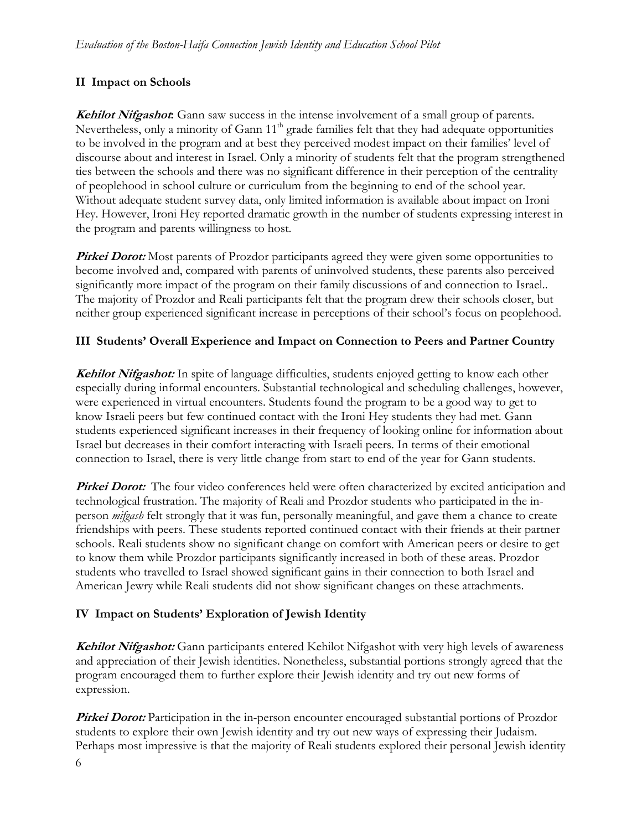### **II Impact on Schools**

**Kehilot Nifgashot:** Gann saw success in the intense involvement of a small group of parents. Nevertheless, only a minority of Gann 11<sup>th</sup> grade families felt that they had adequate opportunities to be involved in the program and at best they perceived modest impact on their families' level of discourse about and interest in Israel. Only a minority of students felt that the program strengthened ties between the schools and there was no significant difference in their perception of the centrality of peoplehood in school culture or curriculum from the beginning to end of the school year. Without adequate student survey data, only limited information is available about impact on Ironi Hey. However, Ironi Hey reported dramatic growth in the number of students expressing interest in the program and parents willingness to host.

**Pirkei Dorot:** Most parents of Prozdor participants agreed they were given some opportunities to become involved and, compared with parents of uninvolved students, these parents also perceived significantly more impact of the program on their family discussions of and connection to Israel.. The majority of Prozdor and Reali participants felt that the program drew their schools closer, but neither group experienced significant increase in perceptions of their school's focus on peoplehood.

### **III Students' Overall Experience and Impact on Connection to Peers and Partner Country**

**Kehilot Nifgashot:** In spite of language difficulties, students enjoyed getting to know each other especially during informal encounters. Substantial technological and scheduling challenges, however, were experienced in virtual encounters. Students found the program to be a good way to get to know Israeli peers but few continued contact with the Ironi Hey students they had met. Gann students experienced significant increases in their frequency of looking online for information about Israel but decreases in their comfort interacting with Israeli peers. In terms of their emotional connection to Israel, there is very little change from start to end of the year for Gann students.

**Pirkei Dorot:** The four video conferences held were often characterized by excited anticipation and technological frustration. The majority of Reali and Prozdor students who participated in the inperson *mifgash* felt strongly that it was fun, personally meaningful, and gave them a chance to create friendships with peers. These students reported continued contact with their friends at their partner schools. Reali students show no significant change on comfort with American peers or desire to get to know them while Prozdor participants significantly increased in both of these areas. Prozdor students who travelled to Israel showed significant gains in their connection to both Israel and American Jewry while Reali students did not show significant changes on these attachments.

### **IV Impact on Students' Exploration of Jewish Identity**

**Kehilot Nifgashot:** Gann participants entered Kehilot Nifgashot with very high levels of awareness and appreciation of their Jewish identities. Nonetheless, substantial portions strongly agreed that the program encouraged them to further explore their Jewish identity and try out new forms of expression.

6 **Pirkei Dorot:** Participation in the in-person encounter encouraged substantial portions of Prozdor students to explore their own Jewish identity and try out new ways of expressing their Judaism. Perhaps most impressive is that the majority of Reali students explored their personal Jewish identity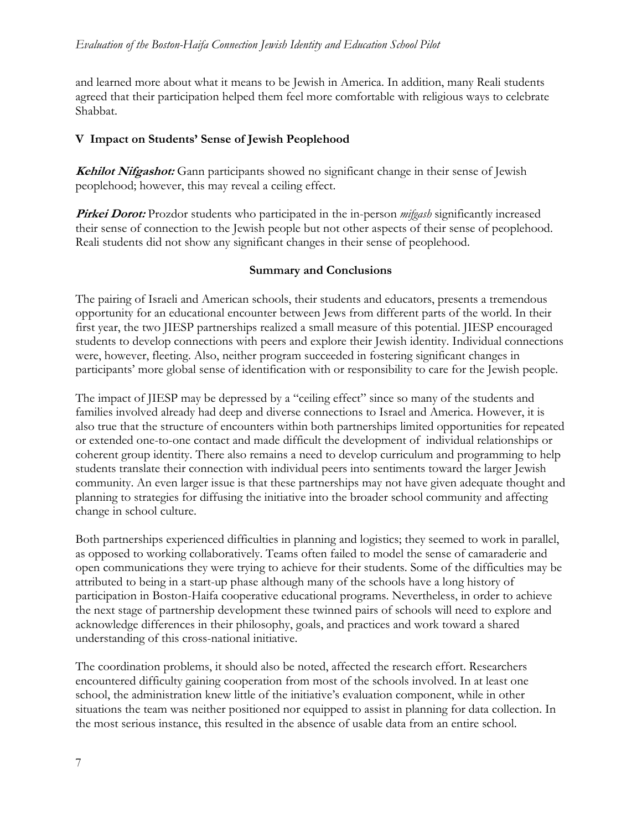and learned more about what it means to be Jewish in America. In addition, many Reali students agreed that their participation helped them feel more comfortable with religious ways to celebrate Shabbat.

### **V Impact on Students' Sense of Jewish Peoplehood**

**Kehilot Nifgashot:** Gann participants showed no significant change in their sense of Jewish peoplehood; however, this may reveal a ceiling effect.

**Pirkei Dorot:** Prozdor students who participated in the in-person *mifgash* significantly increased their sense of connection to the Jewish people but not other aspects of their sense of peoplehood. Reali students did not show any significant changes in their sense of peoplehood.

### **Summary and Conclusions**

The pairing of Israeli and American schools, their students and educators, presents a tremendous opportunity for an educational encounter between Jews from different parts of the world. In their first year, the two JIESP partnerships realized a small measure of this potential. JIESP encouraged students to develop connections with peers and explore their Jewish identity. Individual connections were, however, fleeting. Also, neither program succeeded in fostering significant changes in participants' more global sense of identification with or responsibility to care for the Jewish people.

The impact of JIESP may be depressed by a "ceiling effect" since so many of the students and families involved already had deep and diverse connections to Israel and America. However, it is also true that the structure of encounters within both partnerships limited opportunities for repeated or extended one-to-one contact and made difficult the development of individual relationships or coherent group identity. There also remains a need to develop curriculum and programming to help students translate their connection with individual peers into sentiments toward the larger Jewish community. An even larger issue is that these partnerships may not have given adequate thought and planning to strategies for diffusing the initiative into the broader school community and affecting change in school culture.

Both partnerships experienced difficulties in planning and logistics; they seemed to work in parallel, as opposed to working collaboratively. Teams often failed to model the sense of camaraderie and open communications they were trying to achieve for their students. Some of the difficulties may be attributed to being in a start-up phase although many of the schools have a long history of participation in Boston-Haifa cooperative educational programs. Nevertheless, in order to achieve the next stage of partnership development these twinned pairs of schools will need to explore and acknowledge differences in their philosophy, goals, and practices and work toward a shared understanding of this cross-national initiative.

The coordination problems, it should also be noted, affected the research effort. Researchers encountered difficulty gaining cooperation from most of the schools involved. In at least one school, the administration knew little of the initiative's evaluation component, while in other situations the team was neither positioned nor equipped to assist in planning for data collection. In the most serious instance, this resulted in the absence of usable data from an entire school.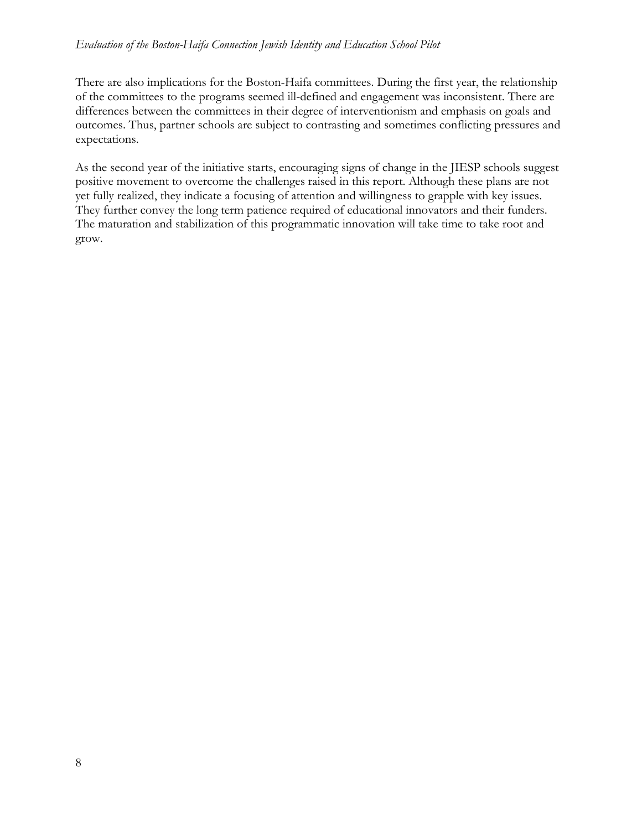There are also implications for the Boston-Haifa committees. During the first year, the relationship of the committees to the programs seemed ill-defined and engagement was inconsistent. There are differences between the committees in their degree of interventionism and emphasis on goals and outcomes. Thus, partner schools are subject to contrasting and sometimes conflicting pressures and expectations.

As the second year of the initiative starts, encouraging signs of change in the JIESP schools suggest positive movement to overcome the challenges raised in this report. Although these plans are not yet fully realized, they indicate a focusing of attention and willingness to grapple with key issues. They further convey the long term patience required of educational innovators and their funders. The maturation and stabilization of this programmatic innovation will take time to take root and grow.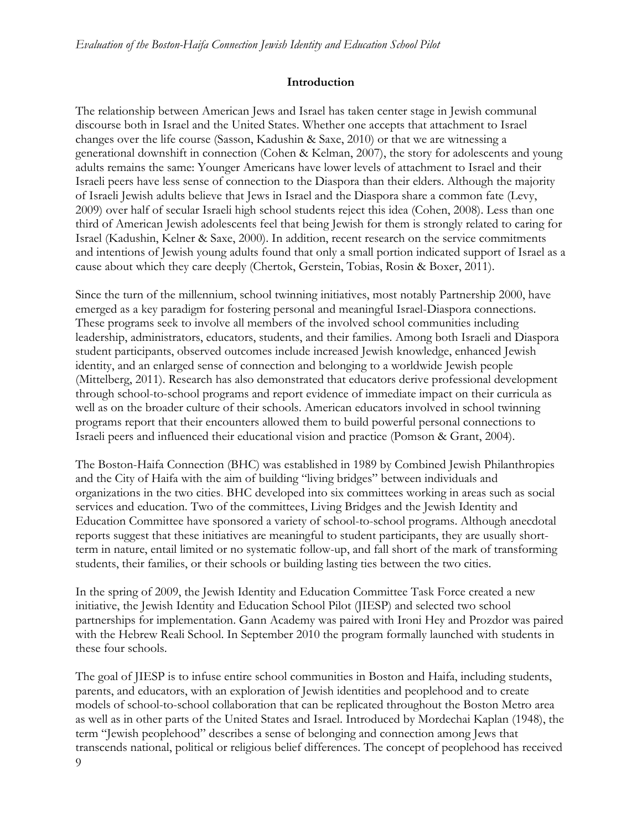#### **Introduction**

The relationship between American Jews and Israel has taken center stage in Jewish communal discourse both in Israel and the United States. Whether one accepts that attachment to Israel changes over the life course (Sasson, Kadushin & Saxe, 2010) or that we are witnessing a generational downshift in connection (Cohen & Kelman, 2007), the story for adolescents and young adults remains the same: Younger Americans have lower levels of attachment to Israel and their Israeli peers have less sense of connection to the Diaspora than their elders. Although the majority of Israeli Jewish adults believe that Jews in Israel and the Diaspora share a common fate (Levy, 2009) over half of secular Israeli high school students reject this idea (Cohen, 2008). Less than one third of American Jewish adolescents feel that being Jewish for them is strongly related to caring for Israel (Kadushin, Kelner & Saxe, 2000). In addition, recent research on the service commitments and intentions of Jewish young adults found that only a small portion indicated support of Israel as a cause about which they care deeply (Chertok, Gerstein, Tobias, Rosin & Boxer, 2011).

Since the turn of the millennium, school twinning initiatives, most notably Partnership 2000, have emerged as a key paradigm for fostering personal and meaningful Israel-Diaspora connections. These programs seek to involve all members of the involved school communities including leadership, administrators, educators, students, and their families. Among both Israeli and Diaspora student participants, observed outcomes include increased Jewish knowledge, enhanced Jewish identity, and an enlarged sense of connection and belonging to a worldwide Jewish people (Mittelberg, 2011). Research has also demonstrated that educators derive professional development through school-to-school programs and report evidence of immediate impact on their curricula as well as on the broader culture of their schools. American educators involved in school twinning programs report that their encounters allowed them to build powerful personal connections to Israeli peers and influenced their educational vision and practice (Pomson & Grant, 2004).

The Boston-Haifa Connection (BHC) was established in 1989 by Combined Jewish Philanthropies and the City of Haifa with the aim of building "living bridges" between individuals and organizations in the two cities. BHC developed into six committees working in areas such as social services and education. Two of the committees, Living Bridges and the Jewish Identity and Education Committee have sponsored a variety of school-to-school programs. Although anecdotal reports suggest that these initiatives are meaningful to student participants, they are usually shortterm in nature, entail limited or no systematic follow-up, and fall short of the mark of transforming students, their families, or their schools or building lasting ties between the two cities.

In the spring of 2009, the Jewish Identity and Education Committee Task Force created a new initiative, the Jewish Identity and Education School Pilot (JIESP) and selected two school partnerships for implementation. Gann Academy was paired with Ironi Hey and Prozdor was paired with the Hebrew Reali School. In September 2010 the program formally launched with students in these four schools.

9 The goal of JIESP is to infuse entire school communities in Boston and Haifa, including students, parents, and educators, with an exploration of Jewish identities and peoplehood and to create models of school-to-school collaboration that can be replicated throughout the Boston Metro area as well as in other parts of the United States and Israel. Introduced by Mordechai Kaplan (1948), the term "Jewish peoplehood" describes a sense of belonging and connection among Jews that transcends national, political or religious belief differences. The concept of peoplehood has received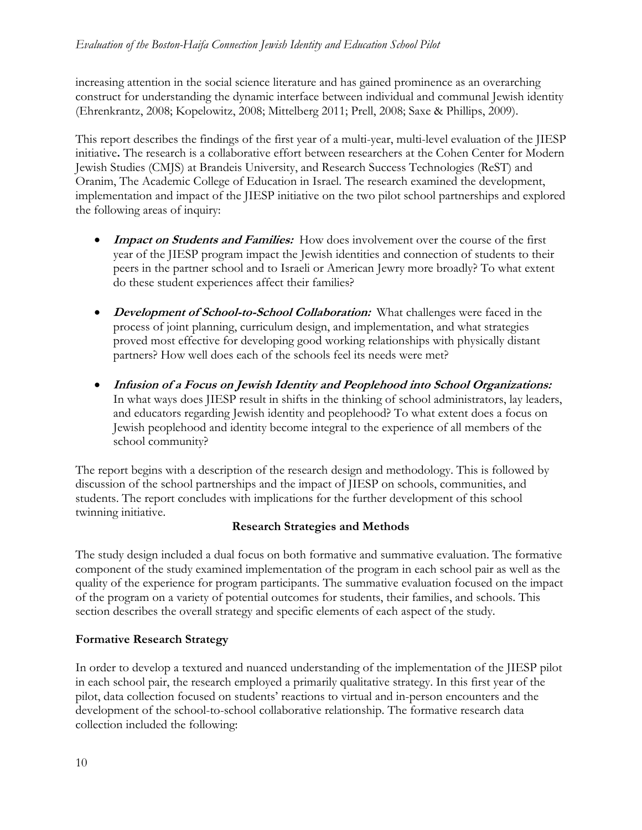increasing attention in the social science literature and has gained prominence as an overarching construct for understanding the dynamic interface between individual and communal Jewish identity (Ehrenkrantz, 2008; Kopelowitz, 2008; Mittelberg 2011; Prell, 2008; Saxe & Phillips, 2009).

This report describes the findings of the first year of a multi-year, multi-level evaluation of the JIESP initiative**.** The research is a collaborative effort between researchers at the Cohen Center for Modern Jewish Studies (CMJS) at Brandeis University, and Research Success Technologies (ReST) and Oranim, The Academic College of Education in Israel. The research examined the development, implementation and impact of the JIESP initiative on the two pilot school partnerships and explored the following areas of inquiry:

- **Impact on Students and Families:** How does involvement over the course of the first year of the JIESP program impact the Jewish identities and connection of students to their peers in the partner school and to Israeli or American Jewry more broadly? To what extent do these student experiences affect their families?
- **•** Development of School-to-School Collaboration: What challenges were faced in the process of joint planning, curriculum design, and implementation, and what strategies proved most effective for developing good working relationships with physically distant partners? How well does each of the schools feel its needs were met?
- **Infusion of a Focus on Jewish Identity and Peoplehood into School Organizations:**  In what ways does JIESP result in shifts in the thinking of school administrators, lay leaders, and educators regarding Jewish identity and peoplehood? To what extent does a focus on Jewish peoplehood and identity become integral to the experience of all members of the school community?

The report begins with a description of the research design and methodology. This is followed by discussion of the school partnerships and the impact of JIESP on schools, communities, and students. The report concludes with implications for the further development of this school twinning initiative.

#### **Research Strategies and Methods**

The study design included a dual focus on both formative and summative evaluation. The formative component of the study examined implementation of the program in each school pair as well as the quality of the experience for program participants. The summative evaluation focused on the impact of the program on a variety of potential outcomes for students, their families, and schools. This section describes the overall strategy and specific elements of each aspect of the study.

### **Formative Research Strategy**

In order to develop a textured and nuanced understanding of the implementation of the JIESP pilot in each school pair, the research employed a primarily qualitative strategy. In this first year of the pilot, data collection focused on students' reactions to virtual and in-person encounters and the development of the school-to-school collaborative relationship. The formative research data collection included the following: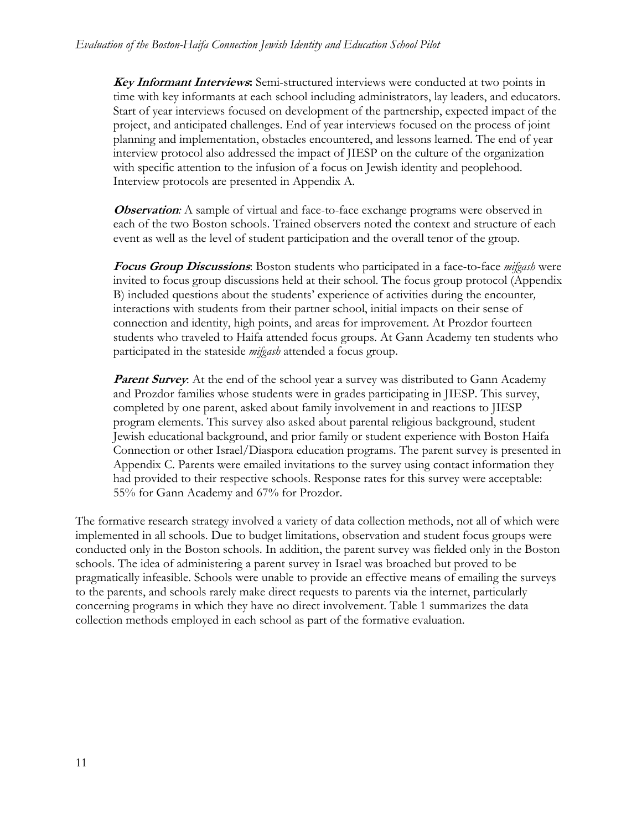**Key Informant Interviews:** Semi-structured interviews were conducted at two points in time with key informants at each school including administrators, lay leaders, and educators. Start of year interviews focused on development of the partnership, expected impact of the project, and anticipated challenges. End of year interviews focused on the process of joint planning and implementation, obstacles encountered, and lessons learned. The end of year interview protocol also addressed the impact of JIESP on the culture of the organization with specific attention to the infusion of a focus on Jewish identity and peoplehood. Interview protocols are presented in Appendix A.

**Observation:** A sample of virtual and face-to-face exchange programs were observed in each of the two Boston schools. Trained observers noted the context and structure of each event as well as the level of student participation and the overall tenor of the group.

**Focus Group Discussions**: Boston students who participated in a face-to-face *mifgash* were invited to focus group discussions held at their school. The focus group protocol (Appendix B) included questions about the students' experience of activities during the encounter*,*  interactions with students from their partner school, initial impacts on their sense of connection and identity, high points, and areas for improvement. At Prozdor fourteen students who traveled to Haifa attended focus groups. At Gann Academy ten students who participated in the stateside *mifgash* attended a focus group.

**Parent Survey**: At the end of the school year a survey was distributed to Gann Academy and Prozdor families whose students were in grades participating in JIESP. This survey, completed by one parent, asked about family involvement in and reactions to JIESP program elements. This survey also asked about parental religious background, student Jewish educational background, and prior family or student experience with Boston Haifa Connection or other Israel/Diaspora education programs. The parent survey is presented in Appendix C. Parents were emailed invitations to the survey using contact information they had provided to their respective schools. Response rates for this survey were acceptable: 55% for Gann Academy and 67% for Prozdor.

The formative research strategy involved a variety of data collection methods, not all of which were implemented in all schools. Due to budget limitations, observation and student focus groups were conducted only in the Boston schools. In addition, the parent survey was fielded only in the Boston schools. The idea of administering a parent survey in Israel was broached but proved to be pragmatically infeasible. Schools were unable to provide an effective means of emailing the surveys to the parents, and schools rarely make direct requests to parents via the internet, particularly concerning programs in which they have no direct involvement. Table 1 summarizes the data collection methods employed in each school as part of the formative evaluation.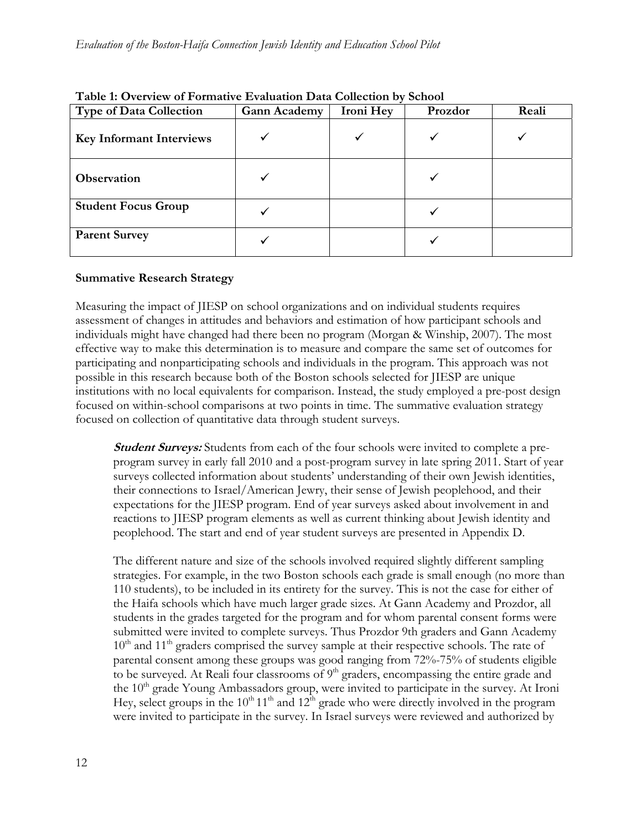| <b>Type of Data Collection</b>  | <b>Gann Academy</b> | Ironi Hey | Prozdor | Reali |
|---------------------------------|---------------------|-----------|---------|-------|
| <b>Key Informant Interviews</b> |                     |           |         |       |
| Observation                     |                     |           |         |       |
| <b>Student Focus Group</b>      |                     |           |         |       |
| <b>Parent Survey</b>            |                     |           |         |       |

### **Table 1: Overview of Formative Evaluation Data Collection by School**

#### **Summative Research Strategy**

Measuring the impact of JIESP on school organizations and on individual students requires assessment of changes in attitudes and behaviors and estimation of how participant schools and individuals might have changed had there been no program (Morgan & Winship, 2007). The most effective way to make this determination is to measure and compare the same set of outcomes for participating and nonparticipating schools and individuals in the program. This approach was not possible in this research because both of the Boston schools selected for JIESP are unique institutions with no local equivalents for comparison. Instead, the study employed a pre-post design focused on within-school comparisons at two points in time. The summative evaluation strategy focused on collection of quantitative data through student surveys.

**Student Surveys:** Students from each of the four schools were invited to complete a preprogram survey in early fall 2010 and a post-program survey in late spring 2011. Start of year surveys collected information about students' understanding of their own Jewish identities, their connections to Israel/American Jewry, their sense of Jewish peoplehood, and their expectations for the JIESP program. End of year surveys asked about involvement in and reactions to JIESP program elements as well as current thinking about Jewish identity and peoplehood. The start and end of year student surveys are presented in Appendix D.

The different nature and size of the schools involved required slightly different sampling strategies. For example, in the two Boston schools each grade is small enough (no more than 110 students), to be included in its entirety for the survey. This is not the case for either of the Haifa schools which have much larger grade sizes. At Gann Academy and Prozdor, all students in the grades targeted for the program and for whom parental consent forms were submitted were invited to complete surveys. Thus Prozdor 9th graders and Gann Academy  $10<sup>th</sup>$  and  $11<sup>th</sup>$  graders comprised the survey sample at their respective schools. The rate of parental consent among these groups was good ranging from 72%-75% of students eligible to be surveyed. At Reali four classrooms of  $9<sup>th</sup>$  graders, encompassing the entire grade and the 10<sup>th</sup> grade Young Ambassadors group, were invited to participate in the survey. At Ironi Hey, select groups in the  $10^{th} 11^{th}$  and  $12^{th}$  grade who were directly involved in the program were invited to participate in the survey. In Israel surveys were reviewed and authorized by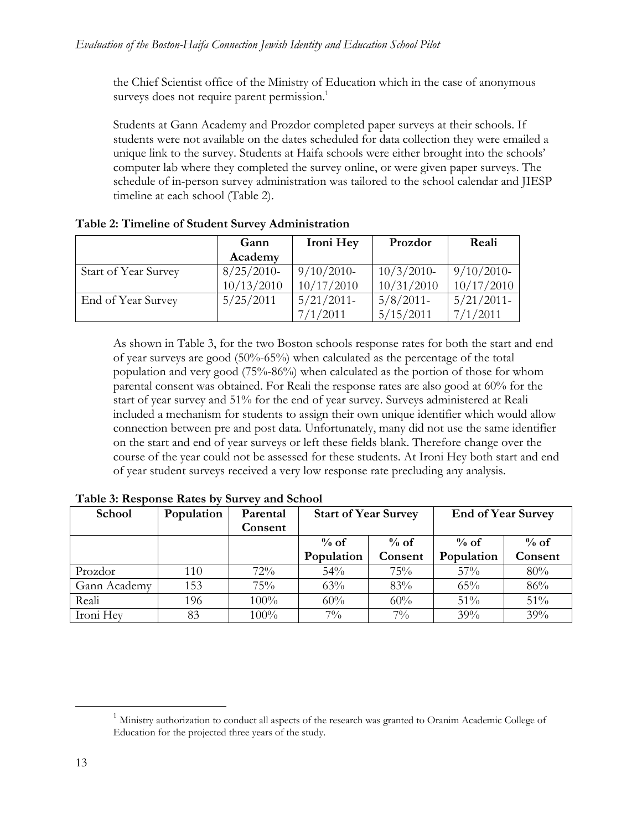the Chief Scientist office of the Ministry of Education which in the case of anonymous surveys does not require parent permission.<sup>1</sup>

Students at Gann Academy and Prozdor completed paper surveys at their schools. If students were not available on the dates scheduled for data collection they were emailed a unique link to the survey. Students at Haifa schools were either brought into the schools' computer lab where they completed the survey online, or were given paper surveys. The schedule of in-person survey administration was tailored to the school calendar and JIESP timeline at each school (Table 2).

|                             | Gann          | Ironi Hey     | Prozdor       | Reali         |
|-----------------------------|---------------|---------------|---------------|---------------|
|                             | Academy       |               |               |               |
| <b>Start of Year Survey</b> | $8/25/2010$ - | $9/10/2010$ - | $10/3/2010$ - | $9/10/2010$ - |
|                             | 10/13/2010    | 10/17/2010    | 10/31/2010    | 10/17/2010    |
| End of Year Survey          | 5/25/2011     | $5/21/2011$ - | $5/8/2011$ -  | $5/21/2011$ - |
|                             |               | 7/1/2011      | 5/15/2011     | 7/1/2011      |

**Table 2: Timeline of Student Survey Administration** 

As shown in Table 3, for the two Boston schools response rates for both the start and end of year surveys are good (50%-65%) when calculated as the percentage of the total population and very good (75%-86%) when calculated as the portion of those for whom parental consent was obtained. For Reali the response rates are also good at 60% for the start of year survey and 51% for the end of year survey. Surveys administered at Reali included a mechanism for students to assign their own unique identifier which would allow connection between pre and post data. Unfortunately, many did not use the same identifier on the start and end of year surveys or left these fields blank. Therefore change over the course of the year could not be assessed for these students. At Ironi Hey both start and end of year student surveys received a very low response rate precluding any analysis.

| School       | Population | Parental | <b>Start of Year Survey</b> |         | <b>End of Year Survey</b> |         |
|--------------|------------|----------|-----------------------------|---------|---------------------------|---------|
|              |            | Consent  |                             |         |                           |         |
|              |            |          | $\%$ of                     | $\%$ of | $\%$ of                   | $%$ of  |
|              |            |          | Population                  | Consent | Population                | Consent |
| Prozdor      | 110        | $72\%$   | 54%                         | 75%     | $57\%$                    | 80%     |
| Gann Academy | 153        | 75%      | 63%                         | 83%     | 65%                       | 86%     |
| Reali        | 196        | 100%     | 60%                         | 60%     | 51%                       | 51%     |
| Ironi Hey    | 83         | 100%     | $7\%$                       | $7\%$   | 39%                       | 39%     |

**Table 3: Response Rates by Survey and School** 

 $<sup>1</sup>$  Ministry authorization to conduct all aspects of the research was granted to Oranim Academic College of</sup> Education for the projected three years of the study.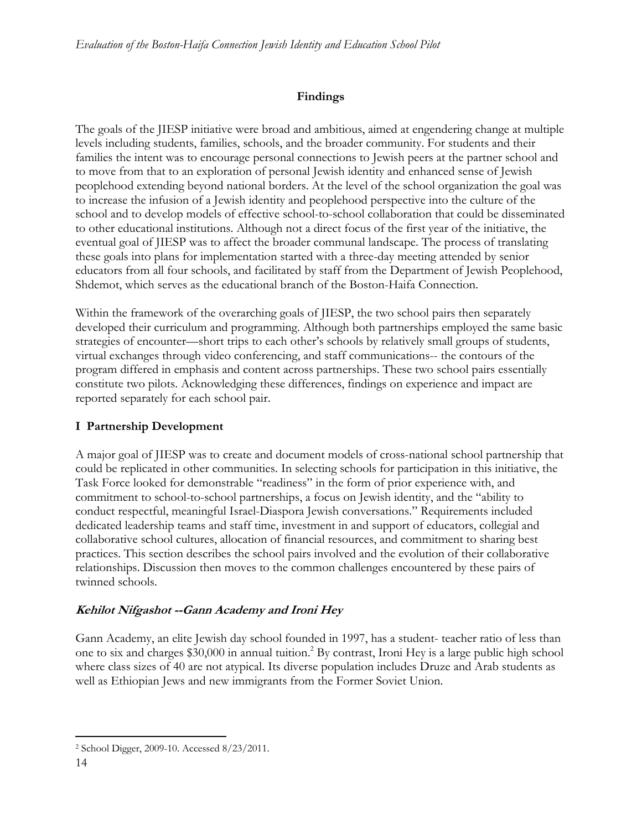# **Findings**

The goals of the JIESP initiative were broad and ambitious, aimed at engendering change at multiple levels including students, families, schools, and the broader community. For students and their families the intent was to encourage personal connections to Jewish peers at the partner school and to move from that to an exploration of personal Jewish identity and enhanced sense of Jewish peoplehood extending beyond national borders. At the level of the school organization the goal was to increase the infusion of a Jewish identity and peoplehood perspective into the culture of the school and to develop models of effective school-to-school collaboration that could be disseminated to other educational institutions. Although not a direct focus of the first year of the initiative, the eventual goal of JIESP was to affect the broader communal landscape. The process of translating these goals into plans for implementation started with a three-day meeting attended by senior educators from all four schools, and facilitated by staff from the Department of Jewish Peoplehood, Shdemot, which serves as the educational branch of the Boston-Haifa Connection.

Within the framework of the overarching goals of JIESP, the two school pairs then separately developed their curriculum and programming. Although both partnerships employed the same basic strategies of encounter—short trips to each other's schools by relatively small groups of students, virtual exchanges through video conferencing, and staff communications-- the contours of the program differed in emphasis and content across partnerships. These two school pairs essentially constitute two pilots. Acknowledging these differences, findings on experience and impact are reported separately for each school pair.

# **I Partnership Development**

A major goal of JIESP was to create and document models of cross-national school partnership that could be replicated in other communities. In selecting schools for participation in this initiative, the Task Force looked for demonstrable "readiness" in the form of prior experience with, and commitment to school-to-school partnerships, a focus on Jewish identity, and the "ability to conduct respectful, meaningful Israel-Diaspora Jewish conversations." Requirements included dedicated leadership teams and staff time, investment in and support of educators, collegial and collaborative school cultures, allocation of financial resources, and commitment to sharing best practices. This section describes the school pairs involved and the evolution of their collaborative relationships. Discussion then moves to the common challenges encountered by these pairs of twinned schools.

### **Kehilot Nifgashot --Gann Academy and Ironi Hey**

Gann Academy, an elite Jewish day school founded in 1997, has a student- teacher ratio of less than one to six and charges \$30,000 in annual tuition.<sup>2</sup> By contrast, Ironi Hey is a large public high school where class sizes of 40 are not atypical. Its diverse population includes Druze and Arab students as well as Ethiopian Jews and new immigrants from the Former Soviet Union.

 $\overline{a}$ 2 School Digger, 2009-10. Accessed 8/23/2011.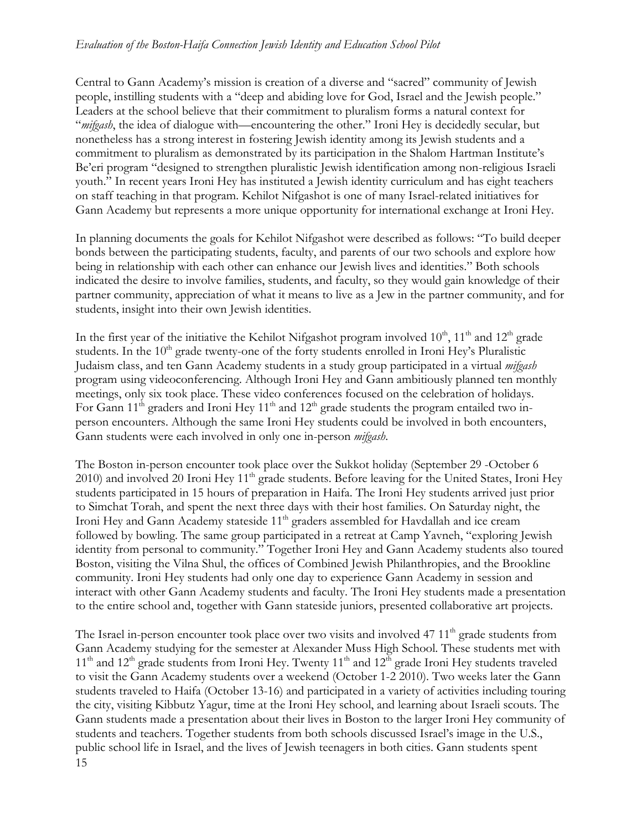Central to Gann Academy's mission is creation of a diverse and "sacred" community of Jewish people, instilling students with a "deep and abiding love for God, Israel and the Jewish people." Leaders at the school believe that their commitment to pluralism forms a natural context for "*mifgash*, the idea of dialogue with—encountering the other." Ironi Hey is decidedly secular, but nonetheless has a strong interest in fostering Jewish identity among its Jewish students and a commitment to pluralism as demonstrated by its participation in the Shalom Hartman Institute's Be'eri program "designed to strengthen pluralistic Jewish identification among non-religious Israeli youth." In recent years Ironi Hey has instituted a Jewish identity curriculum and has eight teachers on staff teaching in that program. Kehilot Nifgashot is one of many Israel-related initiatives for Gann Academy but represents a more unique opportunity for international exchange at Ironi Hey.

In planning documents the goals for Kehilot Nifgashot were described as follows: "To build deeper bonds between the participating students, faculty, and parents of our two schools and explore how being in relationship with each other can enhance our Jewish lives and identities." Both schools indicated the desire to involve families, students, and faculty, so they would gain knowledge of their partner community, appreciation of what it means to live as a Jew in the partner community, and for students, insight into their own Jewish identities.

In the first year of the initiative the Kehilot Nifgashot program involved  $10^{th}$ ,  $11^{th}$  and  $12^{th}$  grade students. In the  $10<sup>th</sup>$  grade twenty-one of the forty students enrolled in Ironi Hey's Pluralistic Judaism class, and ten Gann Academy students in a study group participated in a virtual *mifgash* program using videoconferencing. Although Ironi Hey and Gann ambitiously planned ten monthly meetings, only six took place. These video conferences focused on the celebration of holidays. For Gann  $11<sup>th</sup>$  graders and Ironi Hey  $11<sup>th</sup>$  and  $12<sup>th</sup>$  grade students the program entailed two inperson encounters. Although the same Ironi Hey students could be involved in both encounters, Gann students were each involved in only one in-person *mifgash*.

The Boston in-person encounter took place over the Sukkot holiday (September 29 -October 6 2010) and involved 20 Ironi Hey 11<sup>th</sup> grade students. Before leaving for the United States, Ironi Hey students participated in 15 hours of preparation in Haifa. The Ironi Hey students arrived just prior to Simchat Torah, and spent the next three days with their host families. On Saturday night, the Ironi Hey and Gann Academy stateside  $11<sup>th</sup>$  graders assembled for Havdallah and ice cream followed by bowling. The same group participated in a retreat at Camp Yavneh, "exploring Jewish identity from personal to community." Together Ironi Hey and Gann Academy students also toured Boston, visiting the Vilna Shul, the offices of Combined Jewish Philanthropies, and the Brookline community. Ironi Hey students had only one day to experience Gann Academy in session and interact with other Gann Academy students and faculty. The Ironi Hey students made a presentation to the entire school and, together with Gann stateside juniors, presented collaborative art projects.

15 The Israel in-person encounter took place over two visits and involved 47 11<sup>th</sup> grade students from Gann Academy studying for the semester at Alexander Muss High School. These students met with  $11<sup>th</sup>$  and  $12<sup>th</sup>$  grade students from Ironi Hey. Twenty  $11<sup>th</sup>$  and  $12<sup>th</sup>$  grade Ironi Hey students traveled to visit the Gann Academy students over a weekend (October 1-2 2010). Two weeks later the Gann students traveled to Haifa (October 13-16) and participated in a variety of activities including touring the city, visiting Kibbutz Yagur, time at the Ironi Hey school, and learning about Israeli scouts. The Gann students made a presentation about their lives in Boston to the larger Ironi Hey community of students and teachers. Together students from both schools discussed Israel's image in the U.S., public school life in Israel, and the lives of Jewish teenagers in both cities. Gann students spent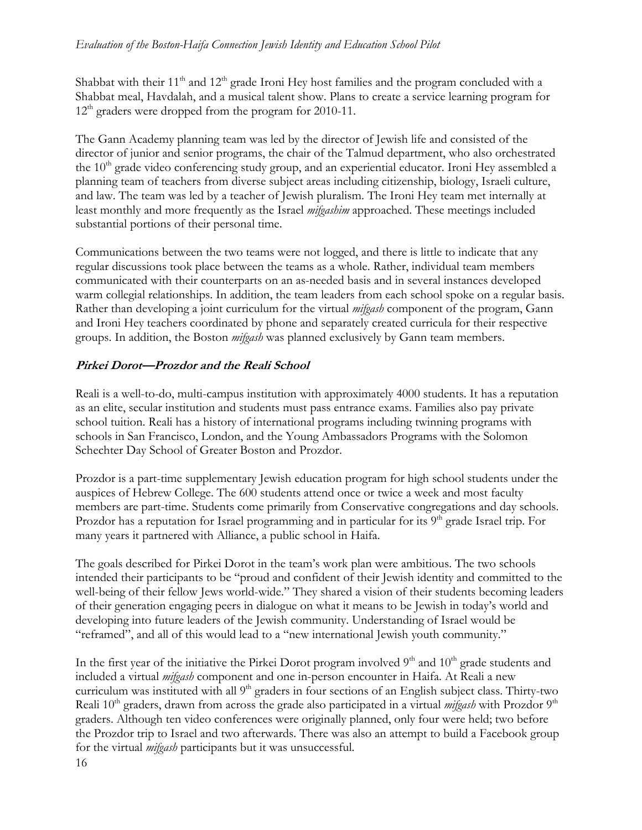Shabbat with their  $11<sup>th</sup>$  and  $12<sup>th</sup>$  grade Ironi Hey host families and the program concluded with a Shabbat meal, Havdalah, and a musical talent show. Plans to create a service learning program for  $12<sup>th</sup>$  graders were dropped from the program for 2010-11.

The Gann Academy planning team was led by the director of Jewish life and consisted of the director of junior and senior programs, the chair of the Talmud department, who also orchestrated the  $10<sup>th</sup>$  grade video conferencing study group, and an experiential educator. Ironi Hey assembled a planning team of teachers from diverse subject areas including citizenship, biology, Israeli culture, and law. The team was led by a teacher of Jewish pluralism. The Ironi Hey team met internally at least monthly and more frequently as the Israel *mifgashim* approached. These meetings included substantial portions of their personal time.

Communications between the two teams were not logged, and there is little to indicate that any regular discussions took place between the teams as a whole. Rather, individual team members communicated with their counterparts on an as-needed basis and in several instances developed warm collegial relationships. In addition, the team leaders from each school spoke on a regular basis. Rather than developing a joint curriculum for the virtual *mifgash* component of the program, Gann and Ironi Hey teachers coordinated by phone and separately created curricula for their respective groups. In addition, the Boston *mifgash* was planned exclusively by Gann team members.

### **Pirkei Dorot—Prozdor and the Reali School**

Reali is a well-to-do, multi-campus institution with approximately 4000 students. It has a reputation as an elite, secular institution and students must pass entrance exams. Families also pay private school tuition. Reali has a history of international programs including twinning programs with schools in San Francisco, London, and the Young Ambassadors Programs with the Solomon Schechter Day School of Greater Boston and Prozdor.

Prozdor is a part-time supplementary Jewish education program for high school students under the auspices of Hebrew College. The 600 students attend once or twice a week and most faculty members are part-time. Students come primarily from Conservative congregations and day schools. Prozdor has a reputation for Israel programming and in particular for its  $9<sup>th</sup>$  grade Israel trip. For many years it partnered with Alliance, a public school in Haifa.

The goals described for Pirkei Dorot in the team's work plan were ambitious. The two schools intended their participants to be "proud and confident of their Jewish identity and committed to the well-being of their fellow Jews world-wide." They shared a vision of their students becoming leaders of their generation engaging peers in dialogue on what it means to be Jewish in today's world and developing into future leaders of the Jewish community. Understanding of Israel would be "reframed", and all of this would lead to a "new international Jewish youth community."

16 In the first year of the initiative the Pirkei Dorot program involved  $9<sup>th</sup>$  and  $10<sup>th</sup>$  grade students and included a virtual *mifgash* component and one in-person encounter in Haifa. At Reali a new curriculum was instituted with all 9<sup>th</sup> graders in four sections of an English subject class. Thirty-two Reali 10<sup>th</sup> graders, drawn from across the grade also participated in a virtual *mifgash* with Prozdor 9<sup>th</sup> graders. Although ten video conferences were originally planned, only four were held; two before the Prozdor trip to Israel and two afterwards. There was also an attempt to build a Facebook group for the virtual *mifgash* participants but it was unsuccessful.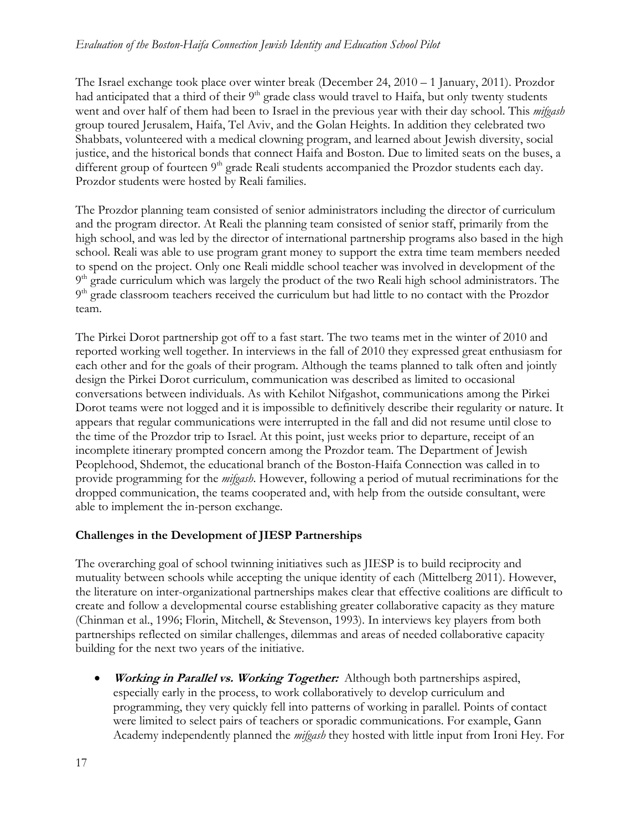The Israel exchange took place over winter break (December 24, 2010 – 1 January, 2011). Prozdor had anticipated that a third of their  $9<sup>th</sup>$  grade class would travel to Haifa, but only twenty students went and over half of them had been to Israel in the previous year with their day school. This *mifgash* group toured Jerusalem, Haifa, Tel Aviv, and the Golan Heights. In addition they celebrated two Shabbats, volunteered with a medical clowning program, and learned about Jewish diversity, social justice, and the historical bonds that connect Haifa and Boston. Due to limited seats on the buses, a different group of fourteen 9<sup>th</sup> grade Reali students accompanied the Prozdor students each day. Prozdor students were hosted by Reali families.

The Prozdor planning team consisted of senior administrators including the director of curriculum and the program director. At Reali the planning team consisted of senior staff, primarily from the high school, and was led by the director of international partnership programs also based in the high school. Reali was able to use program grant money to support the extra time team members needed to spend on the project. Only one Reali middle school teacher was involved in development of the  $9<sup>th</sup>$  grade curriculum which was largely the product of the two Reali high school administrators. The 9<sup>th</sup> grade classroom teachers received the curriculum but had little to no contact with the Prozdor team.

The Pirkei Dorot partnership got off to a fast start. The two teams met in the winter of 2010 and reported working well together. In interviews in the fall of 2010 they expressed great enthusiasm for each other and for the goals of their program. Although the teams planned to talk often and jointly design the Pirkei Dorot curriculum, communication was described as limited to occasional conversations between individuals. As with Kehilot Nifgashot, communications among the Pirkei Dorot teams were not logged and it is impossible to definitively describe their regularity or nature. It appears that regular communications were interrupted in the fall and did not resume until close to the time of the Prozdor trip to Israel. At this point, just weeks prior to departure, receipt of an incomplete itinerary prompted concern among the Prozdor team. The Department of Jewish Peoplehood, Shdemot, the educational branch of the Boston-Haifa Connection was called in to provide programming for the *mifgash*. However, following a period of mutual recriminations for the dropped communication, the teams cooperated and, with help from the outside consultant, were able to implement the in-person exchange.

### **Challenges in the Development of JIESP Partnerships**

The overarching goal of school twinning initiatives such as JIESP is to build reciprocity and mutuality between schools while accepting the unique identity of each (Mittelberg 2011). However, the literature on inter-organizational partnerships makes clear that effective coalitions are difficult to create and follow a developmental course establishing greater collaborative capacity as they mature (Chinman et al., 1996; Florin, Mitchell, & Stevenson, 1993). In interviews key players from both partnerships reflected on similar challenges, dilemmas and areas of needed collaborative capacity building for the next two years of the initiative.

 **Working in Parallel vs. Working Together:** Although both partnerships aspired, especially early in the process, to work collaboratively to develop curriculum and programming, they very quickly fell into patterns of working in parallel. Points of contact were limited to select pairs of teachers or sporadic communications. For example, Gann Academy independently planned the *mifgash* they hosted with little input from Ironi Hey. For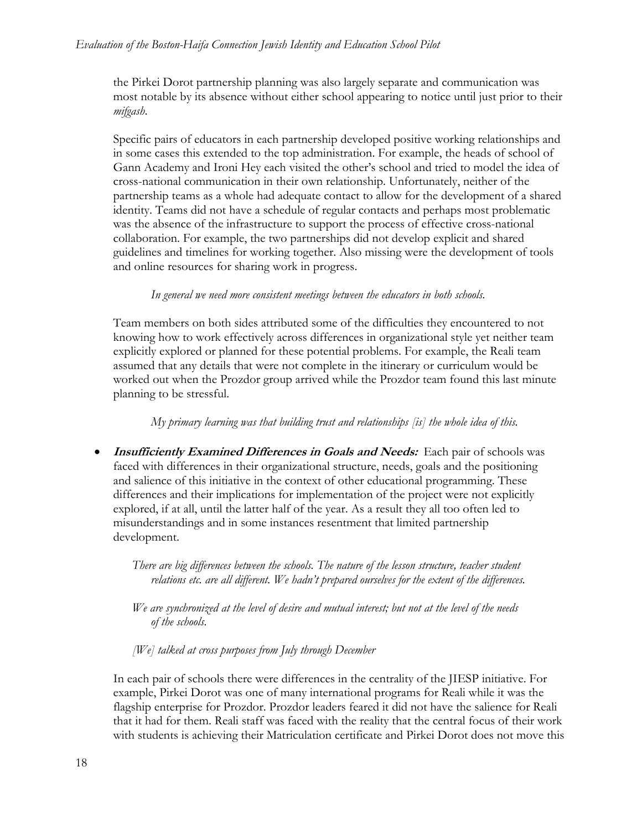the Pirkei Dorot partnership planning was also largely separate and communication was most notable by its absence without either school appearing to notice until just prior to their *mifgash*.

Specific pairs of educators in each partnership developed positive working relationships and in some cases this extended to the top administration. For example, the heads of school of Gann Academy and Ironi Hey each visited the other's school and tried to model the idea of cross-national communication in their own relationship. Unfortunately, neither of the partnership teams as a whole had adequate contact to allow for the development of a shared identity. Teams did not have a schedule of regular contacts and perhaps most problematic was the absence of the infrastructure to support the process of effective cross-national collaboration. For example, the two partnerships did not develop explicit and shared guidelines and timelines for working together. Also missing were the development of tools and online resources for sharing work in progress.

#### *In general we need more consistent meetings between the educators in both schools.*

Team members on both sides attributed some of the difficulties they encountered to not knowing how to work effectively across differences in organizational style yet neither team explicitly explored or planned for these potential problems. For example, the Reali team assumed that any details that were not complete in the itinerary or curriculum would be worked out when the Prozdor group arrived while the Prozdor team found this last minute planning to be stressful.

### *My primary learning was that building trust and relationships [is] the whole idea of this.*

**Insufficiently Examined Differences in Goals and Needs:** Each pair of schools was faced with differences in their organizational structure, needs, goals and the positioning and salience of this initiative in the context of other educational programming. These differences and their implications for implementation of the project were not explicitly explored, if at all, until the latter half of the year. As a result they all too often led to misunderstandings and in some instances resentment that limited partnership development.

*There are big differences between the schools. The nature of the lesson structure, teacher student relations etc. are all different. We hadn't prepared ourselves for the extent of the differences.* 

*We are synchronized at the level of desire and mutual interest; but not at the level of the needs of the schools.* 

*[We] talked at cross purposes from July through December* 

In each pair of schools there were differences in the centrality of the JIESP initiative. For example, Pirkei Dorot was one of many international programs for Reali while it was the flagship enterprise for Prozdor. Prozdor leaders feared it did not have the salience for Reali that it had for them. Reali staff was faced with the reality that the central focus of their work with students is achieving their Matriculation certificate and Pirkei Dorot does not move this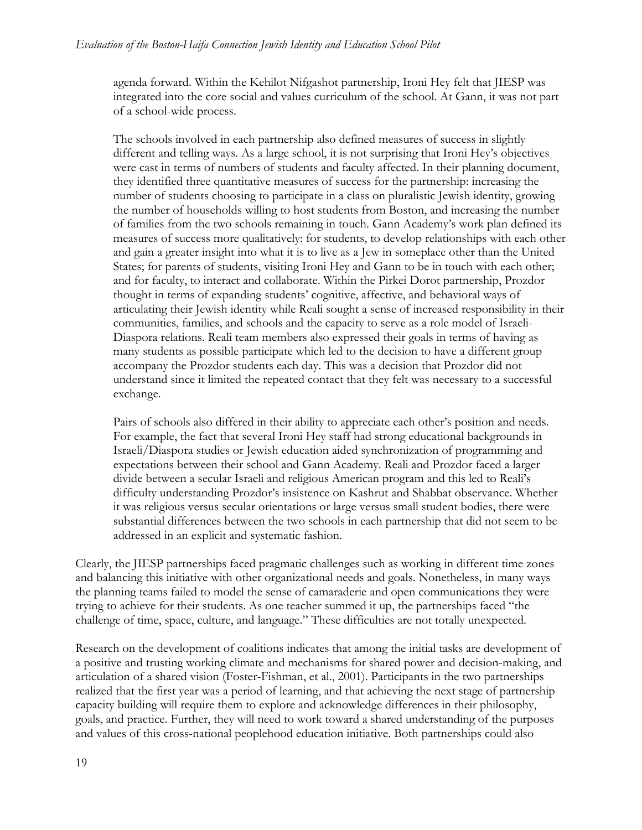agenda forward. Within the Kehilot Nifgashot partnership, Ironi Hey felt that JIESP was integrated into the core social and values curriculum of the school. At Gann, it was not part of a school-wide process.

The schools involved in each partnership also defined measures of success in slightly different and telling ways. As a large school, it is not surprising that Ironi Hey's objectives were cast in terms of numbers of students and faculty affected. In their planning document, they identified three quantitative measures of success for the partnership: increasing the number of students choosing to participate in a class on pluralistic Jewish identity, growing the number of households willing to host students from Boston, and increasing the number of families from the two schools remaining in touch. Gann Academy's work plan defined its measures of success more qualitatively: for students, to develop relationships with each other and gain a greater insight into what it is to live as a Jew in someplace other than the United States; for parents of students, visiting Ironi Hey and Gann to be in touch with each other; and for faculty, to interact and collaborate. Within the Pirkei Dorot partnership, Prozdor thought in terms of expanding students' cognitive, affective, and behavioral ways of articulating their Jewish identity while Reali sought a sense of increased responsibility in their communities, families, and schools and the capacity to serve as a role model of Israeli-Diaspora relations. Reali team members also expressed their goals in terms of having as many students as possible participate which led to the decision to have a different group accompany the Prozdor students each day. This was a decision that Prozdor did not understand since it limited the repeated contact that they felt was necessary to a successful exchange.

Pairs of schools also differed in their ability to appreciate each other's position and needs. For example, the fact that several Ironi Hey staff had strong educational backgrounds in Israeli/Diaspora studies or Jewish education aided synchronization of programming and expectations between their school and Gann Academy. Reali and Prozdor faced a larger divide between a secular Israeli and religious American program and this led to Reali's difficulty understanding Prozdor's insistence on Kashrut and Shabbat observance. Whether it was religious versus secular orientations or large versus small student bodies, there were substantial differences between the two schools in each partnership that did not seem to be addressed in an explicit and systematic fashion.

Clearly, the JIESP partnerships faced pragmatic challenges such as working in different time zones and balancing this initiative with other organizational needs and goals. Nonetheless, in many ways the planning teams failed to model the sense of camaraderie and open communications they were trying to achieve for their students. As one teacher summed it up, the partnerships faced "the challenge of time, space, culture, and language." These difficulties are not totally unexpected.

Research on the development of coalitions indicates that among the initial tasks are development of a positive and trusting working climate and mechanisms for shared power and decision-making, and articulation of a shared vision (Foster-Fishman, et al., 2001). Participants in the two partnerships realized that the first year was a period of learning, and that achieving the next stage of partnership capacity building will require them to explore and acknowledge differences in their philosophy, goals, and practice. Further, they will need to work toward a shared understanding of the purposes and values of this cross-national peoplehood education initiative. Both partnerships could also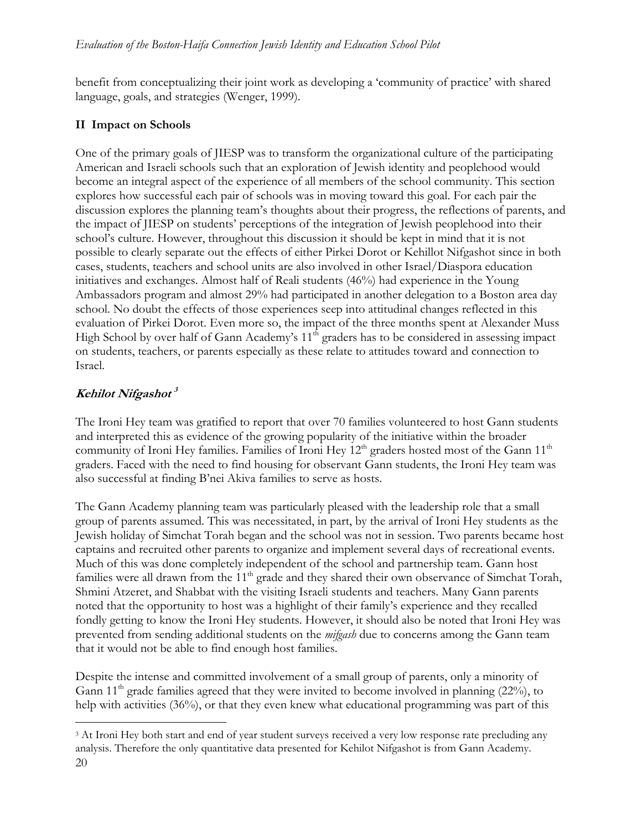benefit from conceptualizing their joint work as developing a 'community of practice' with shared language, goals, and strategies (Wenger, 1999).

### **II Impact on Schools**

One of the primary goals of JIESP was to transform the organizational culture of the participating American and Israeli schools such that an exploration of Jewish identity and peoplehood would become an integral aspect of the experience of all members of the school community. This section explores how successful each pair of schools was in moving toward this goal. For each pair the discussion explores the planning team's thoughts about their progress, the reflections of parents, and the impact of JIESP on students' perceptions of the integration of Jewish peoplehood into their school's culture. However, throughout this discussion it should be kept in mind that it is not possible to clearly separate out the effects of either Pirkei Dorot or Kehillot Nifgashot since in both cases, students, teachers and school units are also involved in other Israel/Diaspora education initiatives and exchanges. Almost half of Reali students (46%) had experience in the Young Ambassadors program and almost 29% had participated in another delegation to a Boston area day school. No doubt the effects of those experiences seep into attitudinal changes reflected in this evaluation of Pirkei Dorot. Even more so, the impact of the three months spent at Alexander Muss High School by over half of Gann Academy's  $11<sup>th</sup>$  graders has to be considered in assessing impact on students, teachers, or parents especially as these relate to attitudes toward and connection to Israel.

# **Kehilot Nifgashot <sup>3</sup>**

 $\overline{a}$ 

The Ironi Hey team was gratified to report that over 70 families volunteered to host Gann students and interpreted this as evidence of the growing popularity of the initiative within the broader community of Ironi Hey families. Families of Ironi Hey  $12<sup>th</sup>$  graders hosted most of the Gann  $11<sup>th</sup>$ graders. Faced with the need to find housing for observant Gann students, the Ironi Hey team was also successful at finding B'nei Akiva families to serve as hosts.

The Gann Academy planning team was particularly pleased with the leadership role that a small group of parents assumed. This was necessitated, in part, by the arrival of Ironi Hey students as the Jewish holiday of Simchat Torah began and the school was not in session. Two parents became host captains and recruited other parents to organize and implement several days of recreational events. Much of this was done completely independent of the school and partnership team. Gann host families were all drawn from the 11<sup>th</sup> grade and they shared their own observance of Simchat Torah, Shmini Atzeret, and Shabbat with the visiting Israeli students and teachers. Many Gann parents noted that the opportunity to host was a highlight of their family's experience and they recalled fondly getting to know the Ironi Hey students. However, it should also be noted that Ironi Hey was prevented from sending additional students on the *mifgash* due to concerns among the Gann team that it would not be able to find enough host families.

Despite the intense and committed involvement of a small group of parents, only a minority of Gann  $11<sup>th</sup>$  grade families agreed that they were invited to become involved in planning (22%), to help with activities (36%), or that they even knew what educational programming was part of this

<sup>20</sup>  <sup>3</sup> At Ironi Hey both start and end of year student surveys received a very low response rate precluding any analysis. Therefore the only quantitative data presented for Kehilot Nifgashot is from Gann Academy.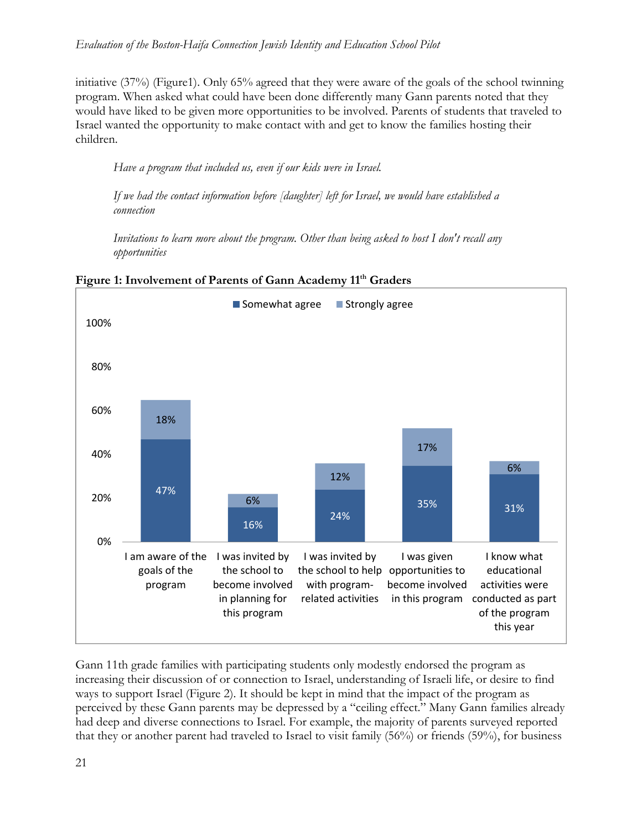initiative (37%) (Figure1). Only 65% agreed that they were aware of the goals of the school twinning program. When asked what could have been done differently many Gann parents noted that they would have liked to be given more opportunities to be involved. Parents of students that traveled to Israel wanted the opportunity to make contact with and get to know the families hosting their children.

*Have a program that included us, even if our kids were in Israel.* 

*If we had the contact information before [daughter] left for Israel, we would have established a connection* 

*Invitations to learn more about the program. Other than being asked to host I don't recall any opportunities* 



Figure 1: Involvement of Parents of Gann Academy 11<sup>th</sup> Graders

Gann 11th grade families with participating students only modestly endorsed the program as increasing their discussion of or connection to Israel, understanding of Israeli life, or desire to find ways to support Israel (Figure 2). It should be kept in mind that the impact of the program as perceived by these Gann parents may be depressed by a "ceiling effect." Many Gann families already had deep and diverse connections to Israel. For example, the majority of parents surveyed reported that they or another parent had traveled to Israel to visit family (56%) or friends (59%), for business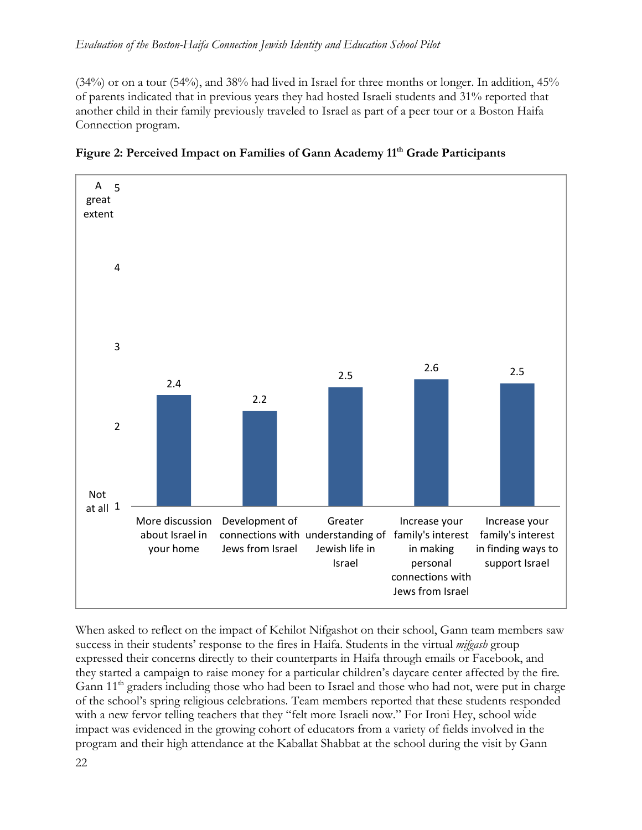(34%) or on a tour (54%), and 38% had lived in Israel for three months or longer. In addition, 45% of parents indicated that in previous years they had hosted Israeli students and 31% reported that another child in their family previously traveled to Israel as part of a peer tour or a Boston Haifa Connection program.





When asked to reflect on the impact of Kehilot Nifgashot on their school, Gann team members saw success in their students' response to the fires in Haifa. Students in the virtual *mifgash* group expressed their concerns directly to their counterparts in Haifa through emails or Facebook, and they started a campaign to raise money for a particular children's daycare center affected by the fire*.* Gann 11<sup>th</sup> graders including those who had been to Israel and those who had not, were put in charge of the school's spring religious celebrations*.* Team members reported that these students responded with a new fervor telling teachers that they "felt more Israeli now." For Ironi Hey, school wide impact was evidenced in the growing cohort of educators from a variety of fields involved in the program and their high attendance at the Kaballat Shabbat at the school during the visit by Gann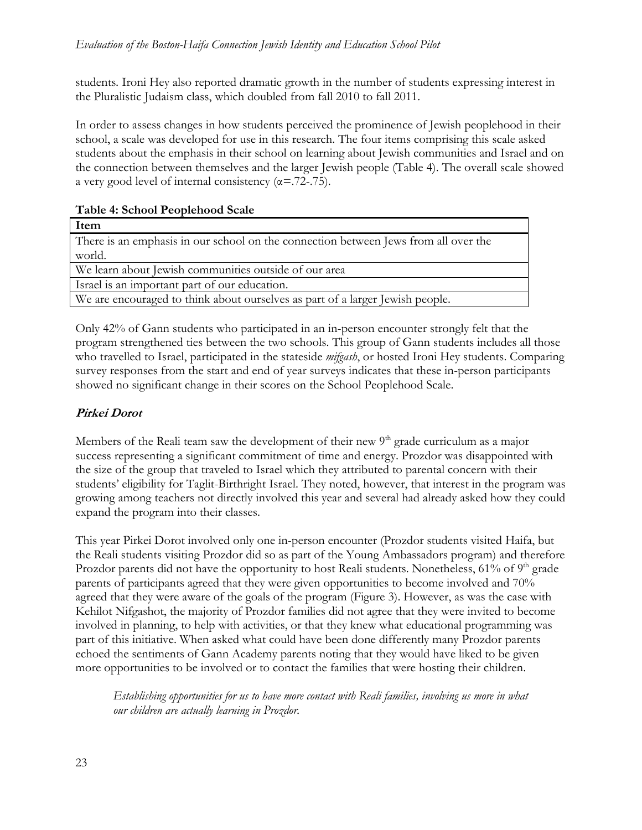students*.* Ironi Hey also reported dramatic growth in the number of students expressing interest in the Pluralistic Judaism class, which doubled from fall 2010 to fall 2011.

In order to assess changes in how students perceived the prominence of Jewish peoplehood in their school, a scale was developed for use in this research. The four items comprising this scale asked students about the emphasis in their school on learning about Jewish communities and Israel and on the connection between themselves and the larger Jewish people (Table 4). The overall scale showed a very good level of internal consistency  $(\alpha = .72-.75)$ .

**Table 4: School Peoplehood Scale** 

| Item                                                                                |
|-------------------------------------------------------------------------------------|
| There is an emphasis in our school on the connection between Jews from all over the |
| world.                                                                              |
| We learn about Jewish communities outside of our area                               |
| Israel is an important part of our education.                                       |
| We are encouraged to think about ourselves as part of a larger Jewish people.       |

Only 42% of Gann students who participated in an in-person encounter strongly felt that the program strengthened ties between the two schools. This group of Gann students includes all those who travelled to Israel, participated in the stateside *mifgash*, or hosted Ironi Hey students. Comparing survey responses from the start and end of year surveys indicates that these in-person participants showed no significant change in their scores on the School Peoplehood Scale.

# **Pirkei Dorot**

Members of the Reali team saw the development of their new  $9<sup>th</sup>$  grade curriculum as a major success representing a significant commitment of time and energy. Prozdor was disappointed with the size of the group that traveled to Israel which they attributed to parental concern with their students' eligibility for Taglit-Birthright Israel. They noted, however, that interest in the program was growing among teachers not directly involved this year and several had already asked how they could expand the program into their classes.

This year Pirkei Dorot involved only one in-person encounter (Prozdor students visited Haifa, but the Reali students visiting Prozdor did so as part of the Young Ambassadors program) and therefore Prozdor parents did not have the opportunity to host Reali students. Nonetheless,  $61\%$  of  $9<sup>th</sup>$  grade parents of participants agreed that they were given opportunities to become involved and 70% agreed that they were aware of the goals of the program (Figure 3). However, as was the case with Kehilot Nifgashot, the majority of Prozdor families did not agree that they were invited to become involved in planning, to help with activities, or that they knew what educational programming was part of this initiative. When asked what could have been done differently many Prozdor parents echoed the sentiments of Gann Academy parents noting that they would have liked to be given more opportunities to be involved or to contact the families that were hosting their children.

*Establishing opportunities for us to have more contact with Reali families, involving us more in what our children are actually learning in Prozdor.*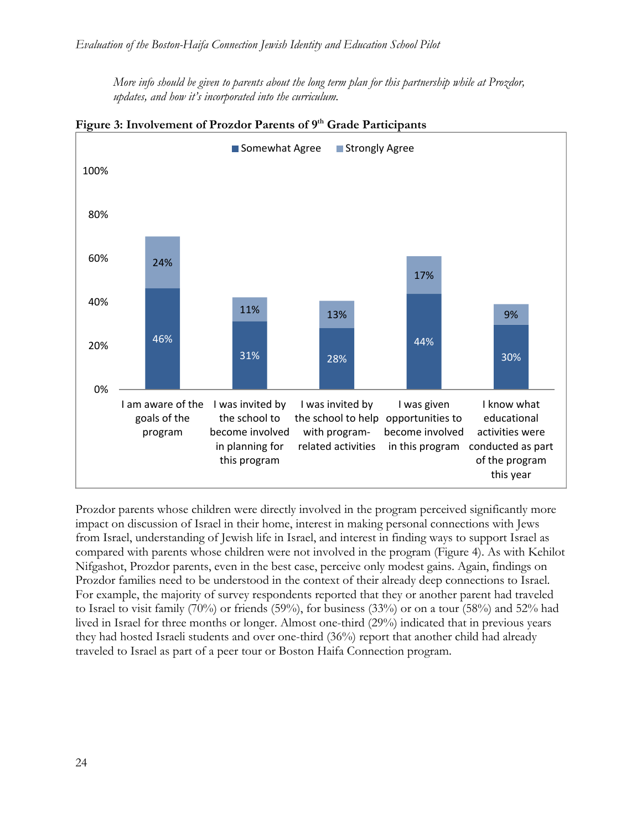*More info should be given to parents about the long term plan for this partnership while at Prozdor, updates, and how it's incorporated into the curriculum.* 



Figure 3: Involvement of Prozdor Parents of 9<sup>th</sup> Grade Participants

Prozdor parents whose children were directly involved in the program perceived significantly more impact on discussion of Israel in their home, interest in making personal connections with Jews from Israel, understanding of Jewish life in Israel, and interest in finding ways to support Israel as compared with parents whose children were not involved in the program (Figure 4). As with Kehilot Nifgashot, Prozdor parents, even in the best case, perceive only modest gains. Again, findings on Prozdor families need to be understood in the context of their already deep connections to Israel. For example, the majority of survey respondents reported that they or another parent had traveled to Israel to visit family (70%) or friends (59%), for business (33%) or on a tour (58%) and 52% had lived in Israel for three months or longer. Almost one-third (29%) indicated that in previous years they had hosted Israeli students and over one-third (36%) report that another child had already traveled to Israel as part of a peer tour or Boston Haifa Connection program.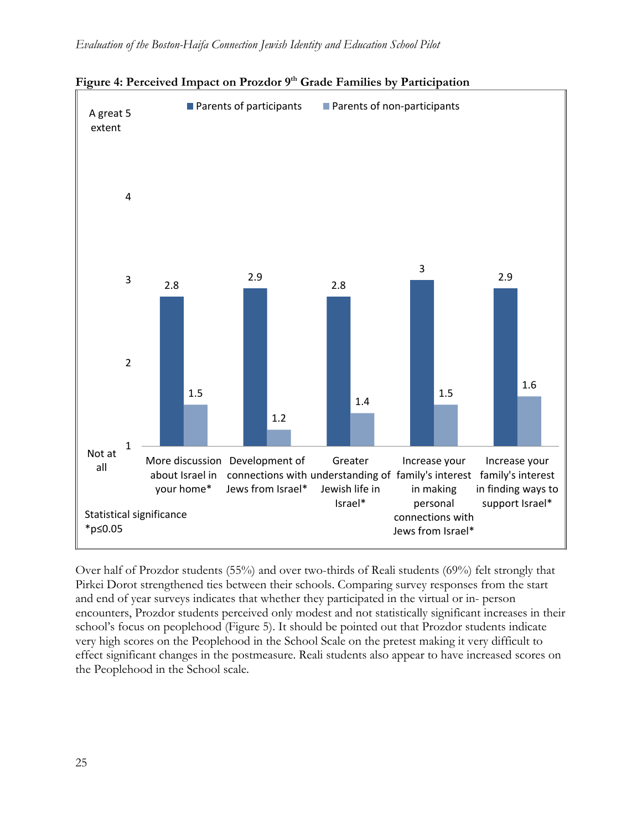



Over half of Prozdor students (55%) and over two-thirds of Reali students (69%) felt strongly that Pirkei Dorot strengthened ties between their schools. Comparing survey responses from the start and end of year surveys indicates that whether they participated in the virtual or in- person encounters, Prozdor students perceived only modest and not statistically significant increases in their school's focus on peoplehood (Figure 5). It should be pointed out that Prozdor students indicate very high scores on the Peoplehood in the School Scale on the pretest making it very difficult to effect significant changes in the postmeasure. Reali students also appear to have increased scores on the Peoplehood in the School scale.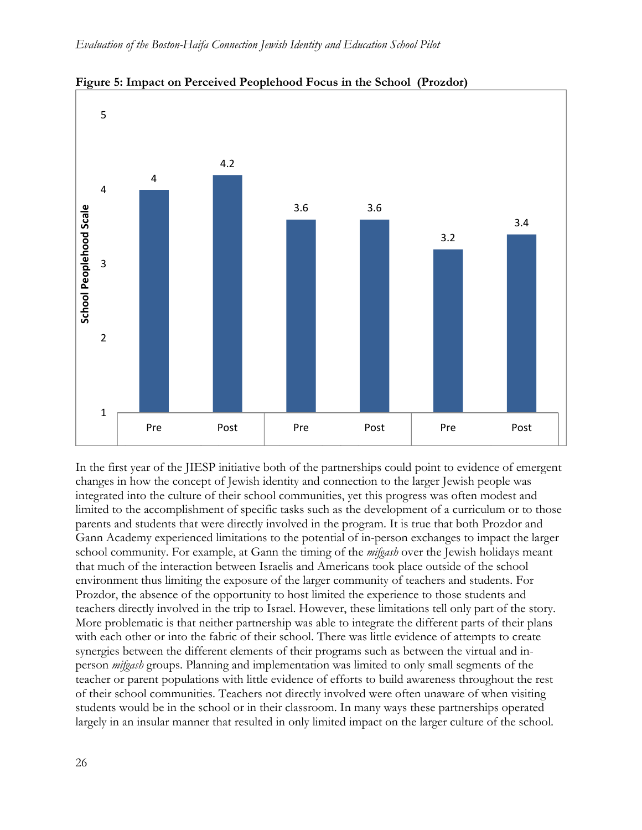

**Figure 5: Impact on Perceived Peoplehood Focus in the School (Prozdor)** 

In the first year of the JIESP initiative both of the partnerships could point to evidence of emergent changes in how the concept of Jewish identity and connection to the larger Jewish people was integrated into the culture of their school communities, yet this progress was often modest and limited to the accomplishment of specific tasks such as the development of a curriculum or to those parents and students that were directly involved in the program. It is true that both Prozdor and Gann Academy experienced limitations to the potential of in-person exchanges to impact the larger school community. For example, at Gann the timing of the *mifgash* over the Jewish holidays meant that much of the interaction between Israelis and Americans took place outside of the school environment thus limiting the exposure of the larger community of teachers and students. For Prozdor, the absence of the opportunity to host limited the experience to those students and teachers directly involved in the trip to Israel. However, these limitations tell only part of the story. More problematic is that neither partnership was able to integrate the different parts of their plans with each other or into the fabric of their school. There was little evidence of attempts to create synergies between the different elements of their programs such as between the virtual and inperson *mifgash* groups. Planning and implementation was limited to only small segments of the teacher or parent populations with little evidence of efforts to build awareness throughout the rest of their school communities. Teachers not directly involved were often unaware of when visiting students would be in the school or in their classroom. In many ways these partnerships operated largely in an insular manner that resulted in only limited impact on the larger culture of the school.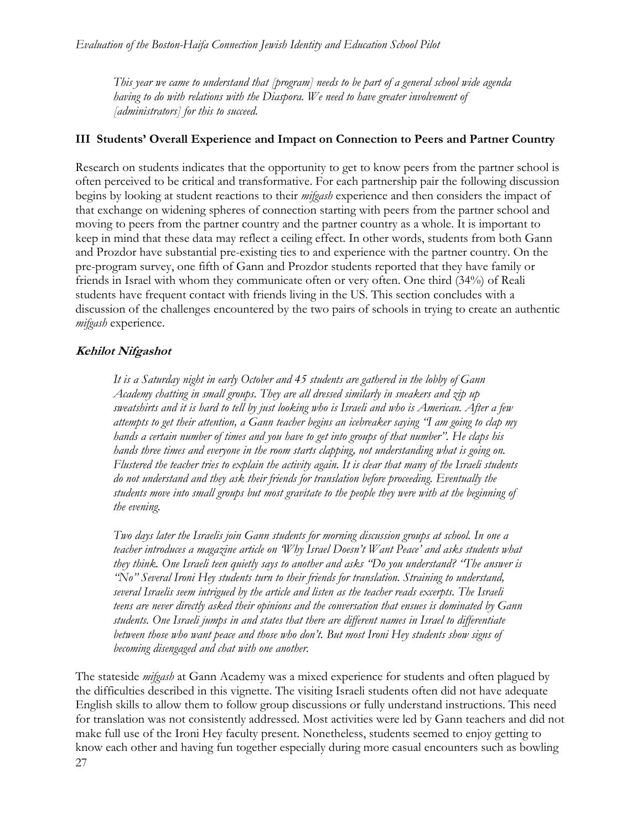*This year we came to understand that [program] needs to be part of a general school wide agenda having to do with relations with the Diaspora. We need to have greater involvement of [administrators] for this to succeed.* 

### **III Students' Overall Experience and Impact on Connection to Peers and Partner Country**

Research on students indicates that the opportunity to get to know peers from the partner school is often perceived to be critical and transformative. For each partnership pair the following discussion begins by looking at student reactions to their *mifgash* experience and then considers the impact of that exchange on widening spheres of connection starting with peers from the partner school and moving to peers from the partner country and the partner country as a whole. It is important to keep in mind that these data may reflect a ceiling effect. In other words, students from both Gann and Prozdor have substantial pre-existing ties to and experience with the partner country. On the pre-program survey, one fifth of Gann and Prozdor students reported that they have family or friends in Israel with whom they communicate often or very often. One third (34%) of Reali students have frequent contact with friends living in the US. This section concludes with a discussion of the challenges encountered by the two pairs of schools in trying to create an authentic *mifgash* experience.

### **Kehilot Nifgashot**

*It is a Saturday night in early October and 45 students are gathered in the lobby of Gann Academy chatting in small groups. They are all dressed similarly in sneakers and zip up sweatshirts and it is hard to tell by just looking who is Israeli and who is American. After a few attempts to get their attention, a Gann teacher begins an icebreaker saying "I am going to clap my hands a certain number of times and you have to get into groups of that number". He claps his hands three times and everyone in the room starts clapping, not understanding what is going on. Flustered the teacher tries to explain the activity again. It is clear that many of the Israeli students do not understand and they ask their friends for translation before proceeding. Eventually the students move into small groups but most gravitate to the people they were with at the beginning of the evening.* 

*Two days later the Israelis join Gann students for morning discussion groups at school. In one a teacher introduces a magazine article on 'Why Israel Doesn't Want Peace' and asks students what they think. One Israeli teen quietly says to another and asks "Do you understand? "The answer is "No" Several Ironi Hey students turn to their friends for translation. Straining to understand, several Israelis seem intrigued by the article and listen as the teacher reads excerpts. The Israeli teens are never directly asked their opinions and the conversation that ensues is dominated by Gann students. One Israeli jumps in and states that there are different names in Israel to differentiate between those who want peace and those who don't. But most Ironi Hey students show signs of becoming disengaged and chat with one another.* 

27 The stateside *mifgash* at Gann Academy was a mixed experience for students and often plagued by the difficulties described in this vignette. The visiting Israeli students often did not have adequate English skills to allow them to follow group discussions or fully understand instructions. This need for translation was not consistently addressed. Most activities were led by Gann teachers and did not make full use of the Ironi Hey faculty present. Nonetheless, students seemed to enjoy getting to know each other and having fun together especially during more casual encounters such as bowling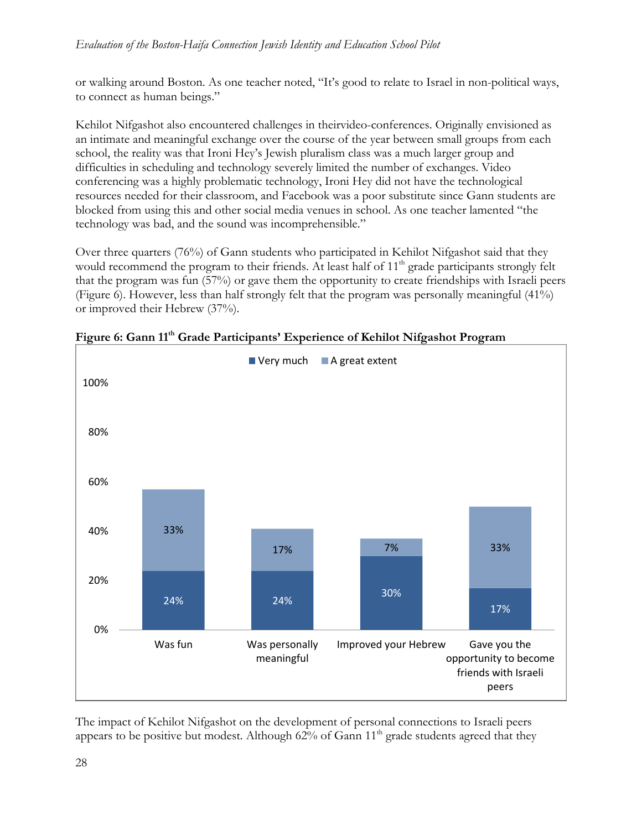or walking around Boston. As one teacher noted, "It's good to relate to Israel in non-political ways, to connect as human beings."

Kehilot Nifgashot also encountered challenges in theirvideo-conferences. Originally envisioned as an intimate and meaningful exchange over the course of the year between small groups from each school, the reality was that Ironi Hey's Jewish pluralism class was a much larger group and difficulties in scheduling and technology severely limited the number of exchanges. Video conferencing was a highly problematic technology, Ironi Hey did not have the technological resources needed for their classroom, and Facebook was a poor substitute since Gann students are blocked from using this and other social media venues in school. As one teacher lamented "the technology was bad, and the sound was incomprehensible."

Over three quarters (76%) of Gann students who participated in Kehilot Nifgashot said that they would recommend the program to their friends. At least half of  $11<sup>th</sup>$  grade participants strongly felt that the program was fun (57%) or gave them the opportunity to create friendships with Israeli peers (Figure 6). However, less than half strongly felt that the program was personally meaningful (41%) or improved their Hebrew (37%).



Figure 6: Gann 11<sup>th</sup> Grade Participants' Experience of Kehilot Nifgashot Program

The impact of Kehilot Nifgashot on the development of personal connections to Israeli peers appears to be positive but modest. Although  $62\%$  of Gann  $11<sup>th</sup>$  grade students agreed that they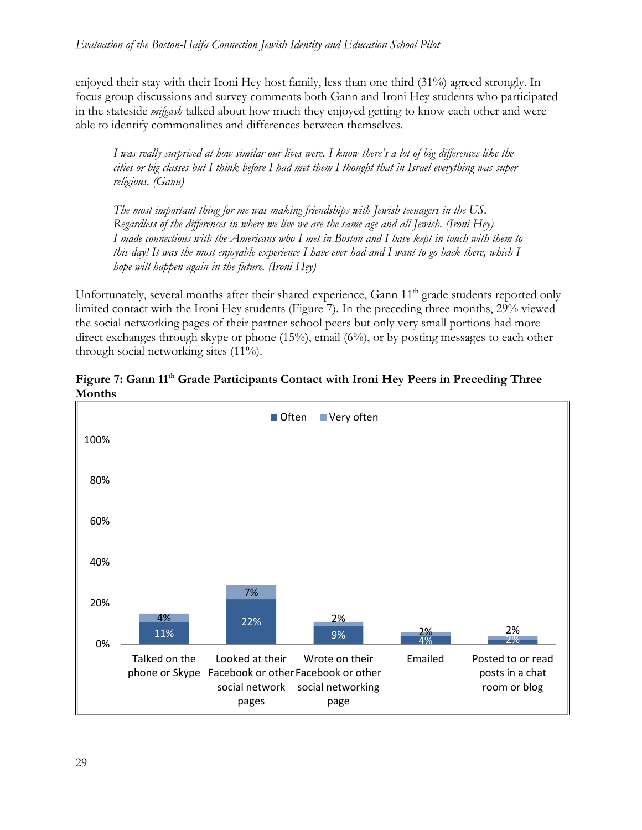enjoyed their stay with their Ironi Hey host family, less than one third (31%) agreed strongly. In focus group discussions and survey comments both Gann and Ironi Hey students who participated in the stateside *mifgash* talked about how much they enjoyed getting to know each other and were able to identify commonalities and differences between themselves.

*I was really surprised at how similar our lives were. I know there's a lot of big differences like the cities or big classes but I think before I had met them I thought that in Israel everything was super religious. (Gann)* 

*The most important thing for me was making friendships with Jewish teenagers in the US. Regardless of the differences in where we live we are the same age and all Jewish. (Ironi Hey) I made connections with the Americans who I met in Boston and I have kept in touch with them to this day! It was the most enjoyable experience I have ever had and I want to go back there, which I hope will happen again in the future. (Ironi Hey)* 

Unfortunately, several months after their shared experience, Gann 11<sup>th</sup> grade students reported only limited contact with the Ironi Hey students (Figure 7). In the preceding three months, 29% viewed the social networking pages of their partner school peers but only very small portions had more direct exchanges through skype or phone (15%), email (6%), or by posting messages to each other through social networking sites (11%).



Figure 7: Gann 11<sup>th</sup> Grade Participants Contact with Ironi Hey Peers in Preceding Three **Months**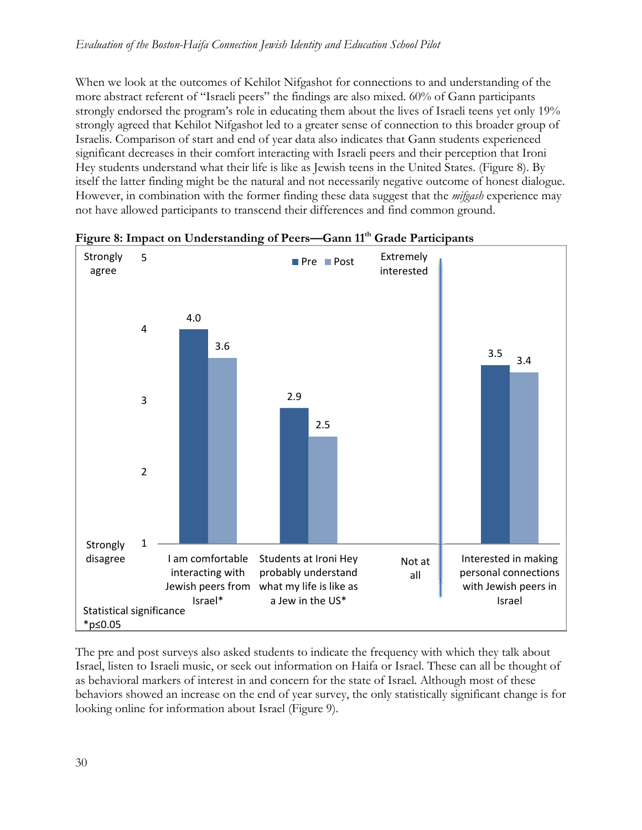When we look at the outcomes of Kehilot Nifgashot for connections to and understanding of the more abstract referent of "Israeli peers" the findings are also mixed. 60% of Gann participants strongly endorsed the program's role in educating them about the lives of Israeli teens yet only 19% strongly agreed that Kehilot Nifgashot led to a greater sense of connection to this broader group of Israelis. Comparison of start and end of year data also indicates that Gann students experienced significant decreases in their comfort interacting with Israeli peers and their perception that Ironi Hey students understand what their life is like as Jewish teens in the United States. (Figure 8). By itself the latter finding might be the natural and not necessarily negative outcome of honest dialogue. However, in combination with the former finding these data suggest that the *mifgash* experience may not have allowed participants to transcend their differences and find common ground.



Figure 8: Impact on Understanding of Peers—Gann 11<sup>th</sup> Grade Participants

The pre and post surveys also asked students to indicate the frequency with which they talk about Israel, listen to Israeli music, or seek out information on Haifa or Israel. These can all be thought of as behavioral markers of interest in and concern for the state of Israel. Although most of these behaviors showed an increase on the end of year survey, the only statistically significant change is for looking online for information about Israel (Figure 9).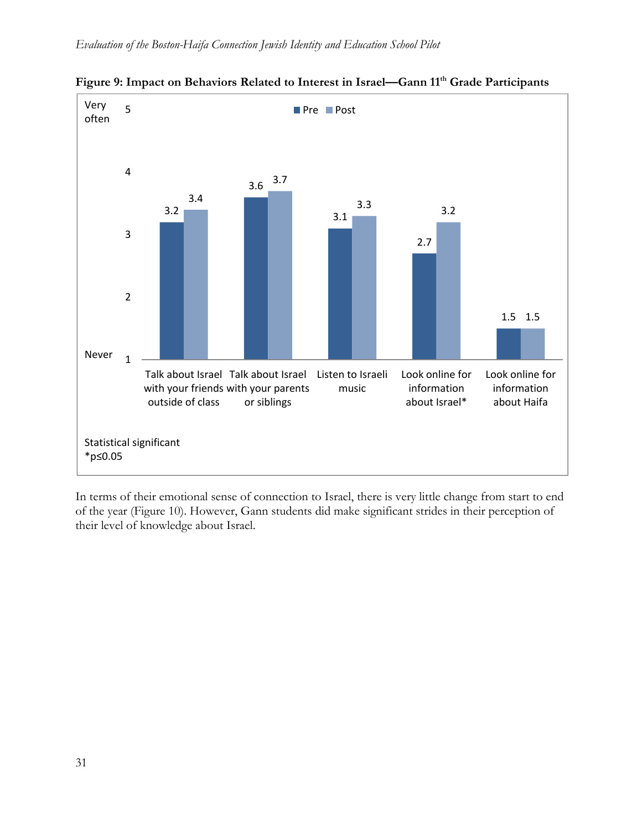

Figure 9: Impact on Behaviors Related to Interest in Israel—Gann 11<sup>th</sup> Grade Participants

In terms of their emotional sense of connection to Israel, there is very little change from start to end of the year (Figure 10). However, Gann students did make significant strides in their perception of their level of knowledge about Israel.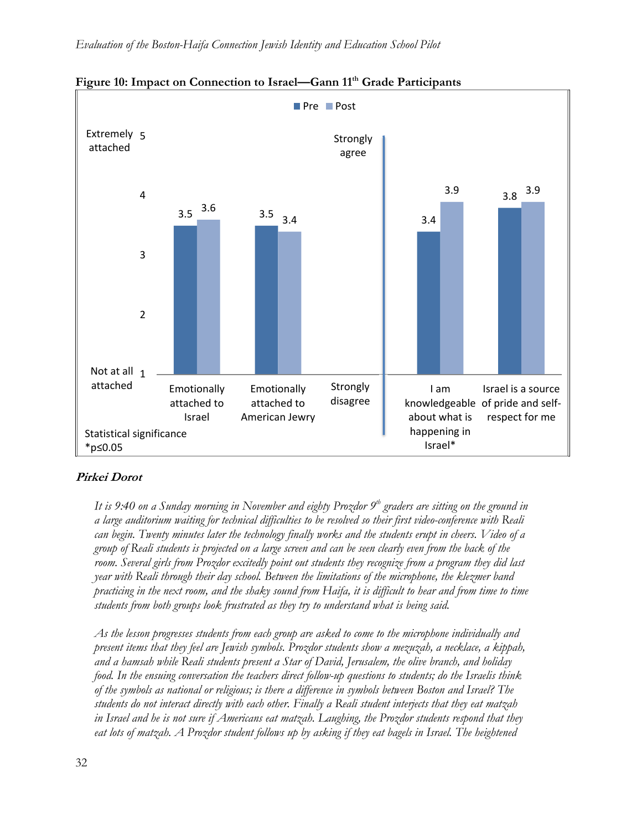

Figure 10: Impact on Connection to Israel—Gann 11<sup>th</sup> Grade Participants

### **Pirkei Dorot**

It is 9:40 on a Sunday morning in November and eighty Prozdor 9<sup>th</sup> graders are sitting on the ground in *a large auditorium waiting for technical difficulties to be resolved so their first video-conference with Reali can begin. Twenty minutes later the technology finally works and the students erupt in cheers. Video of a group of Reali students is projected on a large screen and can be seen clearly even from the back of the room. Several girls from Prozdor excitedly point out students they recognize from a program they did last year with Reali through their day school. Between the limitations of the microphone, the klezmer band practicing in the next room, and the shaky sound from Haifa, it is difficult to hear and from time to time students from both groups look frustrated as they try to understand what is being said.* 

*As the lesson progresses students from each group are asked to come to the microphone individually and present items that they feel are Jewish symbols. Prozdor students show a mezuzah, a necklace, a kippah, and a hamsah while Reali students present a Star of David, Jerusalem, the olive branch, and holiday food. In the ensuing conversation the teachers direct follow-up questions to students; do the Israelis think of the symbols as national or religious; is there a difference in symbols between Boston and Israel? The students do not interact directly with each other. Finally a Reali student interjects that they eat matzah in Israel and he is not sure if Americans eat matzah. Laughing, the Prozdor students respond that they*  eat lots of matzah. A Prozdor student follows up by asking if they eat bagels in Israel. The heightened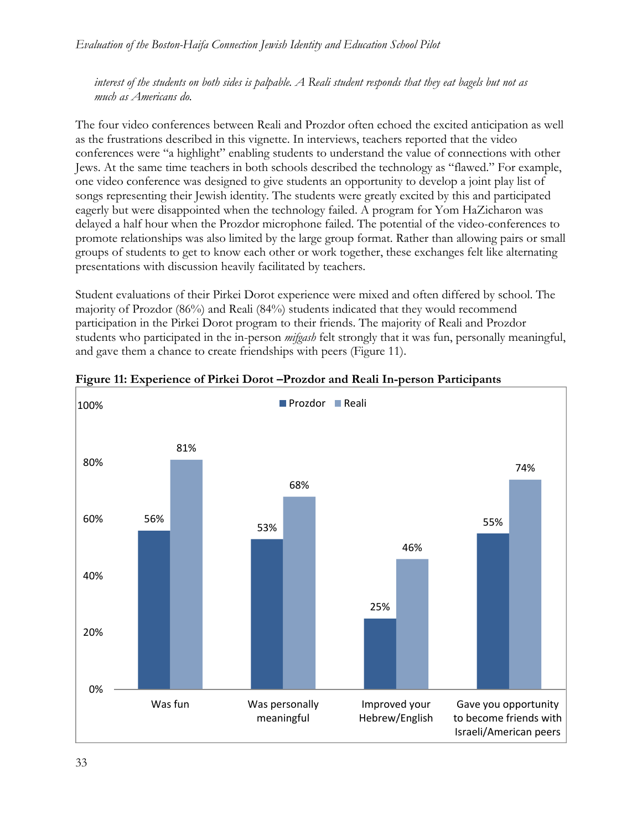*interest of the students on both sides is palpable. A Reali student responds that they eat bagels but not as much as Americans do.* 

The four video conferences between Reali and Prozdor often echoed the excited anticipation as well as the frustrations described in this vignette. In interviews, teachers reported that the video conferences were "a highlight" enabling students to understand the value of connections with other Jews. At the same time teachers in both schools described the technology as "flawed." For example, one video conference was designed to give students an opportunity to develop a joint play list of songs representing their Jewish identity. The students were greatly excited by this and participated eagerly but were disappointed when the technology failed. A program for Yom HaZicharon was delayed a half hour when the Prozdor microphone failed. The potential of the video-conferences to promote relationships was also limited by the large group format. Rather than allowing pairs or small groups of students to get to know each other or work together, these exchanges felt like alternating presentations with discussion heavily facilitated by teachers.

Student evaluations of their Pirkei Dorot experience were mixed and often differed by school. The majority of Prozdor (86%) and Reali (84%) students indicated that they would recommend participation in the Pirkei Dorot program to their friends. The majority of Reali and Prozdor students who participated in the in-person *mifgash* felt strongly that it was fun, personally meaningful, and gave them a chance to create friendships with peers (Figure 11).



**Figure 11: Experience of Pirkei Dorot –Prozdor and Reali In-person Participants**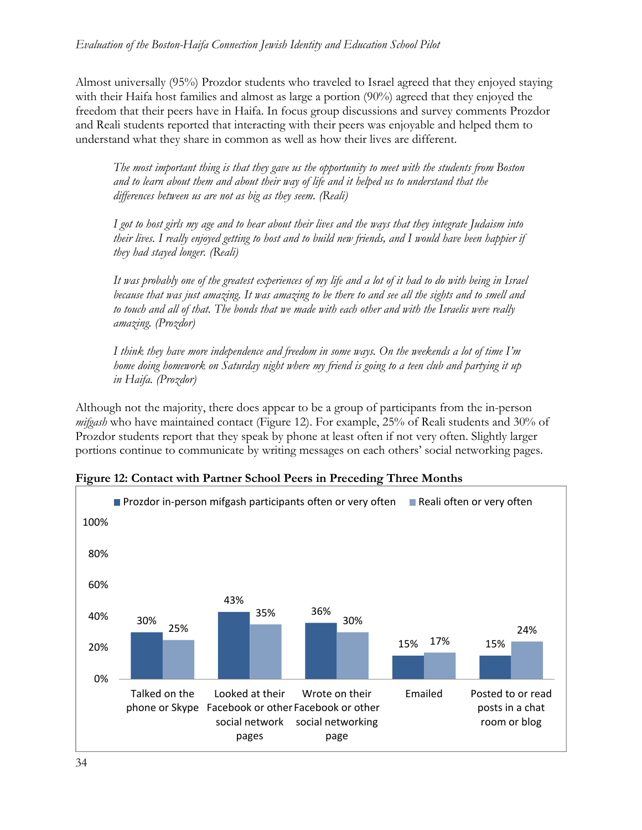Almost universally (95%) Prozdor students who traveled to Israel agreed that they enjoyed staying with their Haifa host families and almost as large a portion (90%) agreed that they enjoyed the freedom that their peers have in Haifa. In focus group discussions and survey comments Prozdor and Reali students reported that interacting with their peers was enjoyable and helped them to understand what they share in common as well as how their lives are different.

*The most important thing is that they gave us the opportunity to meet with the students from Boston and to learn about them and about their way of life and it helped us to understand that the differences between us are not as big as they seem. (Reali)* 

*I got to host girls my age and to hear about their lives and the ways that they integrate Judaism into their lives. I really enjoyed getting to host and to build new friends, and I would have been happier if they had stayed longer. (Reali)* 

*It was probably one of the greatest experiences of my life and a lot of it had to do with being in Israel because that was just amazing. It was amazing to be there to and see all the sights and to smell and to touch and all of that. The bonds that we made with each other and with the Israelis were really amazing. (Prozdor)* 

*I think they have more independence and freedom in some ways. On the weekends a lot of time I'm home doing homework on Saturday night where my friend is going to a teen club and partying it up in Haifa. (Prozdor)* 

Although not the majority, there does appear to be a group of participants from the in-person *mifgash* who have maintained contact (Figure 12). For example, 25% of Reali students and 30% of Prozdor students report that they speak by phone at least often if not very often. Slightly larger portions continue to communicate by writing messages on each others' social networking pages.



**Figure 12: Contact with Partner School Peers in Preceding Three Months**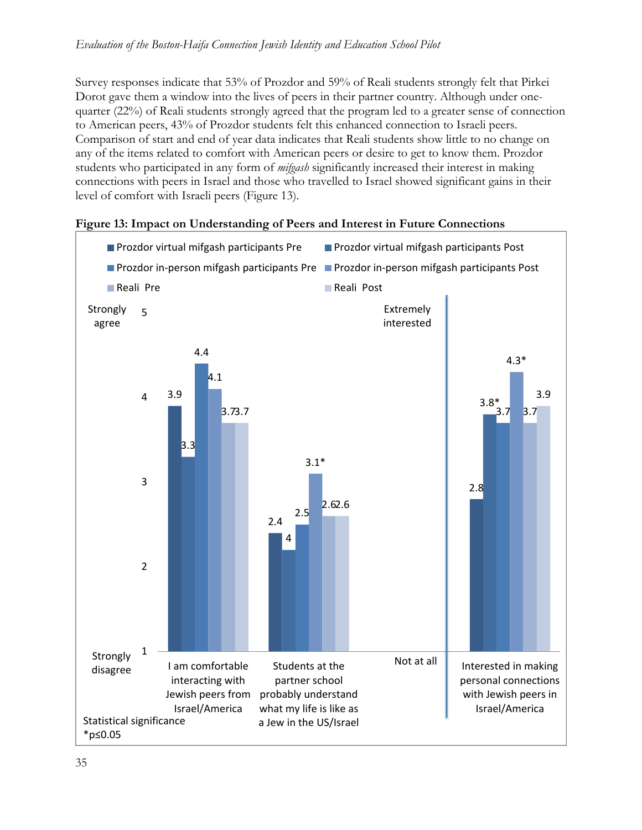Survey responses indicate that 53% of Prozdor and 59% of Reali students strongly felt that Pirkei Dorot gave them a window into the lives of peers in their partner country. Although under onequarter (22%) of Reali students strongly agreed that the program led to a greater sense of connection to American peers, 43% of Prozdor students felt this enhanced connection to Israeli peers. Comparison of start and end of year data indicates that Reali students show little to no change on any of the items related to comfort with American peers or desire to get to know them. Prozdor students who participated in any form of *mifgash* significantly increased their interest in making connections with peers in Israel and those who travelled to Israel showed significant gains in their level of comfort with Israeli peers (Figure 13).



#### **Figure 13: Impact on Understanding of Peers and Interest in Future Connections**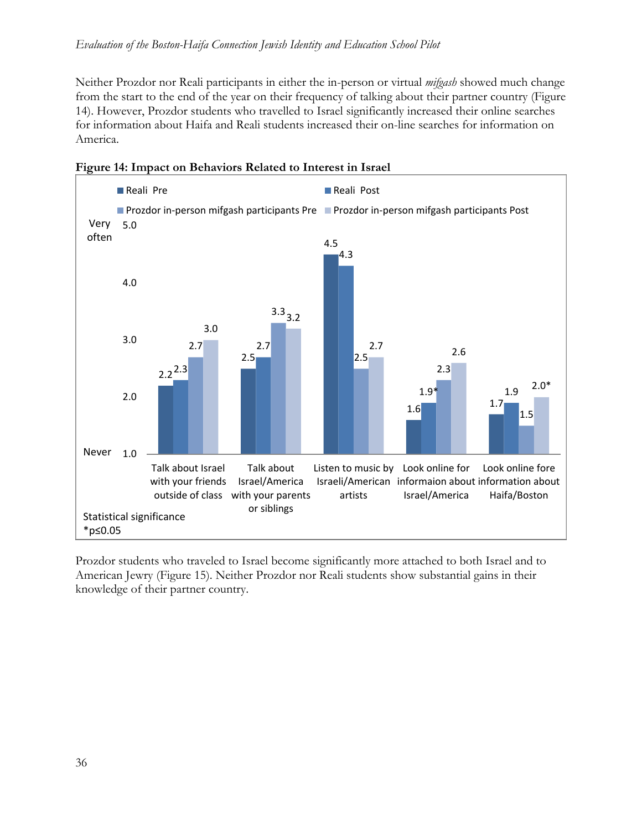Neither Prozdor nor Reali participants in either the in-person or virtual *mifgash* showed much change from the start to the end of the year on their frequency of talking about their partner country (Figure 14). However, Prozdor students who travelled to Israel significantly increased their online searches for information about Haifa and Reali students increased their on-line searches for information on America.





Prozdor students who traveled to Israel become significantly more attached to both Israel and to American Jewry (Figure 15). Neither Prozdor nor Reali students show substantial gains in their knowledge of their partner country.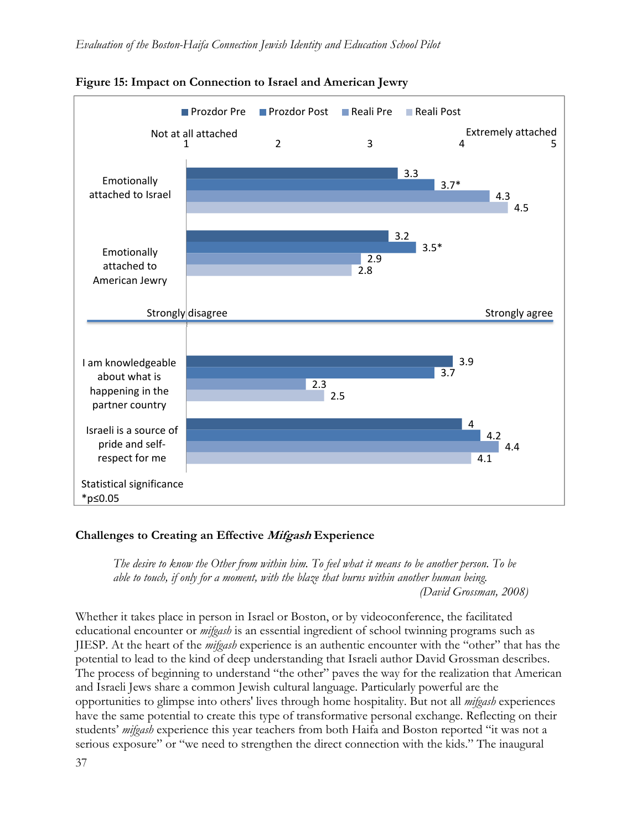

**Figure 15: Impact on Connection to Israel and American Jewry** 

### **Challenges to Creating an Effective Mifgash Experience**

*The desire to know the Other from within him. To feel what it means to be another person. To be able to touch, if only for a moment, with the blaze that burns within another human being. (David Grossman, 2008)* 

Whether it takes place in person in Israel or Boston, or by videoconference, the facilitated educational encounter or *mifgash* is an essential ingredient of school twinning programs such as JIESP. At the heart of the *mifgash* experience is an authentic encounter with the "other" that has the potential to lead to the kind of deep understanding that Israeli author David Grossman describes. The process of beginning to understand "the other" paves the way for the realization that American and Israeli Jews share a common Jewish cultural language. Particularly powerful are the opportunities to glimpse into others' lives through home hospitality. But not all *mifgash* experiences have the same potential to create this type of transformative personal exchange. Reflecting on their students' *mifgash* experience this year teachers from both Haifa and Boston reported "it was not a serious exposure" or "we need to strengthen the direct connection with the kids." The inaugural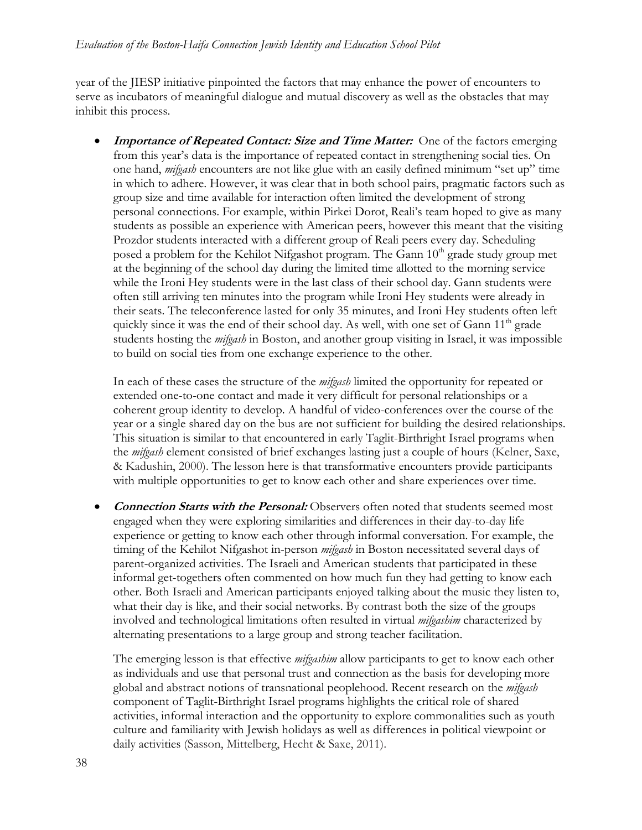year of the JIESP initiative pinpointed the factors that may enhance the power of encounters to serve as incubators of meaningful dialogue and mutual discovery as well as the obstacles that may inhibit this process.

**Importance of Repeated Contact: Size and Time Matter:** One of the factors emerging from this year's data is the importance of repeated contact in strengthening social ties. On one hand, *mifgash* encounters are not like glue with an easily defined minimum "set up" time in which to adhere. However, it was clear that in both school pairs, pragmatic factors such as group size and time available for interaction often limited the development of strong personal connections. For example, within Pirkei Dorot, Reali's team hoped to give as many students as possible an experience with American peers, however this meant that the visiting Prozdor students interacted with a different group of Reali peers every day. Scheduling posed a problem for the Kehilot Nifgashot program. The Gann 10<sup>th</sup> grade study group met at the beginning of the school day during the limited time allotted to the morning service while the Ironi Hey students were in the last class of their school day. Gann students were often still arriving ten minutes into the program while Ironi Hey students were already in their seats. The teleconference lasted for only 35 minutes, and Ironi Hey students often left quickly since it was the end of their school day. As well, with one set of Gann  $11<sup>th</sup>$  grade students hosting the *mifgash* in Boston, and another group visiting in Israel, it was impossible to build on social ties from one exchange experience to the other.

In each of these cases the structure of the *mifgash* limited the opportunity for repeated or extended one-to-one contact and made it very difficult for personal relationships or a coherent group identity to develop. A handful of video-conferences over the course of the year or a single shared day on the bus are not sufficient for building the desired relationships. This situation is similar to that encountered in early Taglit-Birthright Israel programs when the *mifgash* element consisted of brief exchanges lasting just a couple of hours (Kelner, Saxe, & Kadushin, 2000). The lesson here is that transformative encounters provide participants with multiple opportunities to get to know each other and share experiences over time.

 **Connection Starts with the Personal:** Observers often noted that students seemed most engaged when they were exploring similarities and differences in their day-to-day life experience or getting to know each other through informal conversation. For example, the timing of the Kehilot Nifgashot in-person *mifgash* in Boston necessitated several days of parent-organized activities. The Israeli and American students that participated in these informal get-togethers often commented on how much fun they had getting to know each other. Both Israeli and American participants enjoyed talking about the music they listen to, what their day is like, and their social networks. By contrast both the size of the groups involved and technological limitations often resulted in virtual *mifgashim* characterized by alternating presentations to a large group and strong teacher facilitation.

The emerging lesson is that effective *mifgashim* allow participants to get to know each other as individuals and use that personal trust and connection as the basis for developing more global and abstract notions of transnational peoplehood. Recent research on the *mifgash* component of Taglit-Birthright Israel programs highlights the critical role of shared activities, informal interaction and the opportunity to explore commonalities such as youth culture and familiarity with Jewish holidays as well as differences in political viewpoint or daily activities (Sasson, Mittelberg, Hecht & Saxe, 2011).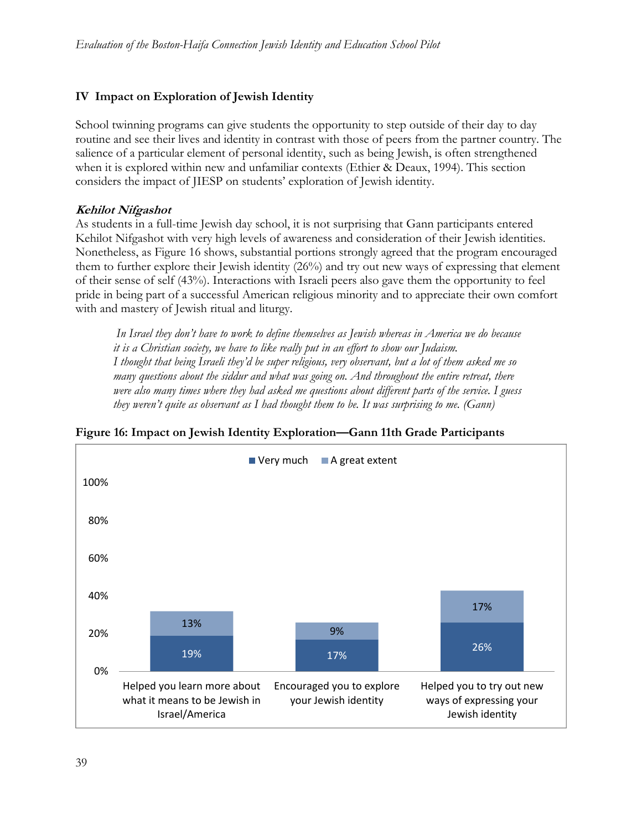## **IV Impact on Exploration of Jewish Identity**

School twinning programs can give students the opportunity to step outside of their day to day routine and see their lives and identity in contrast with those of peers from the partner country. The salience of a particular element of personal identity, such as being Jewish, is often strengthened when it is explored within new and unfamiliar contexts (Ethier & Deaux, 1994). This section considers the impact of JIESP on students' exploration of Jewish identity.

### **Kehilot Nifgashot**

As students in a full-time Jewish day school, it is not surprising that Gann participants entered Kehilot Nifgashot with very high levels of awareness and consideration of their Jewish identities. Nonetheless, as Figure 16 shows, substantial portions strongly agreed that the program encouraged them to further explore their Jewish identity (26%) and try out new ways of expressing that element of their sense of self (43%). Interactions with Israeli peers also gave them the opportunity to feel pride in being part of a successful American religious minority and to appreciate their own comfort with and mastery of Jewish ritual and liturgy.

 *In Israel they don't have to work to define themselves as Jewish whereas in America we do because it is a Christian society, we have to like really put in an effort to show our Judaism. I thought that being Israeli they'd be super religious, very observant, but a lot of them asked me so many questions about the siddur and what was going on. And throughout the entire retreat, there were also many times where they had asked me questions about different parts of the service. I guess they weren't quite as observant as I had thought them to be. It was surprising to me. (Gann)* 



### **Figure 16: Impact on Jewish Identity Exploration—Gann 11th Grade Participants**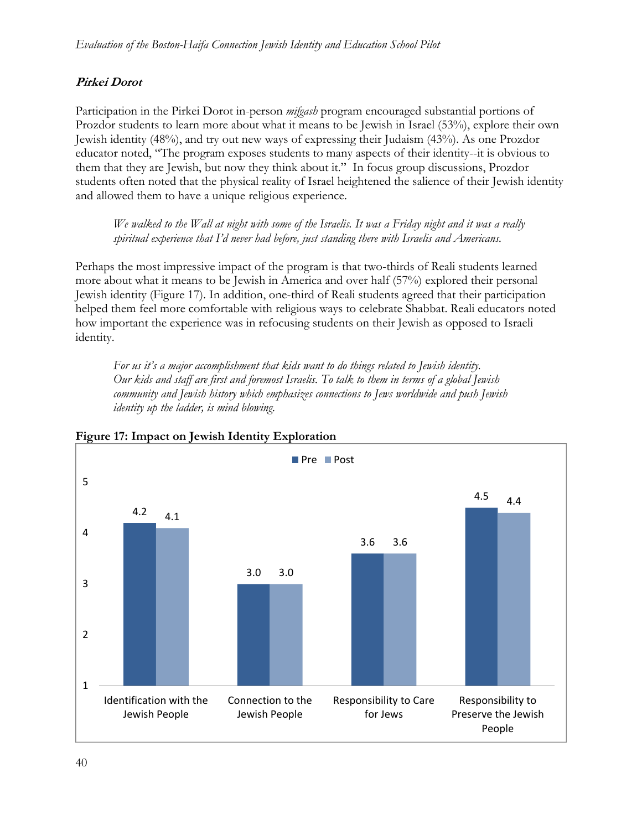# **Pirkei Dorot**

Participation in the Pirkei Dorot in-person *mifgash* program encouraged substantial portions of Prozdor students to learn more about what it means to be Jewish in Israel (53%), explore their own Jewish identity (48%), and try out new ways of expressing their Judaism (43%). As one Prozdor educator noted, "The program exposes students to many aspects of their identity--it is obvious to them that they are Jewish, but now they think about it."In focus group discussions, Prozdor students often noted that the physical reality of Israel heightened the salience of their Jewish identity and allowed them to have a unique religious experience.

*We walked to the Wall at night with some of the Israelis. It was a Friday night and it was a really spiritual experience that I'd never had before, just standing there with Israelis and Americans.* 

Perhaps the most impressive impact of the program is that two-thirds of Reali students learned more about what it means to be Jewish in America and over half (57%) explored their personal Jewish identity (Figure 17). In addition, one-third of Reali students agreed that their participation helped them feel more comfortable with religious ways to celebrate Shabbat. Reali educators noted how important the experience was in refocusing students on their Jewish as opposed to Israeli identity.

*For us it's a major accomplishment that kids want to do things related to Jewish identity. Our kids and staff are first and foremost Israelis. To talk to them in terms of a global Jewish community and Jewish history which emphasizes connections to Jews worldwide and push Jewish identity up the ladder, is mind blowing.* 



**Figure 17: Impact on Jewish Identity Exploration**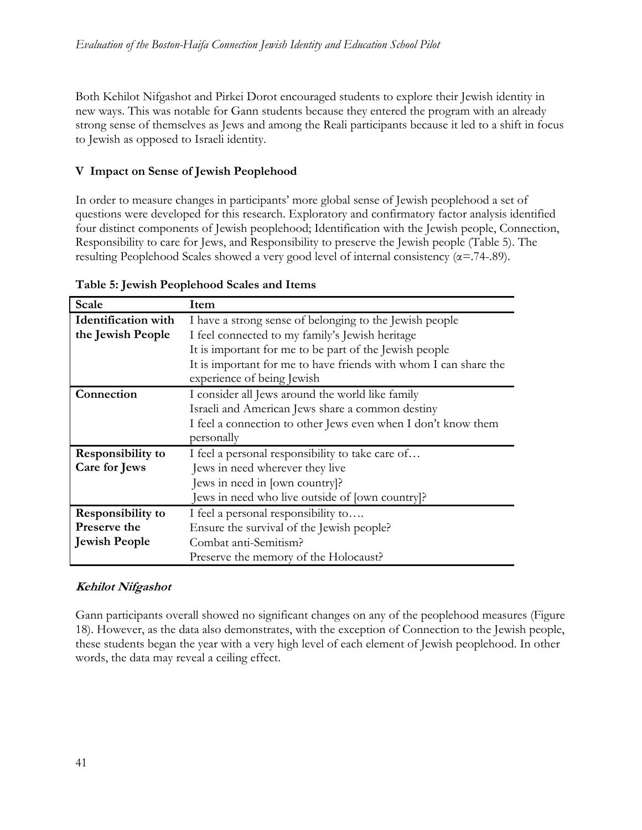Both Kehilot Nifgashot and Pirkei Dorot encouraged students to explore their Jewish identity in new ways. This was notable for Gann students because they entered the program with an already strong sense of themselves as Jews and among the Reali participants because it led to a shift in focus to Jewish as opposed to Israeli identity.

# **V Impact on Sense of Jewish Peoplehood**

In order to measure changes in participants' more global sense of Jewish peoplehood a set of questions were developed for this research. Exploratory and confirmatory factor analysis identified four distinct components of Jewish peoplehood; Identification with the Jewish people, Connection, Responsibility to care for Jews, and Responsibility to preserve the Jewish people (Table 5). The resulting Peoplehood Scales showed a very good level of internal consistency ( $\alpha$ =.74-.89).

| <b>Scale</b>               | Item                                                             |
|----------------------------|------------------------------------------------------------------|
| <b>Identification</b> with | I have a strong sense of belonging to the Jewish people          |
| the Jewish People          | I feel connected to my family's Jewish heritage                  |
|                            | It is important for me to be part of the Jewish people           |
|                            | It is important for me to have friends with whom I can share the |
|                            | experience of being Jewish                                       |
| Connection                 | I consider all Jews around the world like family                 |
|                            | Israeli and American Jews share a common destiny                 |
|                            | I feel a connection to other Jews even when I don't know them    |
|                            | personally                                                       |
| <b>Responsibility to</b>   | I feel a personal responsibility to take care of                 |
| Care for Jews              | Jews in need wherever they live                                  |
|                            | Jews in need in [own country]?                                   |
|                            | Jews in need who live outside of [own country]?                  |
| <b>Responsibility to</b>   | I feel a personal responsibility to                              |
| Preserve the               | Ensure the survival of the Jewish people?                        |
| <b>Jewish People</b>       | Combat anti-Semitism?                                            |
|                            | Preserve the memory of the Holocaust?                            |

### **Table 5: Jewish Peoplehood Scales and Items**

# **Kehilot Nifgashot**

Gann participants overall showed no significant changes on any of the peoplehood measures (Figure 18). However, as the data also demonstrates, with the exception of Connection to the Jewish people, these students began the year with a very high level of each element of Jewish peoplehood. In other words, the data may reveal a ceiling effect.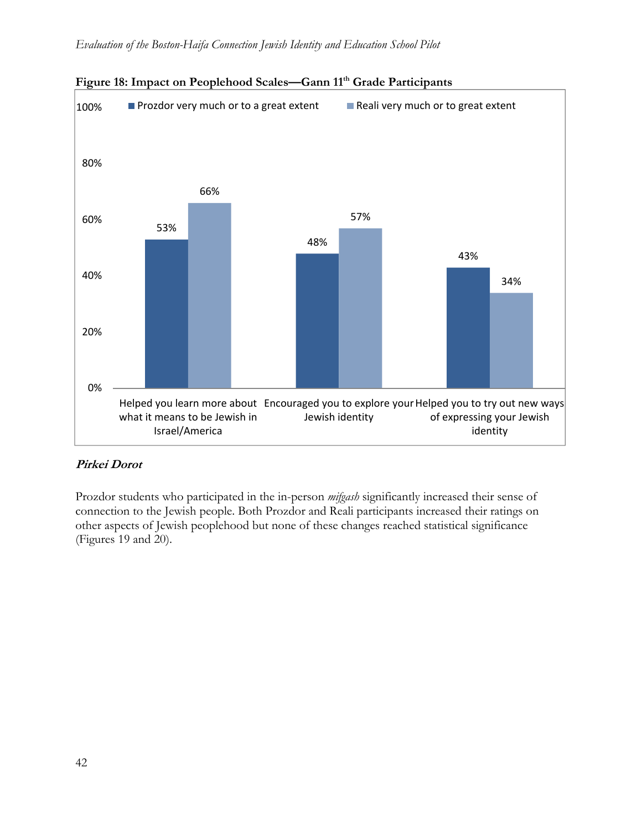

# Figure 18: Impact on Peoplehood Scales—Gann 11<sup>th</sup> Grade Participants

### **Pirkei Dorot**

Prozdor students who participated in the in-person *mifgash* significantly increased their sense of connection to the Jewish people. Both Prozdor and Reali participants increased their ratings on other aspects of Jewish peoplehood but none of these changes reached statistical significance (Figures 19 and 20).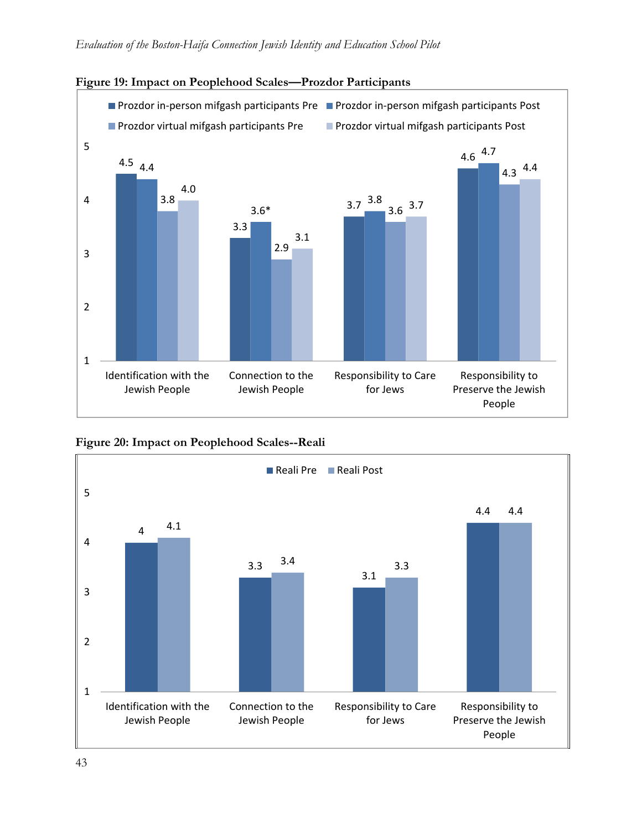

### **Figure 19: Impact on Peoplehood Scales—Prozdor Participants**



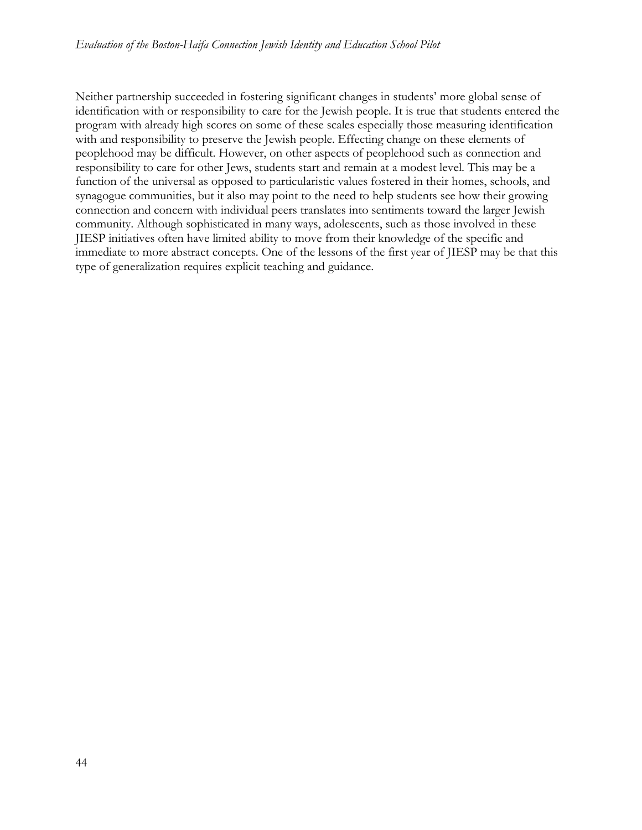Neither partnership succeeded in fostering significant changes in students' more global sense of identification with or responsibility to care for the Jewish people. It is true that students entered the program with already high scores on some of these scales especially those measuring identification with and responsibility to preserve the Jewish people. Effecting change on these elements of peoplehood may be difficult. However, on other aspects of peoplehood such as connection and responsibility to care for other Jews, students start and remain at a modest level. This may be a function of the universal as opposed to particularistic values fostered in their homes, schools, and synagogue communities, but it also may point to the need to help students see how their growing connection and concern with individual peers translates into sentiments toward the larger Jewish community. Although sophisticated in many ways, adolescents, such as those involved in these JIESP initiatives often have limited ability to move from their knowledge of the specific and immediate to more abstract concepts. One of the lessons of the first year of JIESP may be that this type of generalization requires explicit teaching and guidance.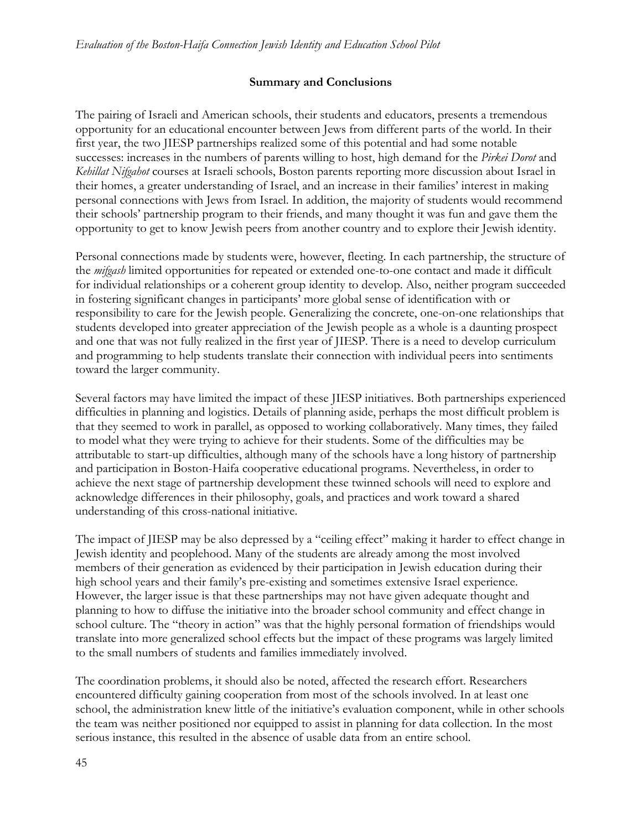#### **Summary and Conclusions**

The pairing of Israeli and American schools, their students and educators, presents a tremendous opportunity for an educational encounter between Jews from different parts of the world. In their first year, the two JIESP partnerships realized some of this potential and had some notable successes: increases in the numbers of parents willing to host, high demand for the *Pirkei Dorot* and *Kehillat Nifgahot* courses at Israeli schools, Boston parents reporting more discussion about Israel in their homes, a greater understanding of Israel, and an increase in their families' interest in making personal connections with Jews from Israel. In addition, the majority of students would recommend their schools' partnership program to their friends, and many thought it was fun and gave them the opportunity to get to know Jewish peers from another country and to explore their Jewish identity.

Personal connections made by students were, however, fleeting. In each partnership, the structure of the *mifgash* limited opportunities for repeated or extended one-to-one contact and made it difficult for individual relationships or a coherent group identity to develop. Also, neither program succeeded in fostering significant changes in participants' more global sense of identification with or responsibility to care for the Jewish people. Generalizing the concrete, one-on-one relationships that students developed into greater appreciation of the Jewish people as a whole is a daunting prospect and one that was not fully realized in the first year of JIESP. There is a need to develop curriculum and programming to help students translate their connection with individual peers into sentiments toward the larger community.

Several factors may have limited the impact of these JIESP initiatives. Both partnerships experienced difficulties in planning and logistics. Details of planning aside, perhaps the most difficult problem is that they seemed to work in parallel, as opposed to working collaboratively. Many times, they failed to model what they were trying to achieve for their students. Some of the difficulties may be attributable to start-up difficulties, although many of the schools have a long history of partnership and participation in Boston-Haifa cooperative educational programs. Nevertheless, in order to achieve the next stage of partnership development these twinned schools will need to explore and acknowledge differences in their philosophy, goals, and practices and work toward a shared understanding of this cross-national initiative.

The impact of JIESP may be also depressed by a "ceiling effect" making it harder to effect change in Jewish identity and peoplehood. Many of the students are already among the most involved members of their generation as evidenced by their participation in Jewish education during their high school years and their family's pre-existing and sometimes extensive Israel experience. However, the larger issue is that these partnerships may not have given adequate thought and planning to how to diffuse the initiative into the broader school community and effect change in school culture. The "theory in action" was that the highly personal formation of friendships would translate into more generalized school effects but the impact of these programs was largely limited to the small numbers of students and families immediately involved.

The coordination problems, it should also be noted, affected the research effort. Researchers encountered difficulty gaining cooperation from most of the schools involved. In at least one school, the administration knew little of the initiative's evaluation component, while in other schools the team was neither positioned nor equipped to assist in planning for data collection. In the most serious instance, this resulted in the absence of usable data from an entire school.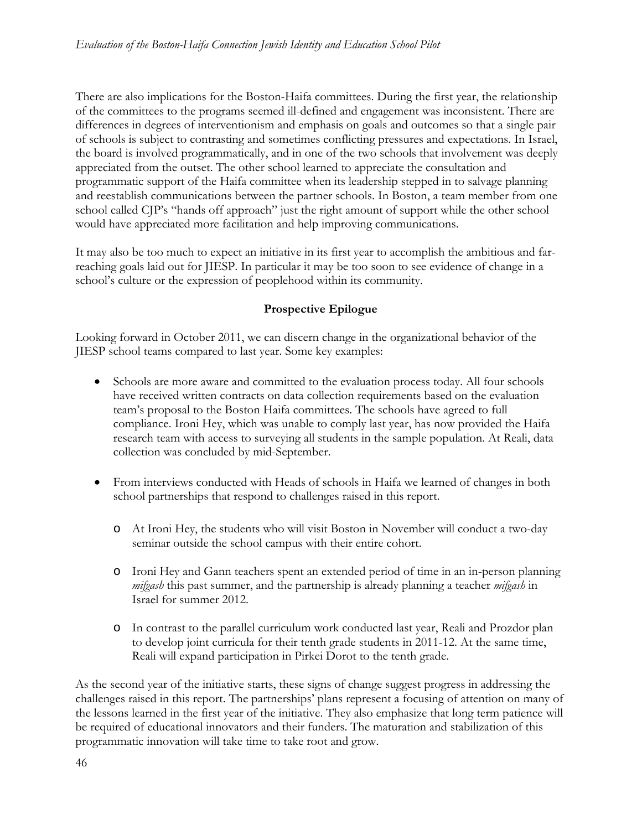There are also implications for the Boston-Haifa committees. During the first year, the relationship of the committees to the programs seemed ill-defined and engagement was inconsistent. There are differences in degrees of interventionism and emphasis on goals and outcomes so that a single pair of schools is subject to contrasting and sometimes conflicting pressures and expectations. In Israel, the board is involved programmatically, and in one of the two schools that involvement was deeply appreciated from the outset. The other school learned to appreciate the consultation and programmatic support of the Haifa committee when its leadership stepped in to salvage planning and reestablish communications between the partner schools. In Boston, a team member from one school called CJP's "hands off approach" just the right amount of support while the other school would have appreciated more facilitation and help improving communications.

It may also be too much to expect an initiative in its first year to accomplish the ambitious and farreaching goals laid out for JIESP. In particular it may be too soon to see evidence of change in a school's culture or the expression of peoplehood within its community.

# **Prospective Epilogue**

Looking forward in October 2011, we can discern change in the organizational behavior of the JIESP school teams compared to last year. Some key examples:

- Schools are more aware and committed to the evaluation process today. All four schools have received written contracts on data collection requirements based on the evaluation team's proposal to the Boston Haifa committees. The schools have agreed to full compliance. Ironi Hey, which was unable to comply last year, has now provided the Haifa research team with access to surveying all students in the sample population. At Reali, data collection was concluded by mid-September.
- From interviews conducted with Heads of schools in Haifa we learned of changes in both school partnerships that respond to challenges raised in this report.
	- o At Ironi Hey, the students who will visit Boston in November will conduct a two-day seminar outside the school campus with their entire cohort.
	- o Ironi Hey and Gann teachers spent an extended period of time in an in-person planning *mifgash* this past summer, and the partnership is already planning a teacher *mifgash* in Israel for summer 2012.
	- o In contrast to the parallel curriculum work conducted last year, Reali and Prozdor plan to develop joint curricula for their tenth grade students in 2011-12. At the same time, Reali will expand participation in Pirkei Dorot to the tenth grade.

As the second year of the initiative starts, these signs of change suggest progress in addressing the challenges raised in this report. The partnerships' plans represent a focusing of attention on many of the lessons learned in the first year of the initiative. They also emphasize that long term patience will be required of educational innovators and their funders. The maturation and stabilization of this programmatic innovation will take time to take root and grow.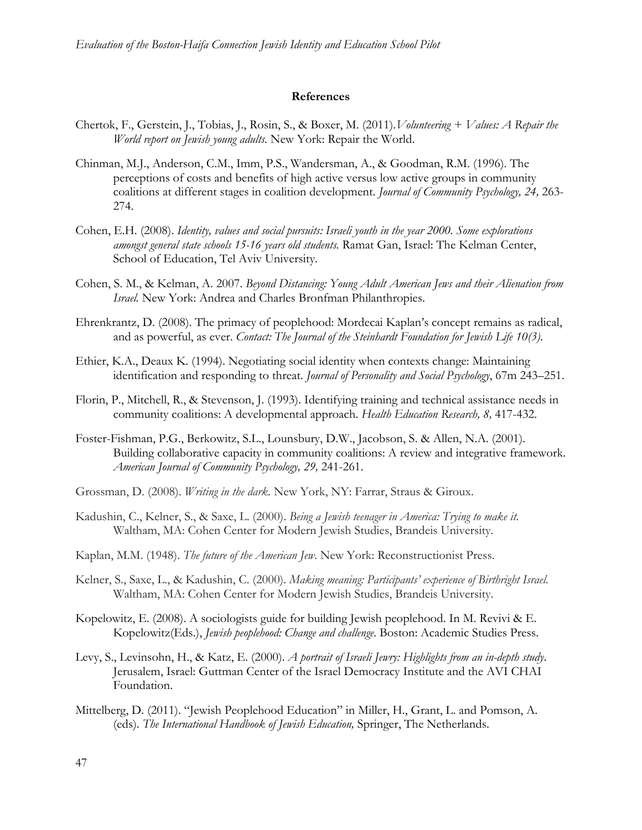#### **References**

- Chertok, F., Gerstein, J., Tobias, J., Rosin, S., & Boxer, M. (2011).*Volunteering + Values: A Repair the World report on Jewish young adults.* New York: Repair the World.
- Chinman, M.J., Anderson, C.M., Imm, P.S., Wandersman, A., & Goodman, R.M. (1996). The perceptions of costs and benefits of high active versus low active groups in community coalitions at different stages in coalition development. *Journal of Community Psychology, 24,* 263- 274.
- Cohen, E.H. (2008). *Identity, values and social pursuits: Israeli youth in the year 2000. Some explorations amongst general state schools 15-16 years old students.* Ramat Gan, Israel: The Kelman Center, School of Education, Tel Aviv University.
- Cohen, S. M., & Kelman, A. 2007. *Beyond Distancing: Young Adult American Jews and their Alienation from Israel.* New York: Andrea and Charles Bronfman Philanthropies.
- Ehrenkrantz, D. (2008). The primacy of peoplehood: Mordecai Kaplan's concept remains as radical, and as powerful, as ever. *Contact: The Journal of the Steinhardt Foundation for Jewish Life 10(3)*.
- Ethier, K.A., Deaux K. (1994). Negotiating social identity when contexts change: Maintaining identification and responding to threat. *Journal of Personality and Social Psychology*, 67m 243–251.
- Florin, P., Mitchell, R., & Stevenson, J. (1993). Identifying training and technical assistance needs in community coalitions: A developmental approach. *Health Education Research, 8,* 417-432.
- Foster-Fishman, P.G., Berkowitz, S.L., Lounsbury, D.W., Jacobson, S. & Allen, N.A. (2001). Building collaborative capacity in community coalitions: A review and integrative framework. *American Journal of Community Psychology, 29,* 241-261.
- Grossman, D. (2008). *Writing in the dark.* New York, NY: Farrar, Straus & Giroux.
- Kadushin, C., Kelner, S., & Saxe, L. (2000). *Being a Jewish teenager in America: Trying to make it.*  Waltham, MA: Cohen Center for Modern Jewish Studies, Brandeis University.
- Kaplan, M.M. (1948). *The future of the American Jew*. New York: Reconstructionist Press.
- Kelner, S., Saxe, L., & Kadushin, C. (2000). *Making meaning: Participants' experience of Birthright Israel*. Waltham, MA: Cohen Center for Modern Jewish Studies, Brandeis University.
- Kopelowitz, E. (2008). A sociologists guide for building Jewish peoplehood. In M. Revivi & E. Kopelowitz(Eds.), *Jewish peoplehood: Change and challenge*. Boston: Academic Studies Press.
- Levy, S., Levinsohn, H., & Katz, E. (2000). *A portrait of Israeli Jewry: Highlights from an in-depth study*. Jerusalem, Israel: Guttman Center of the Israel Democracy Institute and the AVI CHAI Foundation.
- Mittelberg, D. (2011). "Jewish Peoplehood Education" in Miller, H., Grant, L. and Pomson, A. (eds). *The International Handbook of Jewish Education,* Springer, The Netherlands.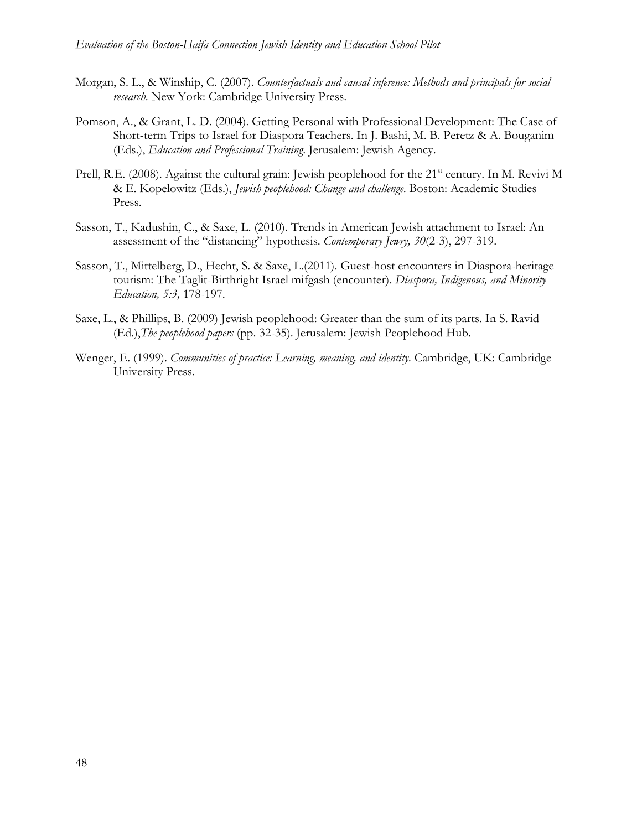- Morgan, S. L., & Winship, C. (2007). *Counterfactuals and causal inference: Methods and principals for social research*. New York: Cambridge University Press.
- Pomson, A., & Grant, L. D. (2004). Getting Personal with Professional Development: The Case of Short-term Trips to Israel for Diaspora Teachers. In J. Bashi, M. B. Peretz & A. Bouganim (Eds.), *Education and Professional Training*. Jerusalem: Jewish Agency.
- Prell, R.E. (2008). Against the cultural grain: Jewish peoplehood for the 21<sup>st</sup> century. In M. Revivi M & E. Kopelowitz (Eds.), *Jewish peoplehood: Change and challenge*. Boston: Academic Studies Press.
- Sasson, T., Kadushin, C., & Saxe, L. (2010). Trends in American Jewish attachment to Israel: An assessment of the "distancing" hypothesis. *Contemporary Jewry, 30*(2-3), 297-319.
- Sasson, T., Mittelberg, D., Hecht, S. & Saxe, L.(2011). Guest-host encounters in Diaspora-heritage tourism: The Taglit-Birthright Israel mifgash (encounter). *Diaspora, Indigenous, and Minority Education, 5:3,* 178-197.
- Saxe, L., & Phillips, B. (2009) Jewish peoplehood: Greater than the sum of its parts. In S. Ravid (Ed.),*The peoplehood papers* (pp. 32-35). Jerusalem: Jewish Peoplehood Hub.
- Wenger, E. (1999). *Communities of practice: Learning, meaning, and identity.* Cambridge, UK: Cambridge University Press.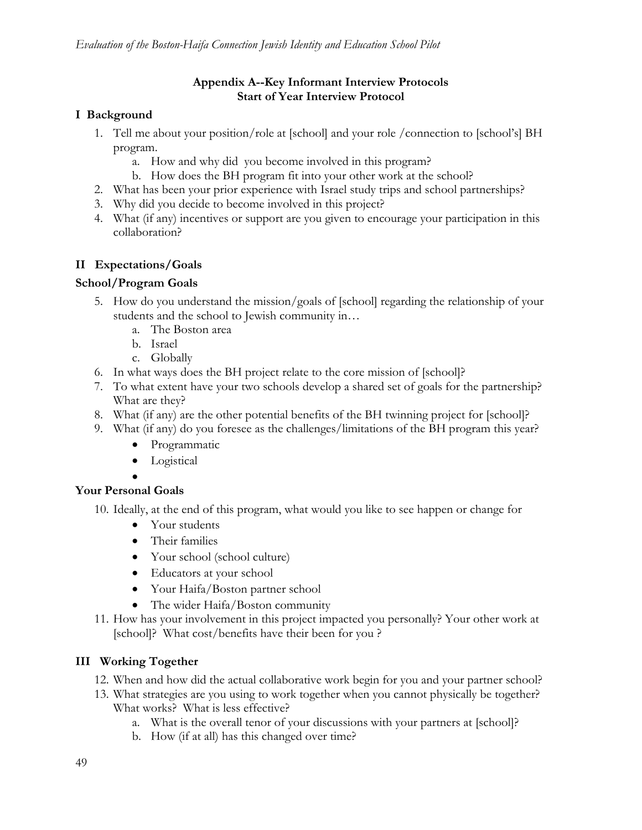### **Appendix A--Key Informant Interview Protocols Start of Year Interview Protocol**

### **I Background**

- 1. Tell me about your position/role at [school] and your role /connection to [school's] BH program.
	- a. How and why did you become involved in this program?
	- b. How does the BH program fit into your other work at the school?
- 2. What has been your prior experience with Israel study trips and school partnerships?
- 3. Why did you decide to become involved in this project?
- 4. What (if any) incentives or support are you given to encourage your participation in this collaboration?

### **II Expectations/Goals**

### **School/Program Goals**

- 5. How do you understand the mission/goals of [school] regarding the relationship of your students and the school to Jewish community in…
	- a. The Boston area
	- b. Israel
	- c. Globally
- 6. In what ways does the BH project relate to the core mission of [school]?
- 7. To what extent have your two schools develop a shared set of goals for the partnership? What are they?
- 8. What (if any) are the other potential benefits of the BH twinning project for [school]?
- 9. What (if any) do you foresee as the challenges/limitations of the BH program this year?
	- Programmatic
	- Logistical
	- $\bullet$

### **Your Personal Goals**

- 10. Ideally, at the end of this program, what would you like to see happen or change for
	- Your students
	- Their families
	- Your school (school culture)
	- Educators at your school
	- Your Haifa/Boston partner school
	- The wider Haifa/Boston community
- 11. How has your involvement in this project impacted you personally? Your other work at [school]? What cost/benefits have their been for you ?

### **III Working Together**

- 12. When and how did the actual collaborative work begin for you and your partner school?
- 13. What strategies are you using to work together when you cannot physically be together? What works? What is less effective?
	- a. What is the overall tenor of your discussions with your partners at [school]?
	- b. How (if at all) has this changed over time?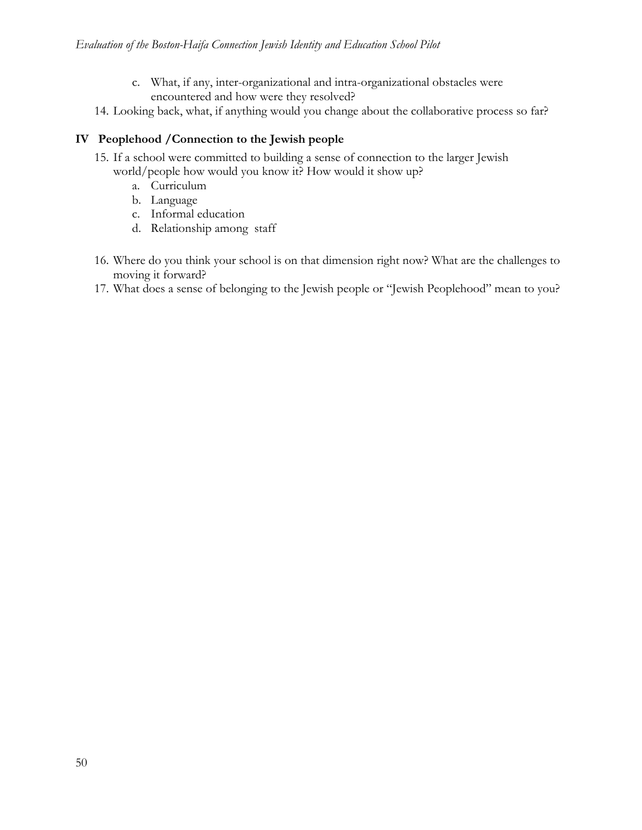- c. What, if any, inter-organizational and intra-organizational obstacles were encountered and how were they resolved?
- 14. Looking back, what, if anything would you change about the collaborative process so far?

### **IV Peoplehood /Connection to the Jewish people**

- 15. If a school were committed to building a sense of connection to the larger Jewish world/people how would you know it? How would it show up?
	- a. Curriculum
	- b. Language
	- c. Informal education
	- d. Relationship among staff
- 16. Where do you think your school is on that dimension right now? What are the challenges to moving it forward?
- 17. What does a sense of belonging to the Jewish people or "Jewish Peoplehood" mean to you?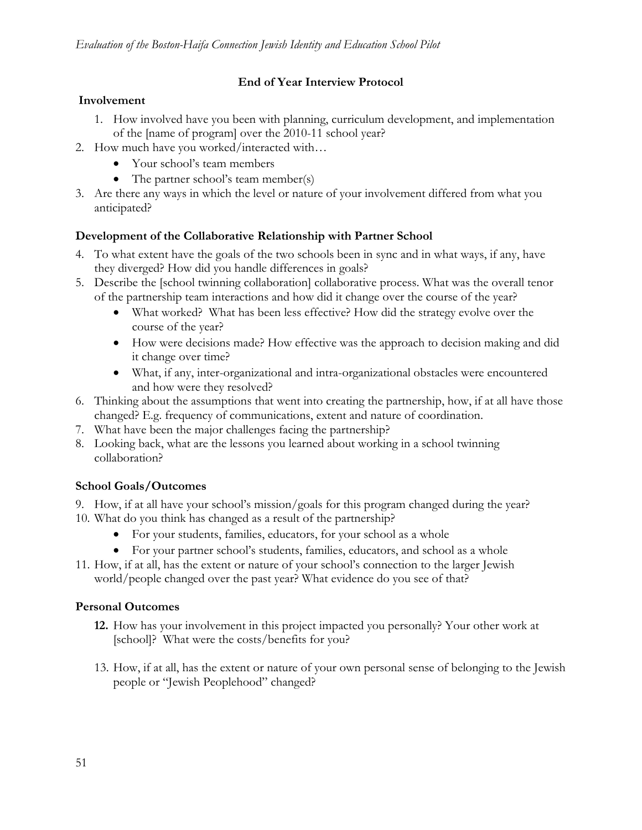# **End of Year Interview Protocol**

## **Involvement**

- 1. How involved have you been with planning, curriculum development, and implementation of the [name of program] over the 2010-11 school year?
- 2. How much have you worked/interacted with…
	- Your school's team members
	- The partner school's team member(s)
- 3. Are there any ways in which the level or nature of your involvement differed from what you anticipated?

# **Development of the Collaborative Relationship with Partner School**

- 4. To what extent have the goals of the two schools been in sync and in what ways, if any, have they diverged? How did you handle differences in goals?
- 5. Describe the [school twinning collaboration] collaborative process. What was the overall tenor of the partnership team interactions and how did it change over the course of the year?
	- What worked? What has been less effective? How did the strategy evolve over the course of the year?
	- How were decisions made? How effective was the approach to decision making and did it change over time?
	- What, if any, inter-organizational and intra-organizational obstacles were encountered and how were they resolved?
- 6. Thinking about the assumptions that went into creating the partnership, how, if at all have those changed? E.g. frequency of communications, extent and nature of coordination.
- 7. What have been the major challenges facing the partnership?
- 8. Looking back, what are the lessons you learned about working in a school twinning collaboration?

# **School Goals/Outcomes**

- 9. How, if at all have your school's mission/goals for this program changed during the year? 10. What do you think has changed as a result of the partnership?
	- For your students, families, educators, for your school as a whole
	- For your partner school's students, families, educators, and school as a whole
- 11. How, if at all, has the extent or nature of your school's connection to the larger Jewish world/people changed over the past year? What evidence do you see of that?

### **Personal Outcomes**

- **12.** How has your involvement in this project impacted you personally? Your other work at [school]? What were the costs/benefits for you?
- 13. How, if at all, has the extent or nature of your own personal sense of belonging to the Jewish people or "Jewish Peoplehood" changed?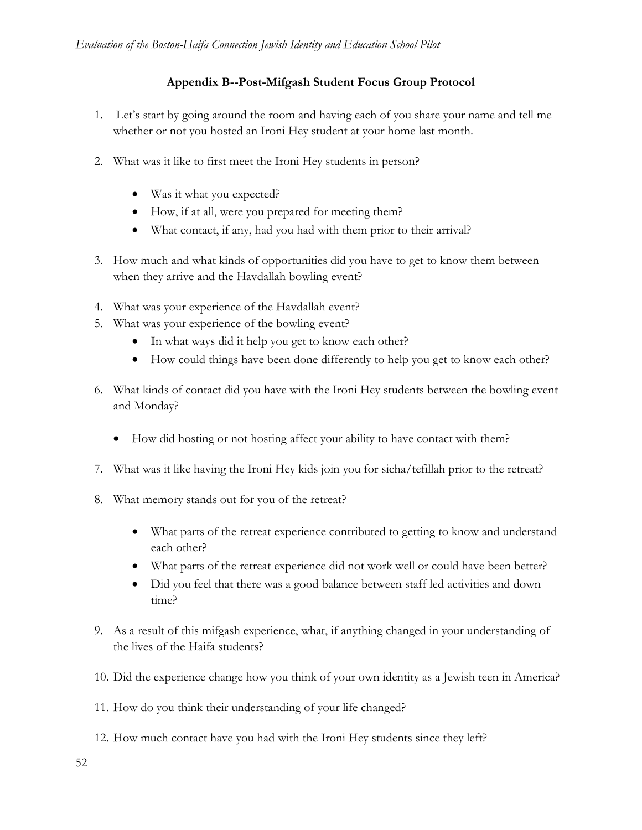### **Appendix B--Post-Mifgash Student Focus Group Protocol**

- 1. Let's start by going around the room and having each of you share your name and tell me whether or not you hosted an Ironi Hey student at your home last month.
- 2. What was it like to first meet the Ironi Hey students in person?
	- Was it what you expected?
	- How, if at all, were you prepared for meeting them?
	- What contact, if any, had you had with them prior to their arrival?
- 3. How much and what kinds of opportunities did you have to get to know them between when they arrive and the Havdallah bowling event?
- 4. What was your experience of the Havdallah event?
- 5. What was your experience of the bowling event?
	- In what ways did it help you get to know each other?
	- How could things have been done differently to help you get to know each other?
- 6. What kinds of contact did you have with the Ironi Hey students between the bowling event and Monday?
	- How did hosting or not hosting affect your ability to have contact with them?
- 7. What was it like having the Ironi Hey kids join you for sicha/tefillah prior to the retreat?
- 8. What memory stands out for you of the retreat?
	- What parts of the retreat experience contributed to getting to know and understand each other?
	- What parts of the retreat experience did not work well or could have been better?
	- Did you feel that there was a good balance between staff led activities and down time?
- 9. As a result of this mifgash experience, what, if anything changed in your understanding of the lives of the Haifa students?
- 10. Did the experience change how you think of your own identity as a Jewish teen in America?
- 11. How do you think their understanding of your life changed?
- 12. How much contact have you had with the Ironi Hey students since they left?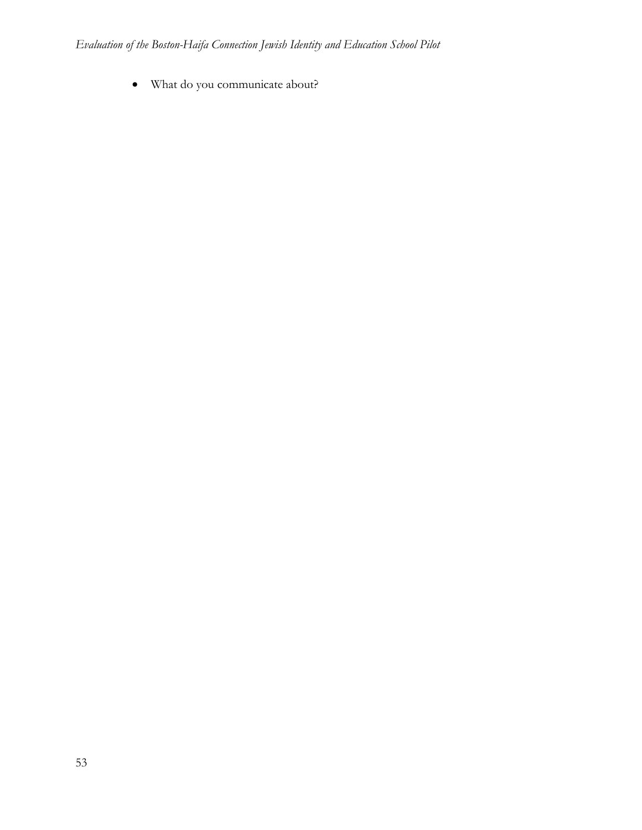What do you communicate about?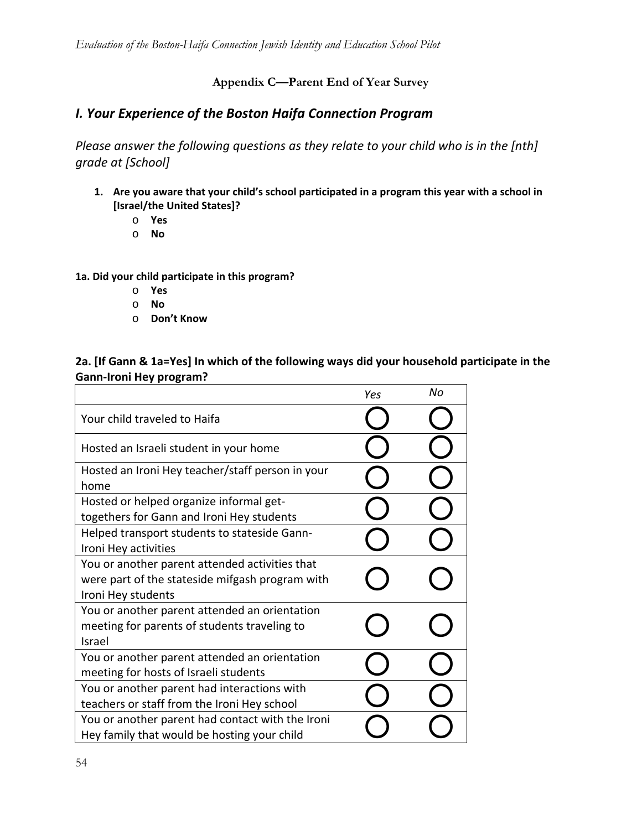**Appendix C—Parent End of Year Survey** 

# *I. Your Experience of the Boston Haifa Connection Program*

*Please answer the following questions as they relate to your child who is in the [nth] grade at [School]*

- **1. Are you aware that your child's school participated in a program this year with a school in [Israel/the United States]?**
	- o **Yes**
	- o **No**

**1a. Did your child participate in this program?**

- o **Yes**
- o **No**
- o **Don't Know**

### **2a. [If Gann & 1a=Yes] In which of the following ways did your household participate in the Gann‐Ironi Hey program?**

|                                                                                                                         | Yes | No |
|-------------------------------------------------------------------------------------------------------------------------|-----|----|
| Your child traveled to Haifa                                                                                            |     |    |
| Hosted an Israeli student in your home                                                                                  |     |    |
| Hosted an Ironi Hey teacher/staff person in your<br>home                                                                |     |    |
| Hosted or helped organize informal get-<br>togethers for Gann and Ironi Hey students                                    |     |    |
| Helped transport students to stateside Gann-<br>Ironi Hey activities                                                    |     |    |
| You or another parent attended activities that<br>were part of the stateside mifgash program with<br>Ironi Hey students |     |    |
| You or another parent attended an orientation<br>meeting for parents of students traveling to<br>Israel                 |     |    |
| You or another parent attended an orientation<br>meeting for hosts of Israeli students                                  |     |    |
| You or another parent had interactions with<br>teachers or staff from the Ironi Hey school                              |     |    |
| You or another parent had contact with the Ironi<br>Hey family that would be hosting your child                         |     |    |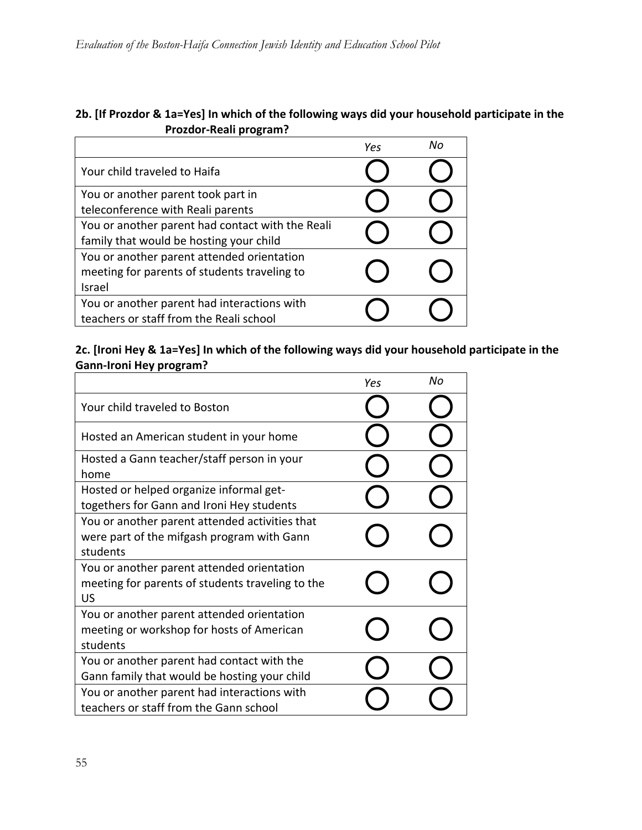# **2b. [If Prozdor & 1a=Yes] In which of the following ways did your household participate in the Prozdor‐Reali program?**

|                                                  | Yes | Nο |
|--------------------------------------------------|-----|----|
| Your child traveled to Haifa                     |     |    |
| You or another parent took part in               |     |    |
| teleconference with Reali parents                |     |    |
| You or another parent had contact with the Reali |     |    |
| family that would be hosting your child          |     |    |
| You or another parent attended orientation       |     |    |
| meeting for parents of students traveling to     |     |    |
| Israel                                           |     |    |
| You or another parent had interactions with      |     |    |
| teachers or staff from the Reali school          |     |    |

**2c. [Ironi Hey & 1a=Yes] In which of the following ways did your household participate in the Gann‐Ironi Hey program?**

|                                                                                                          | Yes | Nο |
|----------------------------------------------------------------------------------------------------------|-----|----|
| Your child traveled to Boston                                                                            |     |    |
| Hosted an American student in your home                                                                  |     |    |
| Hosted a Gann teacher/staff person in your<br>home                                                       |     |    |
| Hosted or helped organize informal get-<br>togethers for Gann and Ironi Hey students                     |     |    |
| You or another parent attended activities that<br>were part of the mifgash program with Gann<br>students |     |    |
| You or another parent attended orientation<br>meeting for parents of students traveling to the<br>US     |     |    |
| You or another parent attended orientation<br>meeting or workshop for hosts of American<br>students      |     |    |
| You or another parent had contact with the<br>Gann family that would be hosting your child               |     |    |
| You or another parent had interactions with<br>teachers or staff from the Gann school                    |     |    |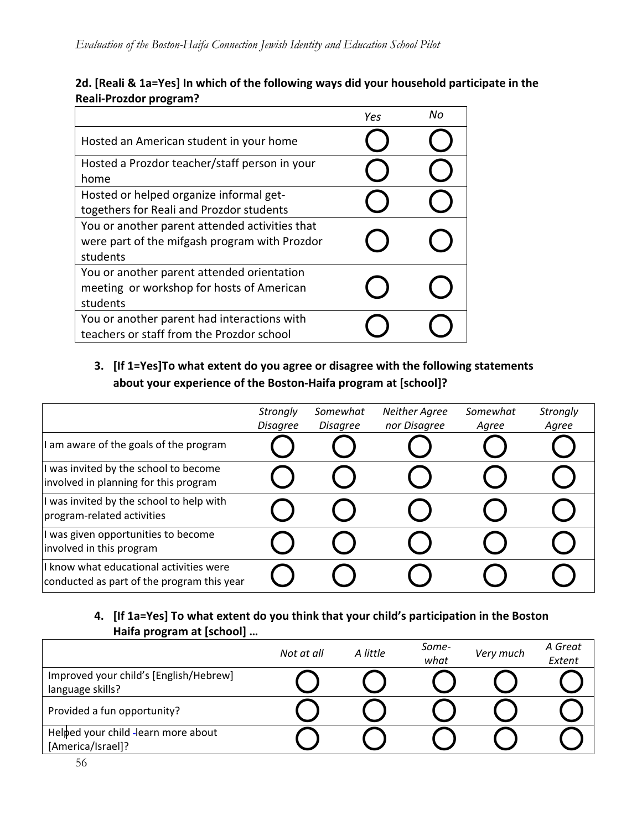### **2d. [Reali & 1a=Yes] In which of the following ways did your household participate in the Reali‐Prozdor program?**

|                                                                                                             | Yes | Nο |
|-------------------------------------------------------------------------------------------------------------|-----|----|
| Hosted an American student in your home                                                                     |     |    |
| Hosted a Prozdor teacher/staff person in your<br>home                                                       |     |    |
| Hosted or helped organize informal get-<br>togethers for Reali and Prozdor students                         |     |    |
| You or another parent attended activities that<br>were part of the mifgash program with Prozdor<br>students |     |    |
| You or another parent attended orientation<br>meeting or workshop for hosts of American<br>students         |     |    |
| You or another parent had interactions with<br>teachers or staff from the Prozdor school                    |     |    |

# **3. [If 1=Yes]To what extent do you agree or disagree with the following statements about your experience of the Boston‐Haifa program at [school]?**

|                                                                                       | Strongly        | Somewhat        | <b>Neither Agree</b> | Somewhat | Strongly |
|---------------------------------------------------------------------------------------|-----------------|-----------------|----------------------|----------|----------|
|                                                                                       | <b>Disagree</b> | <b>Disagree</b> | nor Disagree         | Agree    | Agree    |
| am aware of the goals of the program                                                  |                 |                 |                      |          |          |
| I was invited by the school to become<br>involved in planning for this program        |                 |                 |                      |          |          |
| I was invited by the school to help with<br>program-related activities                |                 |                 |                      |          |          |
| I was given opportunities to become<br>involved in this program                       |                 |                 |                      |          |          |
| I know what educational activities were<br>conducted as part of the program this year |                 |                 |                      |          |          |

# **4. [If 1a=Yes] To what extent do you think that your child's participation in the Boston Haifa program at [school] …**

|                                                            | Not at all | A little | Some-<br>what | Very much | A Great<br>Extent |
|------------------------------------------------------------|------------|----------|---------------|-----------|-------------------|
| Improved your child's [English/Hebrew]<br>language skills? |            |          |               |           |                   |
| Provided a fun opportunity?                                |            |          |               |           |                   |
| Helped your child -learn more about<br>[America/Israel]?   |            |          |               |           |                   |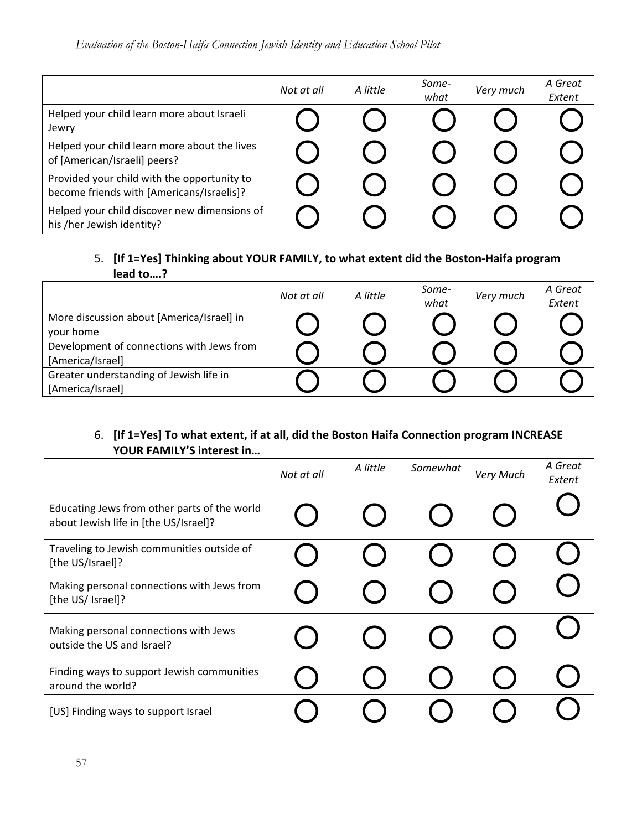|                                                                                          | Not at all | A little | Some-<br>what | Very much | A Great<br>Extent |
|------------------------------------------------------------------------------------------|------------|----------|---------------|-----------|-------------------|
| Helped your child learn more about Israeli<br>Jewry                                      |            |          |               |           |                   |
| Helped your child learn more about the lives<br>of [American/Israeli] peers?             |            |          |               |           |                   |
| Provided your child with the opportunity to<br>become friends with [Americans/Israelis]? |            |          |               |           |                   |
| Helped your child discover new dimensions of<br>his /her Jewish identity?                |            |          |               |           |                   |

### 5. **[If 1=Yes] Thinking about YOUR FAMILY, to what extent did the Boston‐Haifa program lead to….?**

|                                                               | Not at all | A little | Some-<br>what | Very much | A Great<br>Extent |
|---------------------------------------------------------------|------------|----------|---------------|-----------|-------------------|
| More discussion about [America/Israel] in<br>your home        |            |          |               |           |                   |
| Development of connections with Jews from<br>[America/Israel] |            |          |               |           |                   |
| Greater understanding of Jewish life in<br>[America/Israel]   |            |          |               |           |                   |

# 6. **[If 1=Yes] To what extent, if at all, did the Boston Haifa Connection program INCREASE YOUR FAMILY'S interest in…**

|                                                                                       | Not at all | A little | Somewhat | Very Much | A Great<br>Extent |
|---------------------------------------------------------------------------------------|------------|----------|----------|-----------|-------------------|
| Educating Jews from other parts of the world<br>about Jewish life in [the US/Israel]? |            |          |          |           |                   |
| Traveling to Jewish communities outside of<br>[the US/Israel]?                        |            |          |          |           |                   |
| Making personal connections with Jews from<br>[the US/ Israel]?                       |            |          |          |           |                   |
| Making personal connections with Jews<br>outside the US and Israel?                   |            |          |          |           |                   |
| Finding ways to support Jewish communities<br>around the world?                       |            |          |          |           |                   |
| [US] Finding ways to support Israel                                                   |            |          |          |           |                   |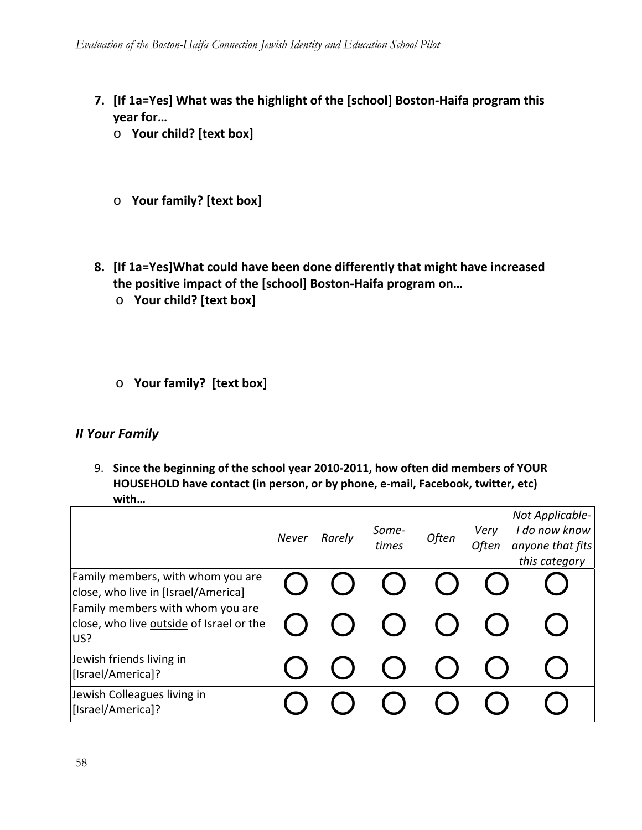- **7. [If 1a=Yes] What was the highlight of the [school] Boston‐Haifa program this year for…**
	- o **Your child? [text box]**
	- o **Your family? [text box]**
- **8. [If 1a=Yes]What could have been done differently that might have increased the positive impact of the [school] Boston‐Haifa program on…**
	- o **Your child? [text box]**
	- o **Your family? [text box]**

# *II Your Family*

9. **Since the beginning of the school year 2010‐2011, how often did members of YOUR HOUSEHOLD have contact (in person, or by phone, e‐mail, Facebook, twitter, etc) with…**

|                                                                                     | Never | Rarely | Some-<br>times | Often | Very<br>Often | Not Applicable-<br>I do now know<br>anyone that fits<br>this category |
|-------------------------------------------------------------------------------------|-------|--------|----------------|-------|---------------|-----------------------------------------------------------------------|
| Family members, with whom you are<br>close, who live in [Israel/America]            |       |        |                |       |               |                                                                       |
| Family members with whom you are<br>close, who live outside of Israel or the<br>US? |       |        |                |       |               |                                                                       |
| Jewish friends living in<br>[Israel/America]?                                       |       |        |                |       |               |                                                                       |
| Jewish Colleagues living in<br>[Israel/America]?                                    |       |        |                |       |               |                                                                       |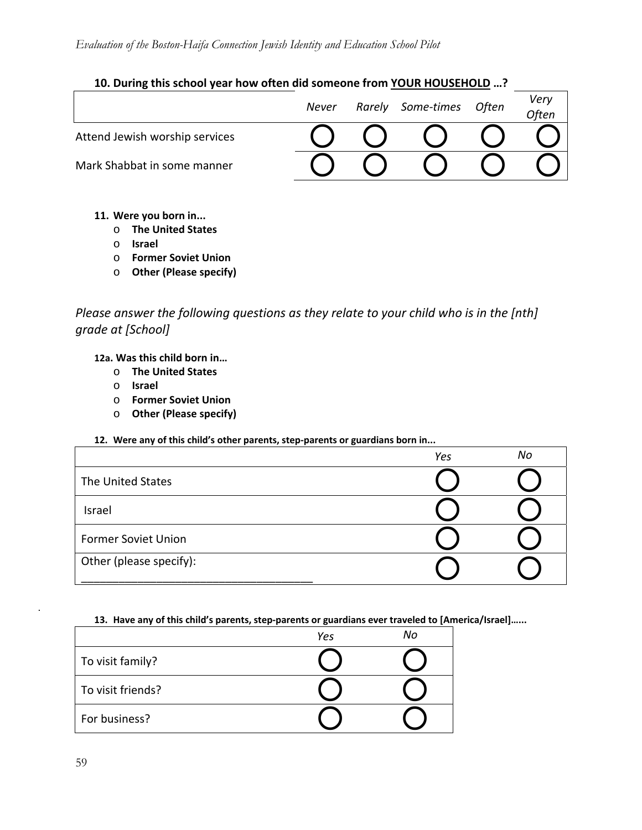### **10. During this school year how often did someone from YOUR HOUSEHOLD …?**

|                                | Never | Rarely Some-times | Often | Very<br>.<br>Often |
|--------------------------------|-------|-------------------|-------|--------------------|
| Attend Jewish worship services |       |                   |       |                    |
| Mark Shabbat in some manner    |       |                   |       |                    |

- **11. Were you born in...**
	- o **The United States**
	- o **Israel**
	- o **Former Soviet Union**
	- o **Other (Please specify)**

*Please answer the following questions as they relate to your child who is in the [nth] grade at [School]*

**12a. Was this child born in…**

- o **The United States**
- o **Israel**
- o **Former Soviet Union**
- o **Other (Please specify)**

#### **12. Were any of this child's other parents, step‐parents or guardians born in...**

|                            | Yes | No |
|----------------------------|-----|----|
| The United States          |     |    |
| Israel                     |     |    |
| <b>Former Soviet Union</b> |     |    |
| Other (please specify):    |     |    |

#### **13. Have any of this child's parents, step‐parents or guardians ever traveled to [America/Israel]…...**

|                   | Yes | No |
|-------------------|-----|----|
| To visit family?  |     |    |
| To visit friends? |     |    |
| For business?     |     |    |

.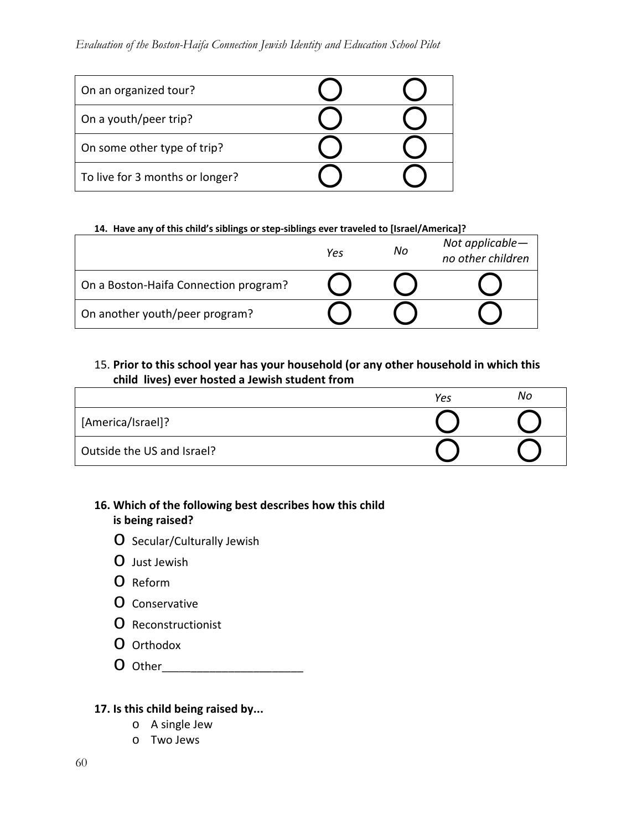### *Evaluation of the Boston-Haifa Connection Jewish Identity and Education School Pilot*

| On an organized tour?           |  |
|---------------------------------|--|
| On a youth/peer trip?           |  |
| On some other type of trip?     |  |
| To live for 3 months or longer? |  |

#### **14. Have any of this child's siblings or step‐siblings ever traveled to [Israel/America]?**

|                                       | Yes | No | Not applicable-<br>no other children |
|---------------------------------------|-----|----|--------------------------------------|
| On a Boston-Haifa Connection program? |     |    |                                      |
| On another youth/peer program?        |     |    |                                      |

### 15. **Prior to this school year has your household (or any other household in which this child lives) ever hosted a Jewish student from**

|                            | Yes | No |
|----------------------------|-----|----|
| [America/Israel]?          |     |    |
| Outside the US and Israel? |     |    |

### **16. Which of the following best describes how this child is being raised?**

- o Secular/Culturally Jewish
- o Just Jewish
- o Reform
- o Conservative
- o Reconstructionist
- O Orthodox
- o Other\_\_\_\_\_\_\_\_\_\_\_\_\_\_\_\_\_\_\_\_\_\_\_

#### **17. Is this child being raised by...**

- o A single Jew
- o Two Jews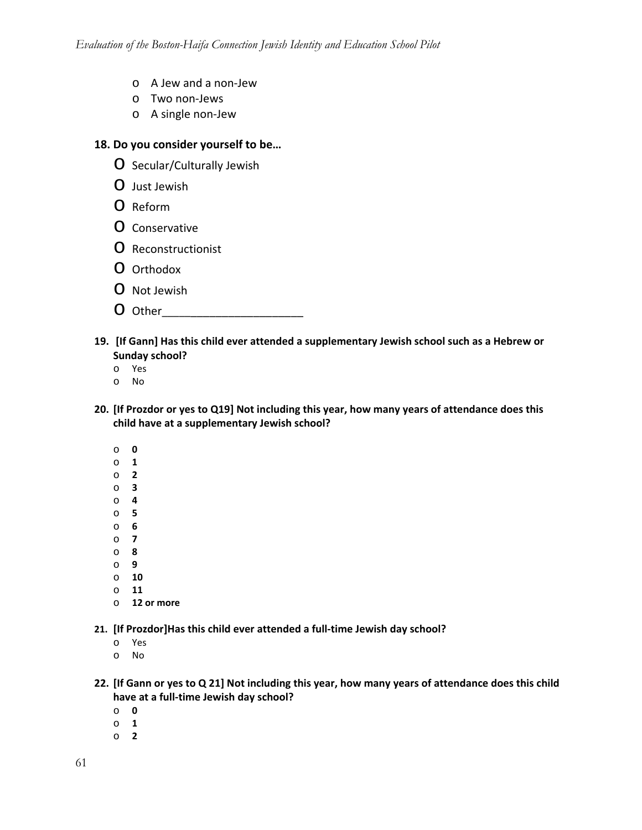- o A Jew and a non‐Jew
- o Two non‐Jews
- o A single non‐Jew

#### **18. Do you consider yourself to be…**

- o Secular/Culturally Jewish
- o Just Jewish
- o Reform
- o Conservative
- o Reconstructionist
- O Orthodox
- o Not Jewish
- O Other
- **19. [If Gann] Has this child ever attended a supplementary Jewish school such as a Hebrew or Sunday school?**
	- o Yes
	- o No
- **20. [If Prozdor or yes to Q19] Not including this year, how many years of attendance does this child have at a supplementary Jewish school?**
	- o **0**
	- o **1**
	- o **2**
	- o **3**
	- o **4**
	- o **5** o **6**
	- o **7**
	- o **8**
	- o **9**
	- o **10**
	- o **11**
	- o **12 or more**

**21. [If Prozdor]Has this child ever attended a full‐time Jewish day school?**

- o Yes
- o No
- 22. [If Gann or yes to Q 21] Not including this year, how many years of attendance does this child **have at a full‐time Jewish day school?**
	- o **0**
	- o **1**
	- o **2**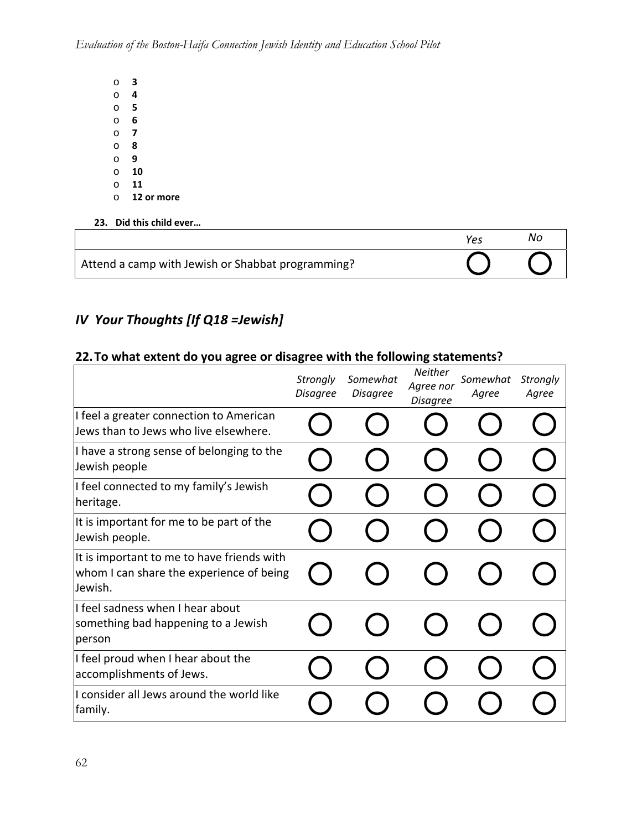- o **3** o **4** o **5** o **6** o **7** o **8** o **9**  o **10** o **11** o **12 or more**
- **23. Did this child ever…**

|                                                   | Υρς | Νo |
|---------------------------------------------------|-----|----|
| Attend a camp with Jewish or Shabbat programming? |     |    |

# *IV Your Thoughts [If Q18 =Jewish]*

# **22.To what extent do you agree or disagree with the following statements?**

|                                                                                                   | Strongly<br><b>Disagree</b> | Somewhat<br><b>Disagree</b> | Neither<br>Agree nor<br><b>Disagree</b> | Somewhat<br>Agree | Strongly<br>Agree |
|---------------------------------------------------------------------------------------------------|-----------------------------|-----------------------------|-----------------------------------------|-------------------|-------------------|
| I feel a greater connection to American<br>Jews than to Jews who live elsewhere.                  |                             |                             |                                         |                   |                   |
| I have a strong sense of belonging to the<br>Jewish people                                        |                             |                             |                                         |                   |                   |
| I feel connected to my family's Jewish<br>heritage.                                               |                             |                             |                                         |                   |                   |
| It is important for me to be part of the<br>Jewish people.                                        |                             |                             |                                         |                   |                   |
| It is important to me to have friends with<br>whom I can share the experience of being<br>Jewish. |                             |                             |                                         |                   |                   |
| I feel sadness when I hear about<br>something bad happening to a Jewish<br>person                 |                             |                             |                                         |                   |                   |
| I feel proud when I hear about the<br>accomplishments of Jews.                                    |                             |                             |                                         |                   |                   |
| I consider all Jews around the world like<br>family.                                              |                             |                             |                                         |                   |                   |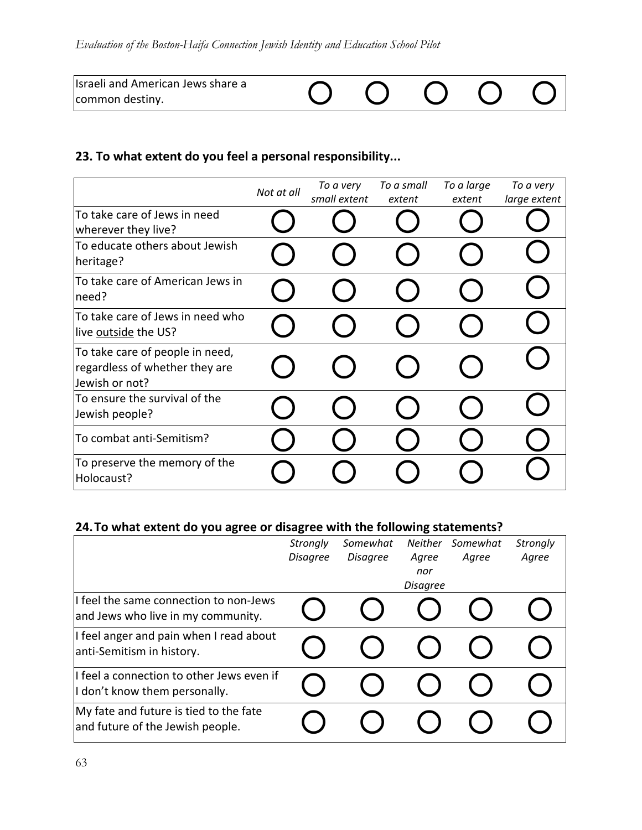| Israeli and American Jews share a |  |  |  |
|-----------------------------------|--|--|--|
| common destiny.                   |  |  |  |

# **23. To what extent do you feel a personal responsibility...**

|                                                                                     | Not at all | To a very<br>small extent | To a small<br>extent | To a large<br>extent | To a very<br>large extent |
|-------------------------------------------------------------------------------------|------------|---------------------------|----------------------|----------------------|---------------------------|
| To take care of Jews in need<br>wherever they live?                                 |            |                           |                      |                      |                           |
| To educate others about Jewish<br>heritage?                                         |            |                           |                      |                      |                           |
| To take care of American Jews in<br>need?                                           |            |                           |                      |                      |                           |
| To take care of Jews in need who<br>live outside the US?                            |            |                           |                      |                      |                           |
| To take care of people in need,<br>regardless of whether they are<br>Jewish or not? |            |                           |                      |                      |                           |
| To ensure the survival of the<br>Jewish people?                                     |            |                           |                      |                      |                           |
| To combat anti-Semitism?                                                            |            |                           |                      |                      |                           |
| To preserve the memory of the<br>Holocaust?                                         |            |                           |                      |                      |                           |

# **24.To what extent do you agree or disagree with the following statements?**

|                                                                              | Strongly<br><b>Disagree</b> | Somewhat<br><b>Disagree</b> | <b>Neither</b><br>Agree<br>nor | Somewhat<br>Agree | Strongly<br>Agree |
|------------------------------------------------------------------------------|-----------------------------|-----------------------------|--------------------------------|-------------------|-------------------|
|                                                                              |                             |                             | <b>Disagree</b>                |                   |                   |
| I feel the same connection to non-Jews<br>and Jews who live in my community. |                             |                             |                                |                   |                   |
| I feel anger and pain when I read about<br>anti-Semitism in history.         |                             |                             |                                |                   |                   |
| I feel a connection to other Jews even if<br>I don't know them personally.   |                             |                             |                                |                   |                   |
| My fate and future is tied to the fate<br>and future of the Jewish people.   |                             |                             |                                |                   |                   |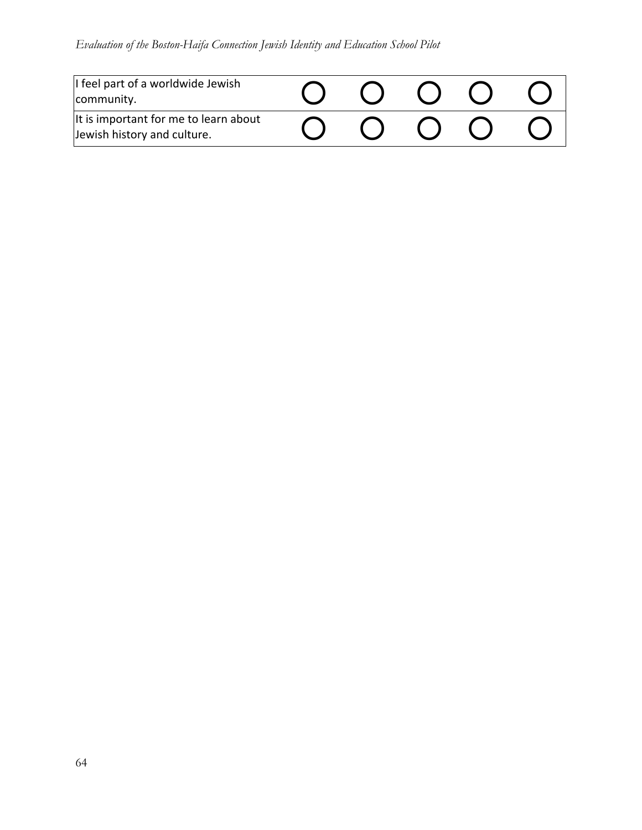# *Evaluation of the Boston-Haifa Connection Jewish Identity and Education School Pilot*

| I feel part of a worldwide Jewish<br>community.                      |  |  |  |
|----------------------------------------------------------------------|--|--|--|
| It is important for me to learn about<br>Jewish history and culture. |  |  |  |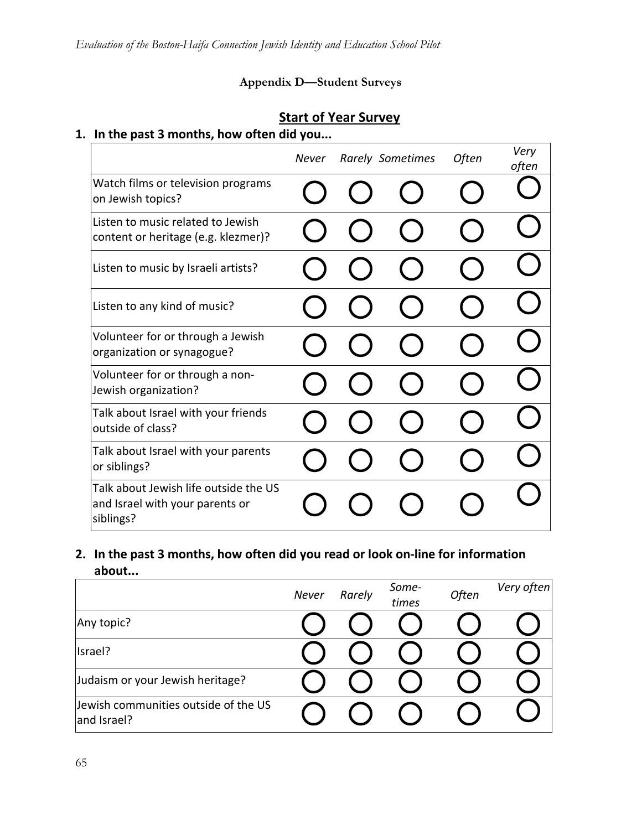# **Appendix D—Student Surveys**

# **Start of Year Survey**

# **1. In the past 3 months, how often did you...**

|                                                                                       | <b>Never</b> | <b>Rarely Sometimes</b> | Often | Very<br>often |
|---------------------------------------------------------------------------------------|--------------|-------------------------|-------|---------------|
| Watch films or television programs<br>on Jewish topics?                               |              |                         |       |               |
| Listen to music related to Jewish<br>content or heritage (e.g. klezmer)?              |              |                         |       |               |
| Listen to music by Israeli artists?                                                   |              |                         |       |               |
| Listen to any kind of music?                                                          |              |                         |       |               |
| Volunteer for or through a Jewish<br>organization or synagogue?                       |              |                         |       |               |
| Volunteer for or through a non-<br>Jewish organization?                               |              |                         |       |               |
| Talk about Israel with your friends<br>outside of class?                              |              |                         |       |               |
| Talk about Israel with your parents<br>or siblings?                                   |              |                         |       |               |
| Talk about Jewish life outside the US<br>and Israel with your parents or<br>siblings? |              |                         |       |               |

**2. In the past 3 months, how often did you read or look on‐line for information about...**

|                                                     | <b>Never</b> | Rarely | Some-<br>times | Often | Very often |
|-----------------------------------------------------|--------------|--------|----------------|-------|------------|
| Any topic?                                          |              |        |                |       |            |
| Israel?                                             |              |        |                |       |            |
| Judaism or your Jewish heritage?                    |              |        |                |       |            |
| Jewish communities outside of the US<br>and Israel? |              |        |                |       |            |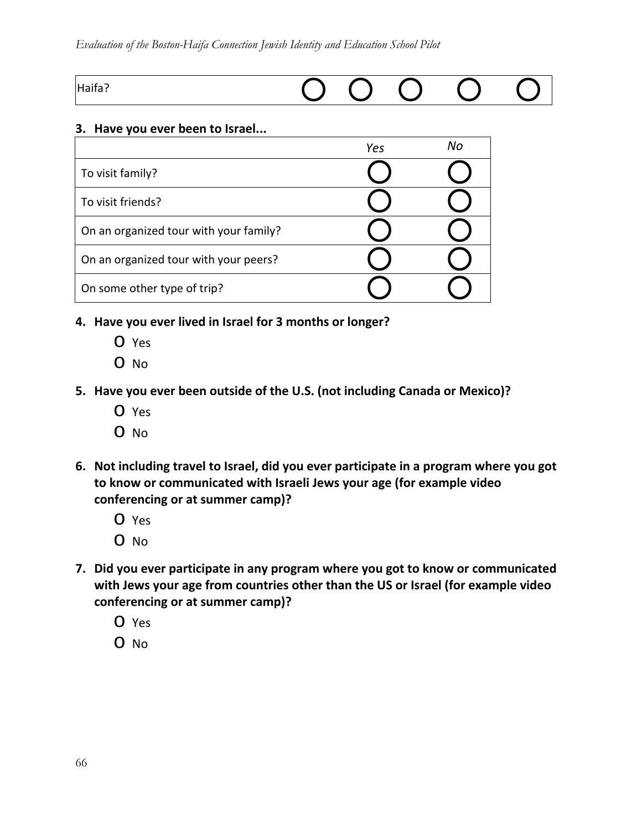#### *Evaluation of the Boston-Haifa Connection Jewish Identity and Education School Pilot*

| Haifa?<br>10110. |  |  |  |  |  |
|------------------|--|--|--|--|--|
|------------------|--|--|--|--|--|

#### **3. Have you ever been to Israel...**

|                                        | Yes | Nο |
|----------------------------------------|-----|----|
| To visit family?                       |     |    |
| To visit friends?                      |     |    |
| On an organized tour with your family? |     |    |
| On an organized tour with your peers?  |     |    |
| On some other type of trip?            |     |    |

- **4. Have you ever lived in Israel for 3 months or longer?**
	- o Yes
	- o No
- **5. Have you ever been outside of the U.S. (not including Canada or Mexico)?**
	- o Yes
	- o No
- **6. Not including travel to Israel, did you ever participate in a program where you got to know or communicated with Israeli Jews your age (for example video conferencing or at summer camp)?**
	- o Yes
	- o No
- **7. Did you ever participate in any program where you got to know or communicated with Jews your age from countries other than the US or Israel (for example video conferencing or at summer camp)?**
	- o Yes
	- o No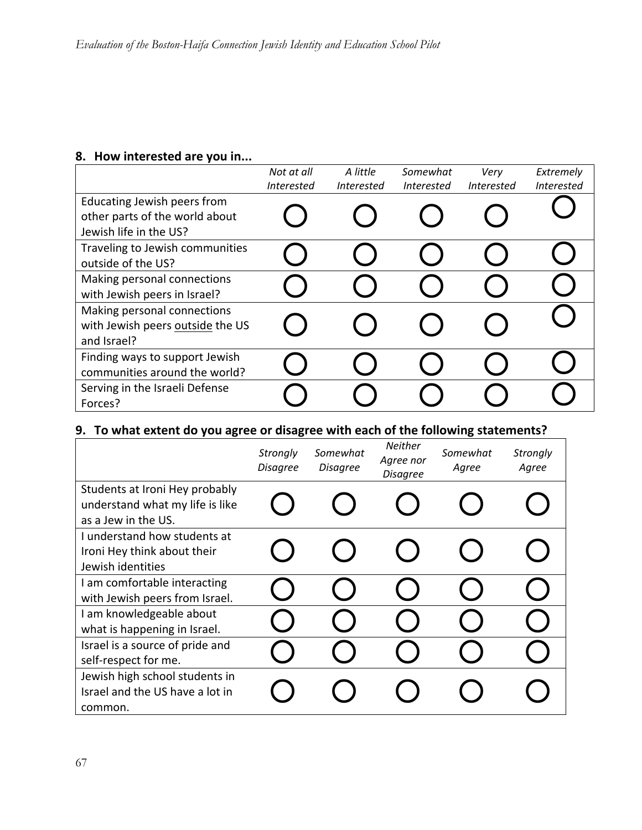# **8. How interested are you in...**

|                                                                                         | Not at all        | A little          | Somewhat          | Verv              | Extremely         |
|-----------------------------------------------------------------------------------------|-------------------|-------------------|-------------------|-------------------|-------------------|
|                                                                                         | <i>Interested</i> | <i>Interested</i> | <i>Interested</i> | <b>Interested</b> | <b>Interested</b> |
| Educating Jewish peers from<br>other parts of the world about<br>Jewish life in the US? |                   |                   |                   |                   |                   |
| Traveling to Jewish communities<br>outside of the US?                                   |                   |                   |                   |                   |                   |
| Making personal connections<br>with Jewish peers in Israel?                             |                   |                   |                   |                   |                   |
| Making personal connections<br>with Jewish peers outside the US<br>and Israel?          |                   |                   |                   |                   |                   |
| Finding ways to support Jewish<br>communities around the world?                         |                   |                   |                   |                   |                   |
| Serving in the Israeli Defense<br>Forces?                                               |                   |                   |                   |                   |                   |

# **9. To what extent do you agree or disagree with each of the following statements?**

|                                                                                          | Strongly<br><b>Disagree</b> | Somewhat<br><b>Disagree</b> | <b>Neither</b><br>Agree nor<br><b>Disagree</b> | Somewhat<br>Agree | <b>Strongly</b><br>Agree |
|------------------------------------------------------------------------------------------|-----------------------------|-----------------------------|------------------------------------------------|-------------------|--------------------------|
| Students at Ironi Hey probably<br>understand what my life is like<br>as a Jew in the US. |                             |                             |                                                |                   |                          |
| I understand how students at<br>Ironi Hey think about their<br>Jewish identities         |                             |                             |                                                |                   |                          |
| I am comfortable interacting<br>with Jewish peers from Israel.                           |                             |                             |                                                |                   |                          |
| I am knowledgeable about<br>what is happening in Israel.                                 |                             |                             |                                                |                   |                          |
| Israel is a source of pride and<br>self-respect for me.                                  |                             |                             |                                                |                   |                          |
| Jewish high school students in<br>Israel and the US have a lot in<br>common.             |                             |                             |                                                |                   |                          |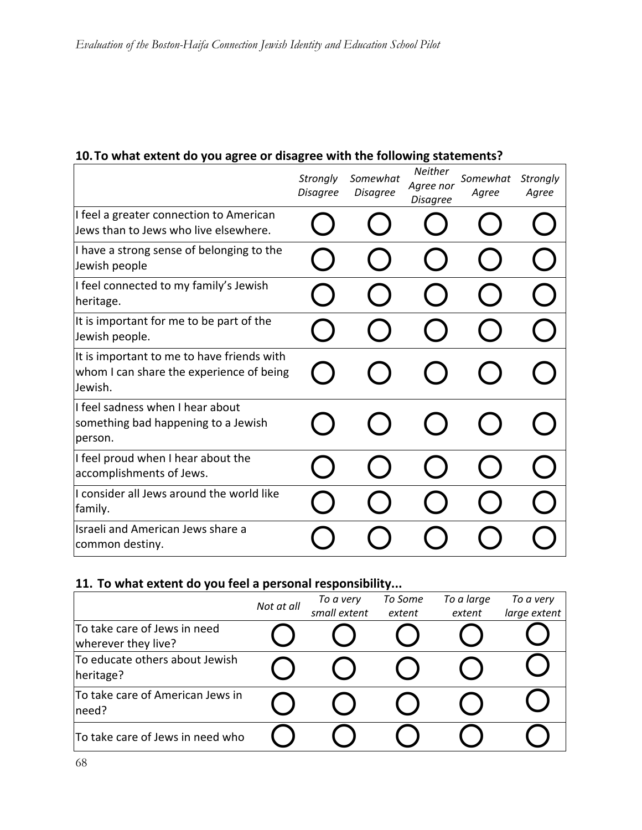# **10.To what extent do you agree or disagree with the following statements?**

|                                                                                                   | Strongly<br><b>Disagree</b> | Somewhat<br><b>Disagree</b> | <b>Neither</b><br>Agree nor<br><b>Disagree</b> | Somewhat<br>Agree | Strongly<br>Agree |
|---------------------------------------------------------------------------------------------------|-----------------------------|-----------------------------|------------------------------------------------|-------------------|-------------------|
| I feel a greater connection to American<br>Jews than to Jews who live elsewhere.                  |                             |                             |                                                |                   |                   |
| I have a strong sense of belonging to the<br>Jewish people                                        |                             |                             |                                                |                   |                   |
| I feel connected to my family's Jewish<br>heritage.                                               |                             |                             |                                                |                   |                   |
| It is important for me to be part of the<br>Jewish people.                                        |                             |                             |                                                |                   |                   |
| It is important to me to have friends with<br>whom I can share the experience of being<br>Jewish. |                             |                             |                                                |                   |                   |
| I feel sadness when I hear about<br>something bad happening to a Jewish<br>person.                |                             |                             |                                                |                   |                   |
| I feel proud when I hear about the<br>accomplishments of Jews.                                    |                             |                             |                                                |                   |                   |
| I consider all Jews around the world like<br>family.                                              |                             |                             |                                                |                   |                   |
| Israeli and American Jews share a<br>common destiny.                                              |                             |                             |                                                |                   |                   |

# **11. To what extent do you feel a personal responsibility...**

|                                                     | Not at all | To a very<br>small extent | To Some<br>extent | To a large<br>extent | To a very<br>large extent |
|-----------------------------------------------------|------------|---------------------------|-------------------|----------------------|---------------------------|
| To take care of Jews in need<br>wherever they live? |            |                           |                   |                      |                           |
| To educate others about Jewish<br>heritage?         |            |                           |                   |                      |                           |
| To take care of American Jews in<br>need?           |            |                           |                   |                      |                           |
| To take care of Jews in need who                    |            |                           |                   |                      |                           |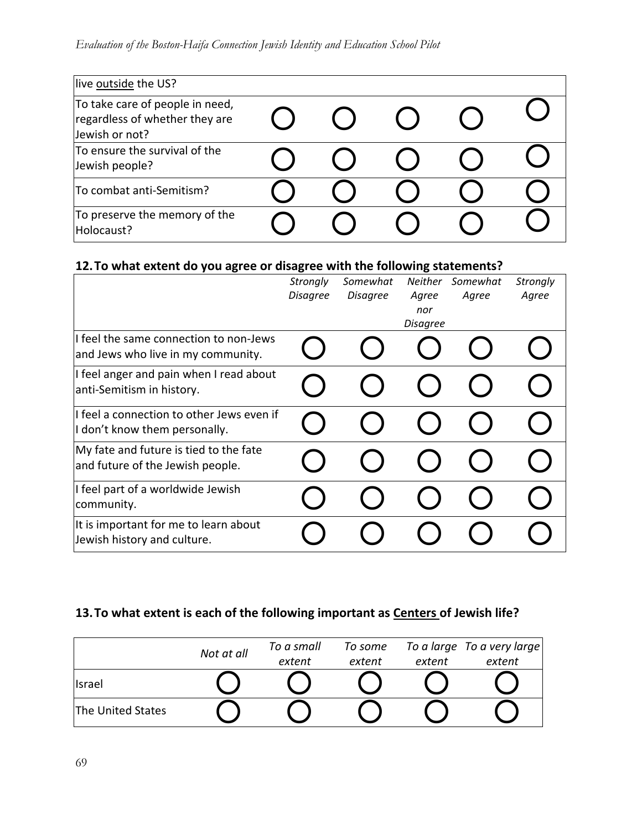| live outside the US?                                                                |  |  |  |
|-------------------------------------------------------------------------------------|--|--|--|
| To take care of people in need,<br>regardless of whether they are<br>Jewish or not? |  |  |  |
| To ensure the survival of the<br>Jewish people?                                     |  |  |  |
| To combat anti-Semitism?                                                            |  |  |  |
| To preserve the memory of the<br>Holocaust?                                         |  |  |  |

# **12.To what extent do you agree or disagree with the following statements?**

|                                                                              | Strongly<br><b>Disagree</b> | Somewhat<br><b>Disagree</b> | <b>Neither</b><br>Agree<br>nor<br><b>Disagree</b> | Somewhat<br>Agree | <b>Strongly</b><br>Agree |
|------------------------------------------------------------------------------|-----------------------------|-----------------------------|---------------------------------------------------|-------------------|--------------------------|
| I feel the same connection to non-Jews<br>and Jews who live in my community. |                             |                             |                                                   |                   |                          |
| I feel anger and pain when I read about<br>anti-Semitism in history.         |                             |                             |                                                   |                   |                          |
| I feel a connection to other Jews even if<br>I don't know them personally.   |                             |                             |                                                   |                   |                          |
| My fate and future is tied to the fate<br>and future of the Jewish people.   |                             |                             |                                                   |                   |                          |
| I feel part of a worldwide Jewish<br>community.                              |                             |                             |                                                   |                   |                          |
| It is important for me to learn about<br>Jewish history and culture.         |                             |                             |                                                   |                   |                          |

# **13.To what extent is each of the following important as Centers of Jewish life?**

|                   | Not at all | To a small | To some |        | To a large To a very large |
|-------------------|------------|------------|---------|--------|----------------------------|
|                   |            | extent     | extent  | extent | extent                     |
| <b>Israel</b>     |            |            |         |        |                            |
| The United States |            |            |         |        |                            |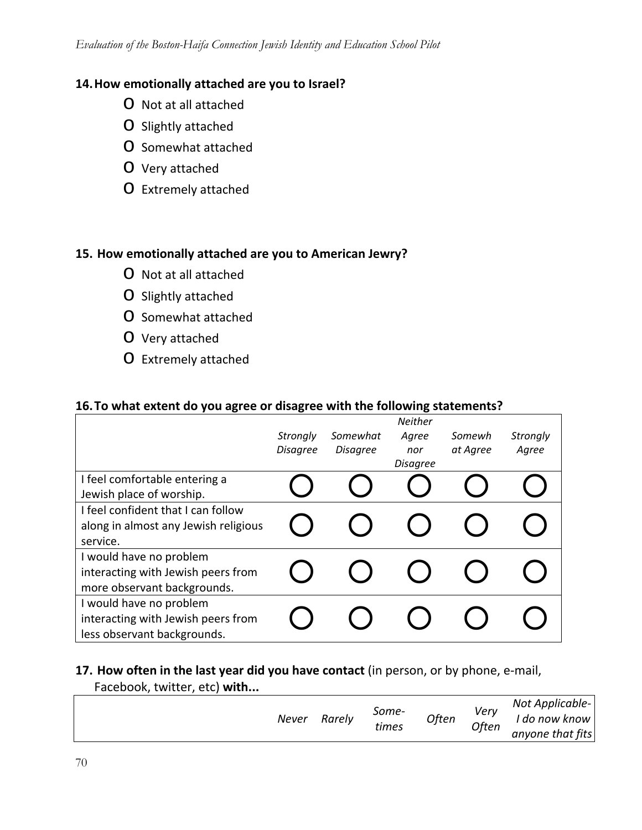# **14.How emotionally attached are you to Israel?**

- o Not at all attached
- o Slightly attached
- o Somewhat attached
- o Very attached
- o Extremely attached

# **15. How emotionally attached are you to American Jewry?**

- o Not at all attached
- o Slightly attached
- o Somewhat attached
- o Very attached
- o Extremely attached

# **16.To what extent do you agree or disagree with the following statements?**

|                                      |                 |                 | Neither         |          |          |
|--------------------------------------|-----------------|-----------------|-----------------|----------|----------|
|                                      | Strongly        | Somewhat        | Agree           | Somewh   | Strongly |
|                                      | <b>Disagree</b> | <b>Disagree</b> | nor             | at Agree | Agree    |
|                                      |                 |                 | <b>Disagree</b> |          |          |
| I feel comfortable entering a        |                 |                 |                 |          |          |
| Jewish place of worship.             |                 |                 |                 |          |          |
| I feel confident that I can follow   |                 |                 |                 |          |          |
| along in almost any Jewish religious |                 |                 |                 |          |          |
| service.                             |                 |                 |                 |          |          |
| I would have no problem              |                 |                 |                 |          |          |
| interacting with Jewish peers from   |                 |                 |                 |          |          |
| more observant backgrounds.          |                 |                 |                 |          |          |
| I would have no problem              |                 |                 |                 |          |          |
| interacting with Jewish peers from   |                 |                 |                 |          |          |
| less observant backgrounds.          |                 |                 |                 |          |          |

# **17. How often in the last year did you have contact** (in person, or by phone, e‐mail,

Facebook, twitter, etc) **with...**

| Never | Rarely | Some-<br>times | Often | Verv<br>Often | Not Applicable-<br>I do now know<br>anyone that fits |
|-------|--------|----------------|-------|---------------|------------------------------------------------------|
|-------|--------|----------------|-------|---------------|------------------------------------------------------|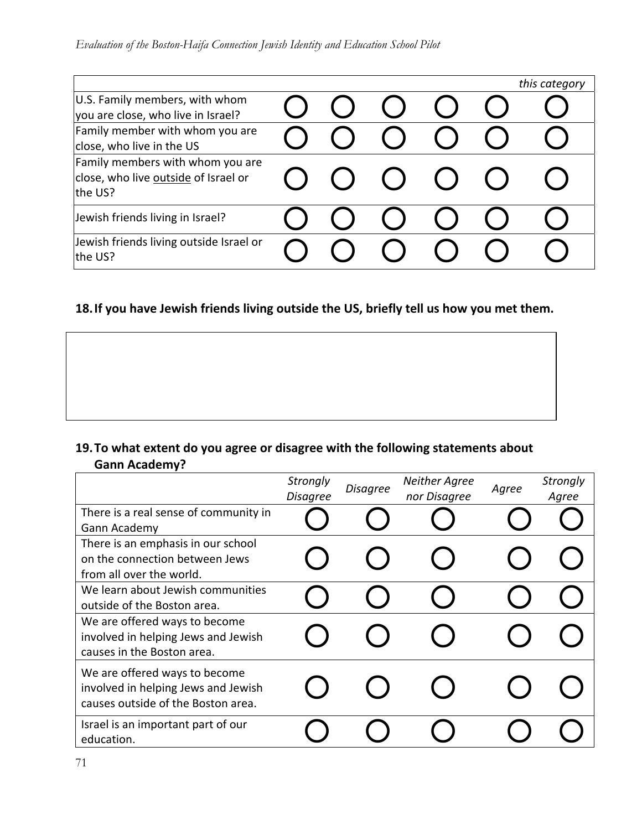|                                                                                     |  |  | this category |
|-------------------------------------------------------------------------------------|--|--|---------------|
| U.S. Family members, with whom<br>you are close, who live in Israel?                |  |  |               |
| Family member with whom you are<br>close, who live in the US                        |  |  |               |
| Family members with whom you are<br>close, who live outside of Israel or<br>the US? |  |  |               |
| Jewish friends living in Israel?                                                    |  |  |               |
| Jewish friends living outside Israel or<br>the US?                                  |  |  |               |

# **18.If you have Jewish friends living outside the US, briefly tell us how you met them.**

# **19.To what extent do you agree or disagree with the following statements about Gann Academy?**

|                                                                                                            | <b>Strongly</b><br><b>Disagree</b> | <b>Disagree</b> | <b>Neither Agree</b><br>nor Disagree | Agree | Strongly<br>Agree |
|------------------------------------------------------------------------------------------------------------|------------------------------------|-----------------|--------------------------------------|-------|-------------------|
| There is a real sense of community in<br>Gann Academy                                                      |                                    |                 |                                      |       |                   |
| There is an emphasis in our school<br>on the connection between Jews<br>from all over the world.           |                                    |                 |                                      |       |                   |
| We learn about Jewish communities<br>outside of the Boston area.                                           |                                    |                 |                                      |       |                   |
| We are offered ways to become<br>involved in helping Jews and Jewish<br>causes in the Boston area.         |                                    |                 |                                      |       |                   |
| We are offered ways to become<br>involved in helping Jews and Jewish<br>causes outside of the Boston area. |                                    |                 |                                      |       |                   |
| Israel is an important part of our<br>education.                                                           |                                    |                 |                                      |       |                   |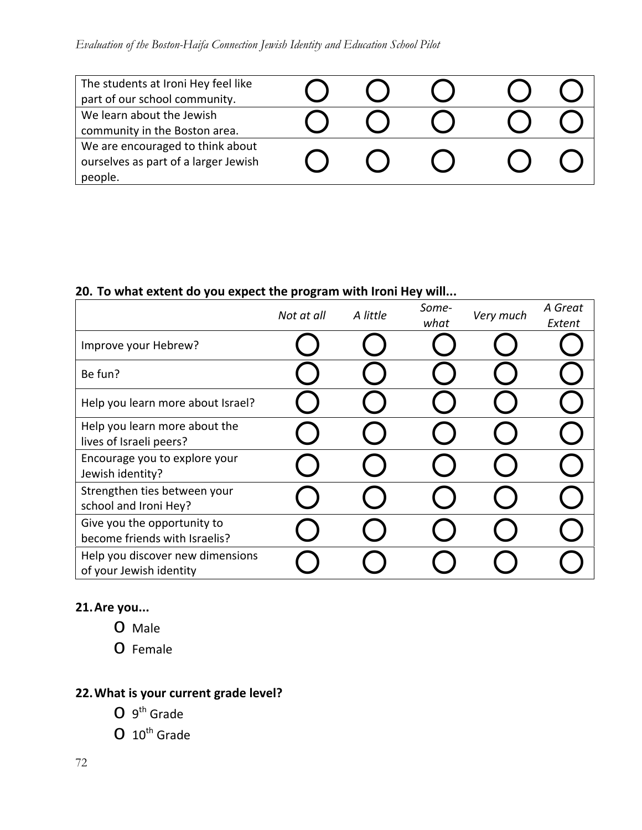# *Evaluation of the Boston-Haifa Connection Jewish Identity and Education School Pilot*

| The students at Ironi Hey feel like<br>part of our school community.                |  |  |
|-------------------------------------------------------------------------------------|--|--|
| We learn about the Jewish<br>community in the Boston area.                          |  |  |
| We are encouraged to think about<br>ourselves as part of a larger Jewish<br>people. |  |  |

# **20. To what extent do you expect the program with Ironi Hey will...**

|                                                              | Not at all | A little | Some-<br>what | Very much | A Great<br>Extent |
|--------------------------------------------------------------|------------|----------|---------------|-----------|-------------------|
| Improve your Hebrew?                                         |            |          |               |           |                   |
| Be fun?                                                      |            |          |               |           |                   |
| Help you learn more about Israel?                            |            |          |               |           |                   |
| Help you learn more about the<br>lives of Israeli peers?     |            |          |               |           |                   |
| Encourage you to explore your<br>Jewish identity?            |            |          |               |           |                   |
| Strengthen ties between your<br>school and Ironi Hey?        |            |          |               |           |                   |
| Give you the opportunity to<br>become friends with Israelis? |            |          |               |           |                   |
| Help you discover new dimensions<br>of your Jewish identity  |            |          |               |           |                   |

# **21.Are you...**

- o Male
- o Female

# **22.What is your current grade level?**

- $O<sub>9</sub><sup>th</sup>$  Grade
- $O$  10<sup>th</sup> Grade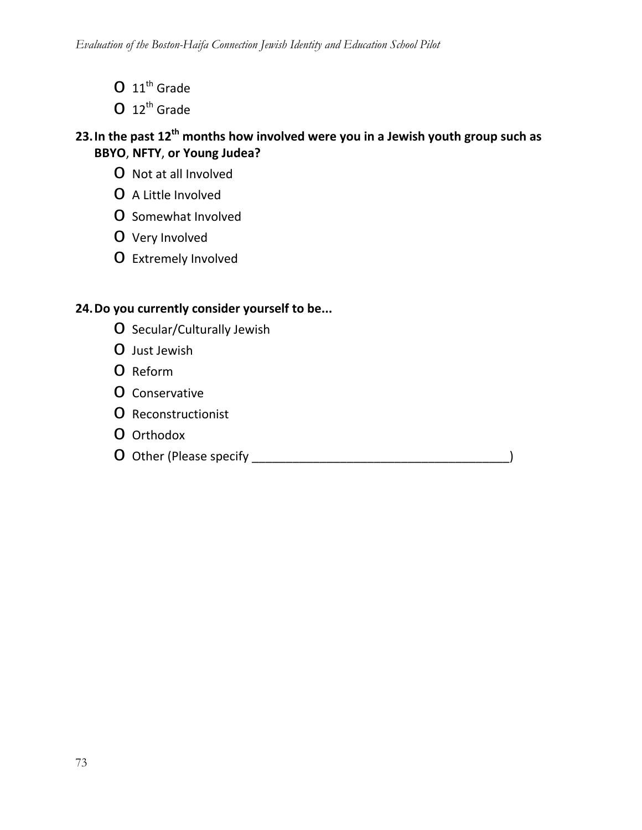- $O$  11<sup>th</sup> Grade
- $O$  12<sup>th</sup> Grade

## **23.In the past 12th months how involved were you in a Jewish youth group such as BBYO**, **NFTY**, **or Young Judea?**

- o Not at all Involved
- o <sup>A</sup> Little Involved
- o Somewhat Involved
- o Very Involved
- o Extremely Involved

## **24.Do you currently consider yourself to be...**

- o Secular/Culturally Jewish
- o Just Jewish
- o Reform
- o Conservative
- o Reconstructionist
- o Orthodox
- o Other (Please specify \_\_\_\_\_\_\_\_\_\_\_\_\_\_\_\_\_\_\_\_\_\_\_\_\_\_\_\_\_\_\_\_\_\_\_\_\_\_)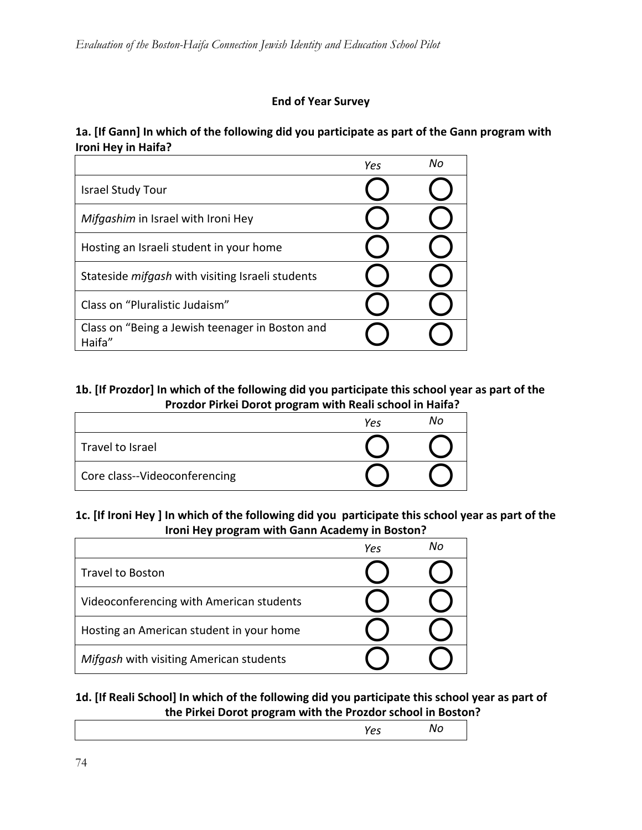### **End of Year Survey**

### **1a. [If Gann] In which of the following did you participate as part of the Gann program with Ironi Hey in Haifa?**

|                                                           | Yes | Nο |
|-----------------------------------------------------------|-----|----|
| <b>Israel Study Tour</b>                                  |     |    |
| Mifgashim in Israel with Ironi Hey                        |     |    |
| Hosting an Israeli student in your home                   |     |    |
| Stateside <i>mifgash</i> with visiting Israeli students   |     |    |
| Class on "Pluralistic Judaism"                            |     |    |
| Class on "Being a Jewish teenager in Boston and<br>Haifa" |     |    |

### **1b. [If Prozdor] In which of the following did you participate this school year as part of the Prozdor Pirkei Dorot program with Reali school in Haifa?**

|                               | Yes | Nο |
|-------------------------------|-----|----|
| Travel to Israel              |     |    |
| Core class--Videoconferencing |     |    |

### 1c. [If Ironi Hey] In which of the following did you participate this school year as part of the **Ironi Hey program with Gann Academy in Boston?**

|                                          | Yes | Nο |
|------------------------------------------|-----|----|
| Travel to Boston                         |     |    |
| Videoconferencing with American students |     |    |
| Hosting an American student in your home |     |    |
| Mifgash with visiting American students  |     |    |

### **1d. [If Reali School] In which of the following did you participate this school year as part of the Pirkei Dorot program with the Prozdor school in Boston?**

| . . |  |
|-----|--|
|     |  |
|     |  |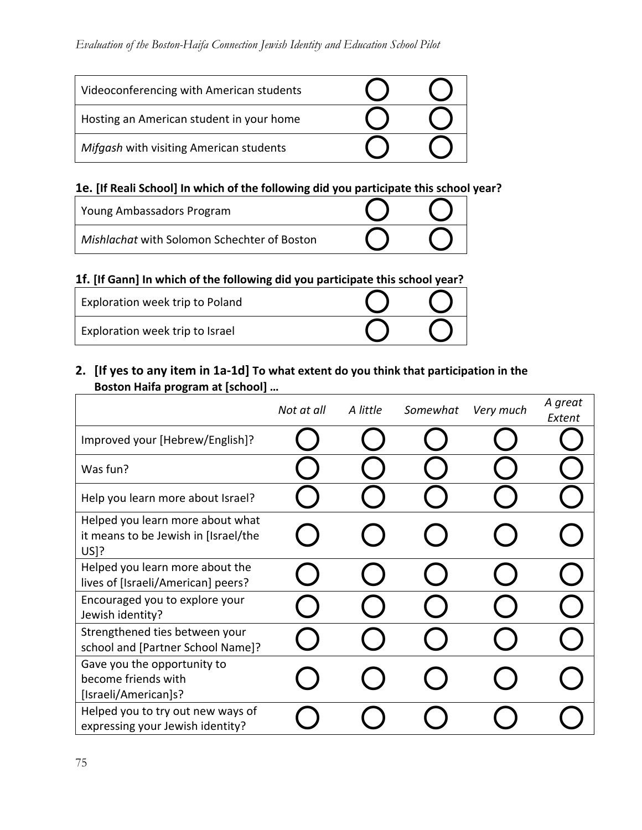| Videoconferencing with American students |  |
|------------------------------------------|--|
| Hosting an American student in your home |  |
| Mifgash with visiting American students  |  |

## **1e. [If Reali School] In which of the following did you participate this school year?**

| Young Ambassadors Program                   |  |
|---------------------------------------------|--|
| Mishlachat with Solomon Schechter of Boston |  |

## **1f. [If Gann] In which of the following did you participate this school year?**

| Exploration week trip to Poland |  |
|---------------------------------|--|
| Exploration week trip to Israel |  |

## 2. [If yes to any item in 1a-1d] To what extent do you think that participation in the **Boston Haifa program at [school] …**

|                                                                                  | Not at all | A little | Somewhat | Very much | A great<br>Extent |
|----------------------------------------------------------------------------------|------------|----------|----------|-----------|-------------------|
| Improved your [Hebrew/English]?                                                  |            |          |          |           |                   |
| Was fun?                                                                         |            |          |          |           |                   |
| Help you learn more about Israel?                                                |            |          |          |           |                   |
| Helped you learn more about what<br>it means to be Jewish in [Israel/the<br>US]? |            |          |          |           |                   |
| Helped you learn more about the<br>lives of [Israeli/American] peers?            |            |          |          |           |                   |
| Encouraged you to explore your<br>Jewish identity?                               |            |          |          |           |                   |
| Strengthened ties between your<br>school and [Partner School Name]?              |            |          |          |           |                   |
| Gave you the opportunity to<br>become friends with<br>[Israeli/American]s?       |            |          |          |           |                   |
| Helped you to try out new ways of<br>expressing your Jewish identity?            |            |          |          |           |                   |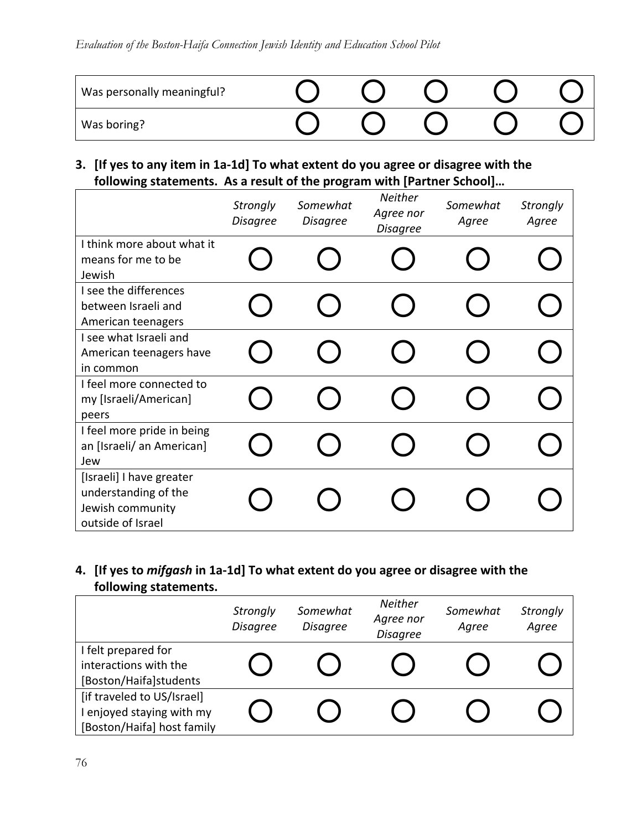| Was personally meaningful? |  |  |  |
|----------------------------|--|--|--|
| Was boring?                |  |  |  |

## **3. [If yes to any item in 1a‐1d] To what extent do you agree or disagree with the following statements. As a result of the program with [Partner School]…**

|                                                                                           | <b>Strongly</b><br><b>Disagree</b> | Somewhat<br><b>Disagree</b> | <b>Neither</b><br>Agree nor<br><b>Disagree</b> | Somewhat<br>Agree | <b>Strongly</b><br>Agree |
|-------------------------------------------------------------------------------------------|------------------------------------|-----------------------------|------------------------------------------------|-------------------|--------------------------|
| I think more about what it<br>means for me to be<br>Jewish                                |                                    |                             |                                                |                   |                          |
| I see the differences<br>between Israeli and<br>American teenagers                        |                                    |                             |                                                |                   |                          |
| I see what Israeli and<br>American teenagers have<br>in common                            |                                    |                             |                                                |                   |                          |
| I feel more connected to<br>my [Israeli/American]<br>peers                                |                                    |                             |                                                |                   |                          |
| I feel more pride in being<br>an [Israeli/ an American]<br>Jew                            |                                    |                             |                                                |                   |                          |
| [Israeli] I have greater<br>understanding of the<br>Jewish community<br>outside of Israel |                                    |                             |                                                |                   |                          |

## **4. [If yes to** *mifgash* **in 1a‐1d] To what extent do you agree or disagree with the following statements.**

|                                                                                       | <b>Strongly</b><br><b>Disagree</b> | Somewhat<br><b>Disagree</b> | <b>Neither</b><br>Agree nor<br><b>Disagree</b> | Somewhat<br>Agree | Strongly<br>Agree |
|---------------------------------------------------------------------------------------|------------------------------------|-----------------------------|------------------------------------------------|-------------------|-------------------|
| I felt prepared for<br>interactions with the<br>[Boston/Haifa]students                |                                    |                             |                                                |                   |                   |
| [if traveled to US/Israel]<br>I enjoyed staying with my<br>[Boston/Haifa] host family |                                    |                             |                                                |                   |                   |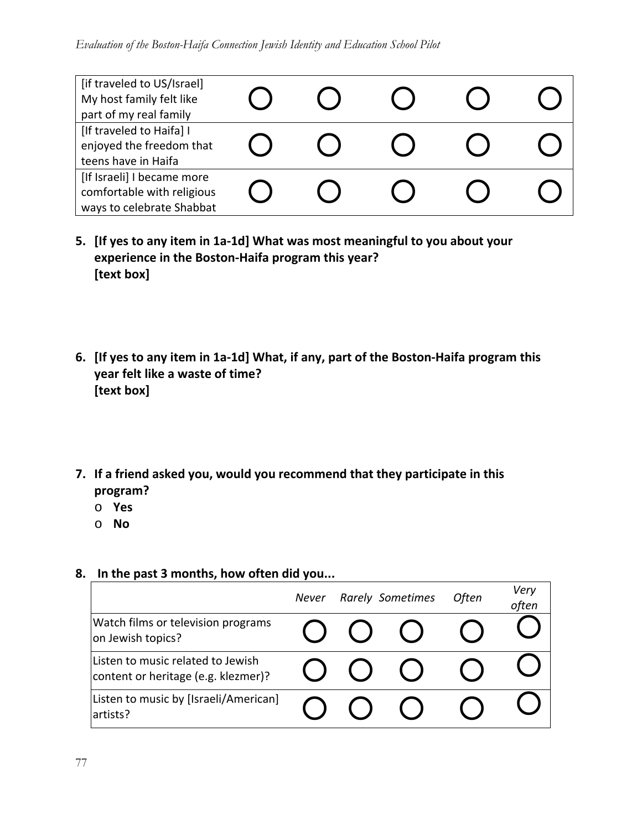| [if traveled to US/Israel]<br>My host family felt like<br>part of my real family      |  |  |  |
|---------------------------------------------------------------------------------------|--|--|--|
| [If traveled to Haifa] I<br>enjoyed the freedom that<br>teens have in Haifa           |  |  |  |
| [If Israeli] I became more<br>comfortable with religious<br>ways to celebrate Shabbat |  |  |  |

- **5. [If yes to any item in 1a‐1d] What was most meaningful to you about your experience in the Boston‐Haifa program this year? [text box]**
- 6. [If yes to any item in 1a-1d] What, if any, part of the Boston-Haifa program this **year felt like a waste of time? [text box]**
- **7. If a friend asked you, would you recommend that they participate in this program?**
	- o **Yes**
	- o **No**

### **8. In the past 3 months, how often did you...**

|                                                                          | Never | <b>Rarely Sometimes</b> | <b>Often</b> | Very<br>often |
|--------------------------------------------------------------------------|-------|-------------------------|--------------|---------------|
| Watch films or television programs<br>on Jewish topics?                  |       | $(\ )$                  |              |               |
| Listen to music related to Jewish<br>content or heritage (e.g. klezmer)? |       |                         |              |               |
| Listen to music by [Israeli/American]<br>artists?                        |       |                         |              |               |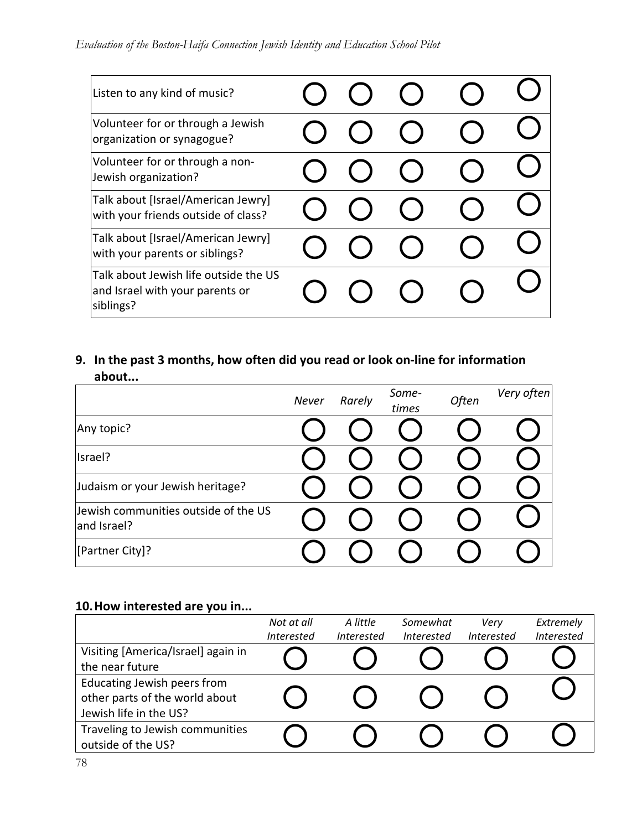| Listen to any kind of music?                                                          |  |  |  |
|---------------------------------------------------------------------------------------|--|--|--|
| Volunteer for or through a Jewish<br>organization or synagogue?                       |  |  |  |
| Volunteer for or through a non-<br>Jewish organization?                               |  |  |  |
| Talk about [Israel/American Jewry]<br>with your friends outside of class?             |  |  |  |
| Talk about [Israel/American Jewry]<br>with your parents or siblings?                  |  |  |  |
| Talk about Jewish life outside the US<br>and Israel with your parents or<br>siblings? |  |  |  |

## **9. In the past 3 months, how often did you read or look on‐line for information about...**

|                                                     | Never | Rarely | Some-<br>times | Often | Very often |
|-----------------------------------------------------|-------|--------|----------------|-------|------------|
| Any topic?                                          |       |        |                |       |            |
| Israel?                                             |       |        |                |       |            |
| Judaism or your Jewish heritage?                    |       |        |                |       |            |
| Jewish communities outside of the US<br>and Israel? |       |        |                |       |            |
| [Partner City]?                                     |       |        |                |       |            |

## **10.How interested are you in...**

|                                    | Not at all        | A little          | Somewhat          | Verv              | Extremely         |
|------------------------------------|-------------------|-------------------|-------------------|-------------------|-------------------|
|                                    | <b>Interested</b> | <b>Interested</b> | <b>Interested</b> | <b>Interested</b> | <b>Interested</b> |
| Visiting [America/Israel] again in |                   |                   |                   |                   |                   |
| the near future                    |                   |                   |                   |                   |                   |
| Educating Jewish peers from        |                   |                   |                   |                   |                   |
| other parts of the world about     |                   |                   |                   |                   |                   |
| Jewish life in the US?             |                   |                   |                   |                   |                   |
| Traveling to Jewish communities    |                   |                   |                   |                   |                   |
| outside of the US?                 |                   |                   |                   |                   |                   |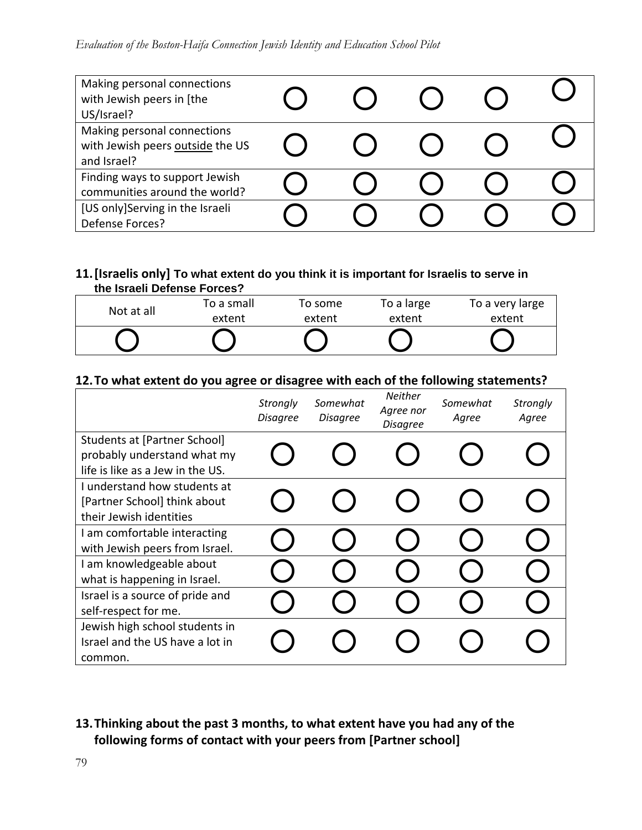| Making personal connections<br>with Jewish peers in [the<br>US/Israel?         |  |  |  |
|--------------------------------------------------------------------------------|--|--|--|
| Making personal connections<br>with Jewish peers outside the US<br>and Israel? |  |  |  |
| Finding ways to support Jewish<br>communities around the world?                |  |  |  |
| [US only]Serving in the Israeli<br>Defense Forces?                             |  |  |  |

#### **11.[Israelis only] To what extent do you think it is important for Israelis to serve in the Israeli Defense Forces?**

| Not at all | To a small | To some | To a large | To a very large |
|------------|------------|---------|------------|-----------------|
|            | extent     | extent  | extent     | extent          |
|            |            |         |            |                 |
|            |            |         |            |                 |

### **12.To what extent do you agree or disagree with each of the following statements?**

|                                                                                                 | Strongly<br>Disagree | Somewhat<br><b>Disagree</b> | <b>Neither</b><br>Agree nor<br><b>Disagree</b> | Somewhat<br>Agree | Strongly<br>Agree |
|-------------------------------------------------------------------------------------------------|----------------------|-----------------------------|------------------------------------------------|-------------------|-------------------|
| Students at [Partner School]<br>probably understand what my<br>life is like as a Jew in the US. |                      |                             |                                                |                   |                   |
| I understand how students at<br>[Partner School] think about<br>their Jewish identities         |                      |                             |                                                |                   |                   |
| I am comfortable interacting<br>with Jewish peers from Israel.                                  |                      |                             |                                                |                   |                   |
| I am knowledgeable about<br>what is happening in Israel.                                        |                      |                             |                                                |                   |                   |
| Israel is a source of pride and<br>self-respect for me.                                         |                      |                             |                                                |                   |                   |
| Jewish high school students in<br>Israel and the US have a lot in<br>common.                    |                      |                             |                                                |                   |                   |

## **13.Thinking about the past 3 months, to what extent have you had any of the following forms of contact with your peers from [Partner school]**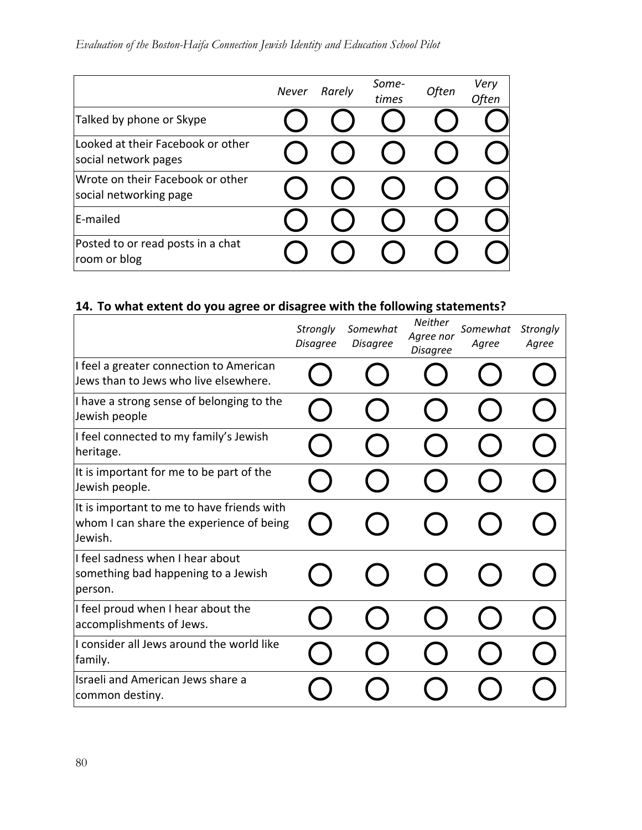|                                                            | <b>Never</b> | Rarely | Some-<br>times | Often | Very<br>Often |
|------------------------------------------------------------|--------------|--------|----------------|-------|---------------|
| Talked by phone or Skype                                   |              |        |                |       |               |
| Looked at their Facebook or other<br>social network pages  |              |        |                |       |               |
| Wrote on their Facebook or other<br>social networking page |              |        |                |       |               |
| E-mailed                                                   |              |        |                |       |               |
| Posted to or read posts in a chat<br>room or blog          |              |        |                |       |               |

# **14. To what extent do you agree or disagree with the following statements?**

|                                                                                                   | Strongly<br><b>Disagree</b> | Somewhat<br><b>Disagree</b> | <b>Neither</b><br>Agree nor<br><b>Disagree</b> | Somewhat<br>Agree | Strongly<br>Agree |
|---------------------------------------------------------------------------------------------------|-----------------------------|-----------------------------|------------------------------------------------|-------------------|-------------------|
| I feel a greater connection to American<br>Jews than to Jews who live elsewhere.                  |                             |                             |                                                |                   |                   |
| I have a strong sense of belonging to the<br>Jewish people                                        |                             |                             |                                                |                   |                   |
| I feel connected to my family's Jewish<br>heritage.                                               |                             |                             |                                                |                   |                   |
| It is important for me to be part of the<br>Jewish people.                                        |                             |                             |                                                |                   |                   |
| It is important to me to have friends with<br>whom I can share the experience of being<br>Jewish. |                             |                             |                                                |                   |                   |
| I feel sadness when I hear about<br>something bad happening to a Jewish<br>person.                |                             |                             |                                                |                   |                   |
| I feel proud when I hear about the<br>accomplishments of Jews.                                    |                             |                             |                                                |                   |                   |
| I consider all Jews around the world like<br>family.                                              |                             |                             |                                                |                   |                   |
| Israeli and American Jews share a<br>common destiny.                                              |                             |                             |                                                |                   |                   |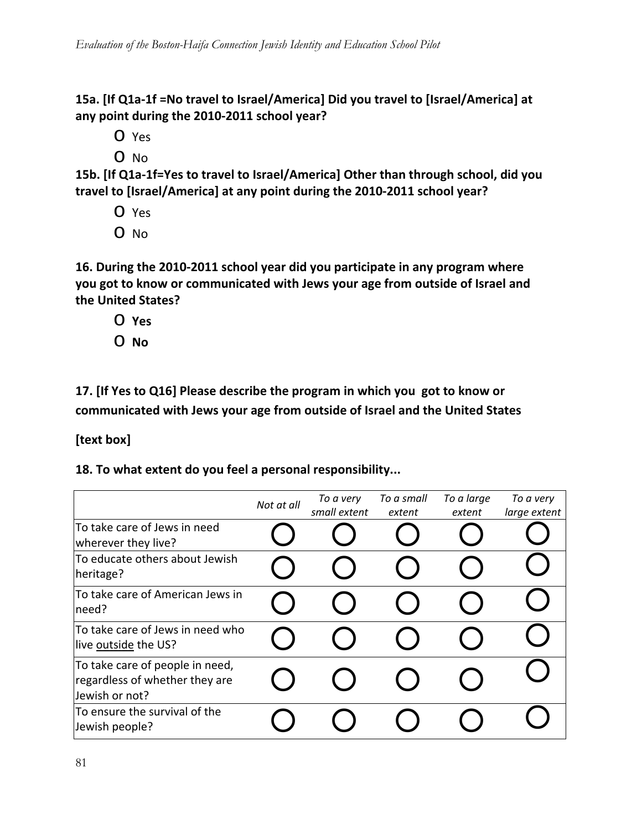**15a. [If Q1a‐1f =No travel to Israel/America] Did you travel to [Israel/America] at any point during the 2010‐2011 school year?**

o Yes

o No

**15b. [If Q1a‐1f=Yes to travel to Israel/America] Other than through school, did you travel to [Israel/America] at any point during the 2010‐2011 school year?**

- o Yes
- o No

**16. During the 2010‐2011 school year did you participate in any program where you got to know or communicated with Jews your age from outside of Israel and the United States?** 

- o **Yes**
- o **No**

**17. [If Yes to Q16] Please describe the program in which you got to know or communicated with Jews your age from outside of Israel and the United States** 

**[text box]**

**18. To what extent do you feel a personal responsibility...**

|                                                                                     | Not at all | To a very<br>small extent | To a small<br>extent | To a large<br>extent | To a very<br>large extent |
|-------------------------------------------------------------------------------------|------------|---------------------------|----------------------|----------------------|---------------------------|
| To take care of Jews in need<br>wherever they live?                                 |            |                           |                      |                      |                           |
| To educate others about Jewish<br>heritage?                                         |            |                           |                      |                      |                           |
| To take care of American Jews in<br>need?                                           |            |                           |                      |                      |                           |
| To take care of Jews in need who<br>live outside the US?                            |            |                           |                      |                      |                           |
| To take care of people in need,<br>regardless of whether they are<br>Jewish or not? |            |                           |                      |                      |                           |
| To ensure the survival of the<br>Jewish people?                                     |            |                           |                      |                      |                           |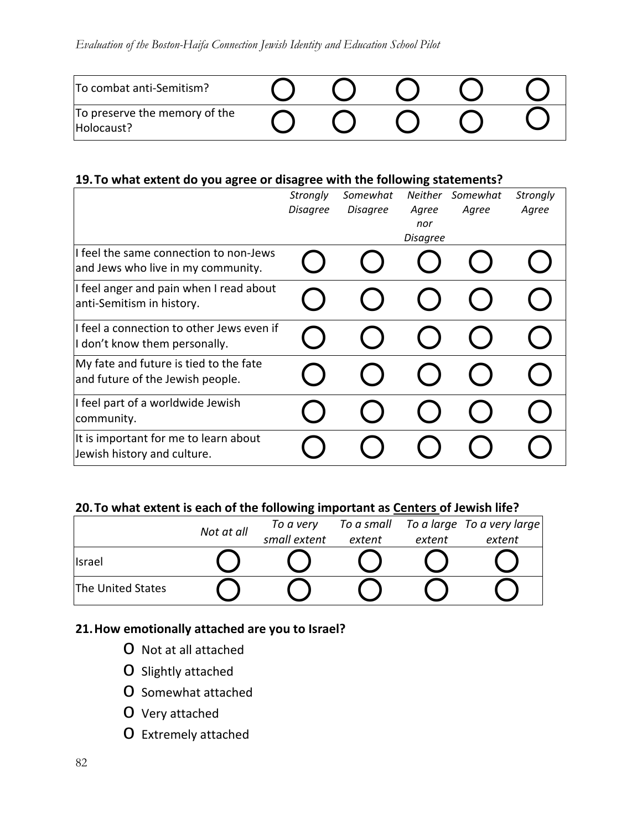| To combat anti-Semitism?                    |  |  |  |
|---------------------------------------------|--|--|--|
| To preserve the memory of the<br>Holocaust? |  |  |  |

#### **19.To what extent do you agree or disagree with the following statements?**

|                                                                              | <b>Strongly</b><br><b>Disagree</b> | Somewhat<br><b>Disagree</b> | <b>Neither</b><br>Agree<br>nor<br><b>Disagree</b> | Somewhat<br>Agree | <b>Strongly</b><br>Agree |
|------------------------------------------------------------------------------|------------------------------------|-----------------------------|---------------------------------------------------|-------------------|--------------------------|
| I feel the same connection to non-Jews<br>and Jews who live in my community. |                                    |                             |                                                   |                   |                          |
| I feel anger and pain when I read about<br>anti-Semitism in history.         |                                    |                             |                                                   |                   |                          |
| I feel a connection to other Jews even if<br>I don't know them personally.   |                                    |                             |                                                   |                   |                          |
| My fate and future is tied to the fate<br>and future of the Jewish people.   |                                    |                             |                                                   |                   |                          |
| I feel part of a worldwide Jewish<br>community.                              |                                    |                             |                                                   |                   |                          |
| It is important for me to learn about<br>Jewish history and culture.         |                                    |                             |                                                   |                   |                          |

### **20.To what extent is each of the following important as Centers of Jewish life?**

|                   | Not at all | To a small<br>To a very |        |        | To a large To a very large |  |  |
|-------------------|------------|-------------------------|--------|--------|----------------------------|--|--|
|                   |            | small extent            | extent | extent | extent                     |  |  |
| Israel            |            |                         |        |        |                            |  |  |
| The United States |            |                         |        |        |                            |  |  |

### **21.How emotionally attached are you to Israel?**

- o Not at all attached
- o Slightly attached
- o Somewhat attached
- o Very attached
- o Extremely attached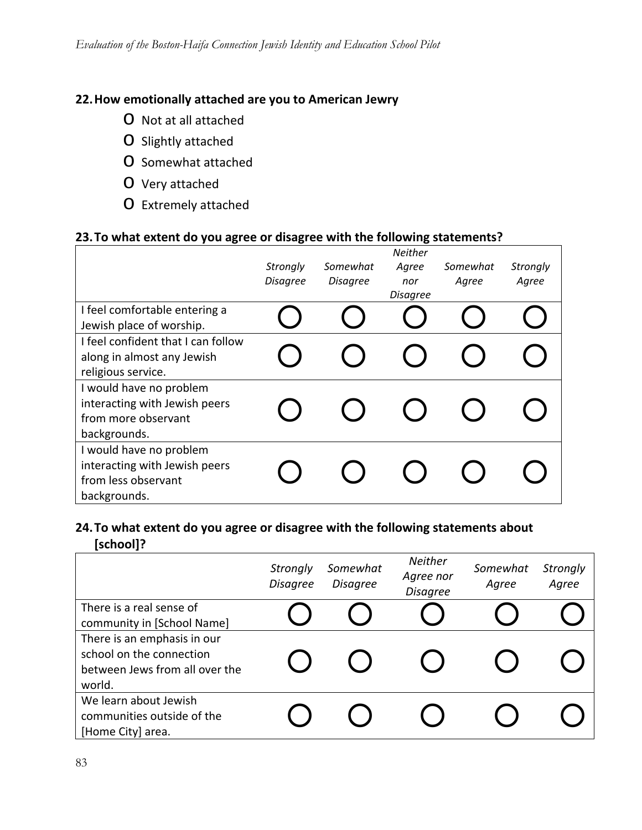## **22.How emotionally attached are you to American Jewry**

- o Not at all attached
- o Slightly attached
- o Somewhat attached
- o Very attached
- o Extremely attached

### **23.To what extent do you agree or disagree with the following statements?**

|                                                                                                 | Strongly<br><b>Disagree</b> | Somewhat<br><b>Disagree</b> | <b>Neither</b><br>Agree<br>nor<br><b>Disagree</b> | Somewhat<br>Agree | Strongly<br>Agree |
|-------------------------------------------------------------------------------------------------|-----------------------------|-----------------------------|---------------------------------------------------|-------------------|-------------------|
| I feel comfortable entering a<br>Jewish place of worship.                                       |                             |                             |                                                   |                   |                   |
| I feel confident that I can follow<br>along in almost any Jewish<br>religious service.          |                             |                             |                                                   |                   |                   |
| I would have no problem<br>interacting with Jewish peers<br>from more observant<br>backgrounds. |                             |                             |                                                   |                   |                   |
| I would have no problem<br>interacting with Jewish peers<br>from less observant<br>backgrounds. |                             |                             |                                                   |                   |                   |

### **24.To what extent do you agree or disagree with the following statements about [school]?**

|                                                                                                     | Strongly<br><b>Disagree</b> | Somewhat<br><b>Disagree</b> | Neither<br>Agree nor<br><b>Disagree</b> | Somewhat<br>Agree | <b>Strongly</b><br>Agree |
|-----------------------------------------------------------------------------------------------------|-----------------------------|-----------------------------|-----------------------------------------|-------------------|--------------------------|
| There is a real sense of<br>community in [School Name]                                              |                             |                             |                                         |                   |                          |
| There is an emphasis in our<br>school on the connection<br>between Jews from all over the<br>world. |                             |                             |                                         |                   |                          |
| We learn about Jewish<br>communities outside of the<br>[Home City] area.                            |                             |                             |                                         |                   |                          |